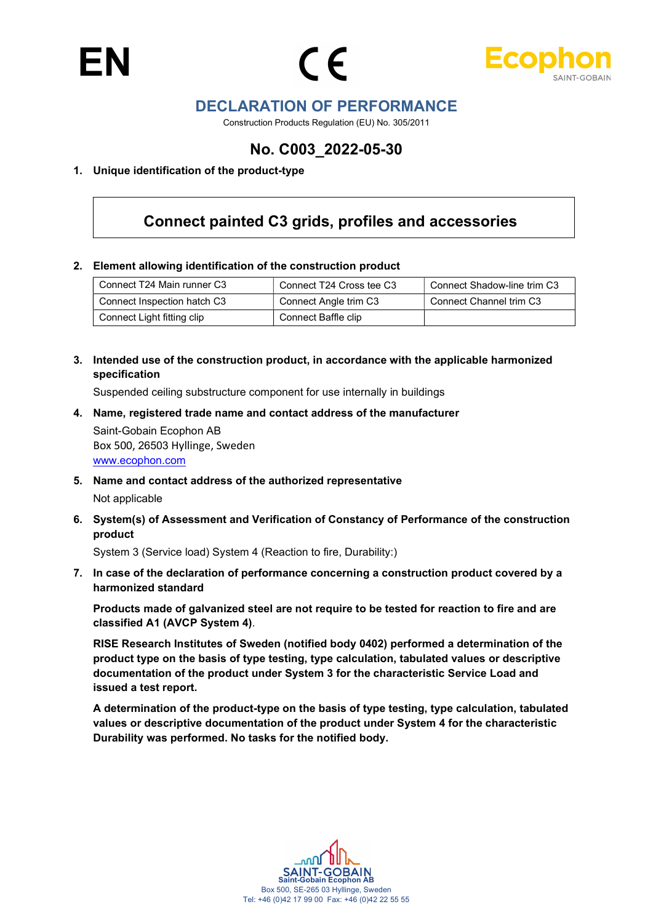



## DECLARATION OF PERFORMANCE

Construction Products Regulation (EU) No. 305/2011

## No. C003\_2022-05-30

#### 1. Unique identification of the product-type

# Connect painted C3 grids, profiles and accessories

#### 2. Element allowing identification of the construction product

| Connect T24 Main runner C3  | Connect T24 Cross tee C3 | Connect Shadow-line trim C3 |
|-----------------------------|--------------------------|-----------------------------|
| Connect Inspection hatch C3 | Connect Angle trim C3    | Connect Channel trim C3     |
| Connect Light fitting clip  | Connect Baffle clip      |                             |

3. Intended use of the construction product, in accordance with the applicable harmonized specification

Suspended ceiling substructure component for use internally in buildings

- 4. Name, registered trade name and contact address of the manufacturer Saint-Gobain Ecophon AB Box 500, 26503 Hyllinge, Sweden www.ecophon.com
- 5. Name and contact address of the authorized representative Not applicable
- 6. System(s) of Assessment and Verification of Constancy of Performance of the construction product

System 3 (Service load) System 4 (Reaction to fire, Durability:)

7. In case of the declaration of performance concerning a construction product covered by a harmonized standard

Products made of galvanized steel are not require to be tested for reaction to fire and are classified A1 (AVCP System 4).

RISE Research Institutes of Sweden (notified body 0402) performed a determination of the product type on the basis of type testing, type calculation, tabulated values or descriptive documentation of the product under System 3 for the characteristic Service Load and issued a test report.

A determination of the product-type on the basis of type testing, type calculation, tabulated values or descriptive documentation of the product under System 4 for the characteristic Durability was performed. No tasks for the notified body.

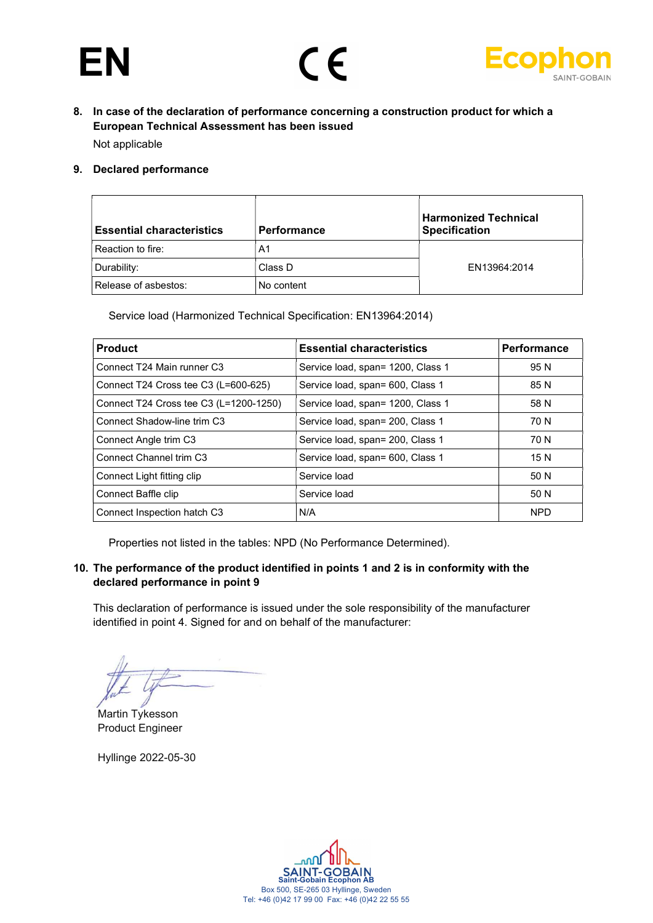



8. In case of the declaration of performance concerning a construction product for which a European Technical Assessment has been issued

Not applicable

#### 9. Declared performance

| <b>Essential characteristics</b> | <b>Performance</b> | <b>Harmonized Technical</b><br><b>Specification</b> |
|----------------------------------|--------------------|-----------------------------------------------------|
| Reaction to fire:                | A1                 |                                                     |
| Durability:                      | Class D            | EN13964:2014                                        |
| Release of asbestos:             | No content         |                                                     |

Service load (Harmonized Technical Specification: EN13964:2014)

| <b>Product</b>                         | <b>Essential characteristics</b>  | Performance |
|----------------------------------------|-----------------------------------|-------------|
| Connect T24 Main runner C3             | Service load, span= 1200, Class 1 | 95 N        |
| Connect T24 Cross tee C3 (L=600-625)   | Service load, span= 600, Class 1  | 85 N        |
| Connect T24 Cross tee C3 (L=1200-1250) | Service load, span= 1200, Class 1 | 58 N        |
| Connect Shadow-line trim C3            | Service load, span= 200, Class 1  | 70 N        |
| Connect Angle trim C3                  | Service load, span= 200, Class 1  | 70 N        |
| Connect Channel trim C3                | Service load, span= 600, Class 1  | 15 N        |
| Connect Light fitting clip             | Service load                      | 50 N        |
| Connect Baffle clip                    | Service load                      | 50 N        |
| Connect Inspection hatch C3            | N/A                               | <b>NPD</b>  |

Properties not listed in the tables: NPD (No Performance Determined).

#### 10. The performance of the product identified in points 1 and 2 is in conformity with the declared performance in point 9

This declaration of performance is issued under the sole responsibility of the manufacturer identified in point 4. Signed for and on behalf of the manufacturer:

Martin Tykesson Product Engineer

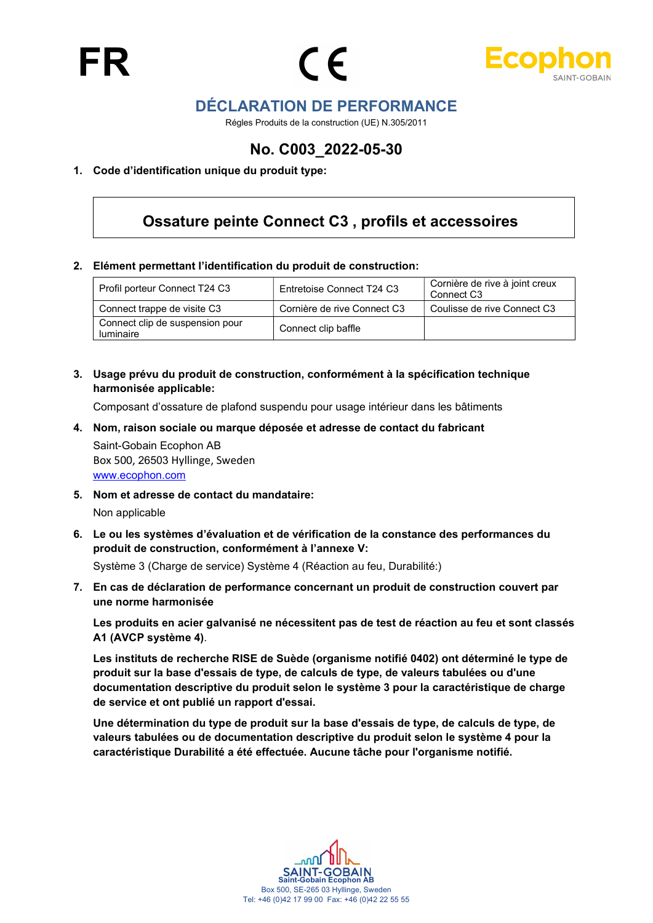



## DÉCLARATION DE PERFORMANCE

Régles Produits de la construction (UE) N.305/2011

## No. C003\_2022-05-30

#### 1. Code d'identification unique du produit type:

## Ossature peinte Connect C3 , profils et accessoires

#### 2. Elément permettant l'identification du produit de construction:

| Profil porteur Connect T24 C3                       | Entretoise Connect T24 C3   | Cornière de rive à joint creux<br>Connect C <sub>3</sub> |
|-----------------------------------------------------|-----------------------------|----------------------------------------------------------|
| Connect trappe de visite C3                         | Cornière de rive Connect C3 | Coulisse de rive Connect C3                              |
| Connect clip de suspension pour<br><i>luminaire</i> | Connect clip baffle         |                                                          |

3. Usage prévu du produit de construction, conformément à la spécification technique harmonisée applicable:

Composant d'ossature de plafond suspendu pour usage intérieur dans les bâtiments

4. Nom, raison sociale ou marque déposée et adresse de contact du fabricant Saint-Gobain Ecophon AB

Box 500, 26503 Hyllinge, Sweden www.ecophon.com

5. Nom et adresse de contact du mandataire:

Non applicable

6. Le ou les systèmes d'évaluation et de vérification de la constance des performances du produit de construction, conformément à l'annexe V:

Système 3 (Charge de service) Système 4 (Réaction au feu, Durabilité:)

7. En cas de déclaration de performance concernant un produit de construction couvert par une norme harmonisée

Les produits en acier galvanisé ne nécessitent pas de test de réaction au feu et sont classés A1 (AVCP système 4).

Les instituts de recherche RISE de Suède (organisme notifié 0402) ont déterminé le type de produit sur la base d'essais de type, de calculs de type, de valeurs tabulées ou d'une documentation descriptive du produit selon le système 3 pour la caractéristique de charge de service et ont publié un rapport d'essai.

Une détermination du type de produit sur la base d'essais de type, de calculs de type, de valeurs tabulées ou de documentation descriptive du produit selon le système 4 pour la caractéristique Durabilité a été effectuée. Aucune tâche pour l'organisme notifié.

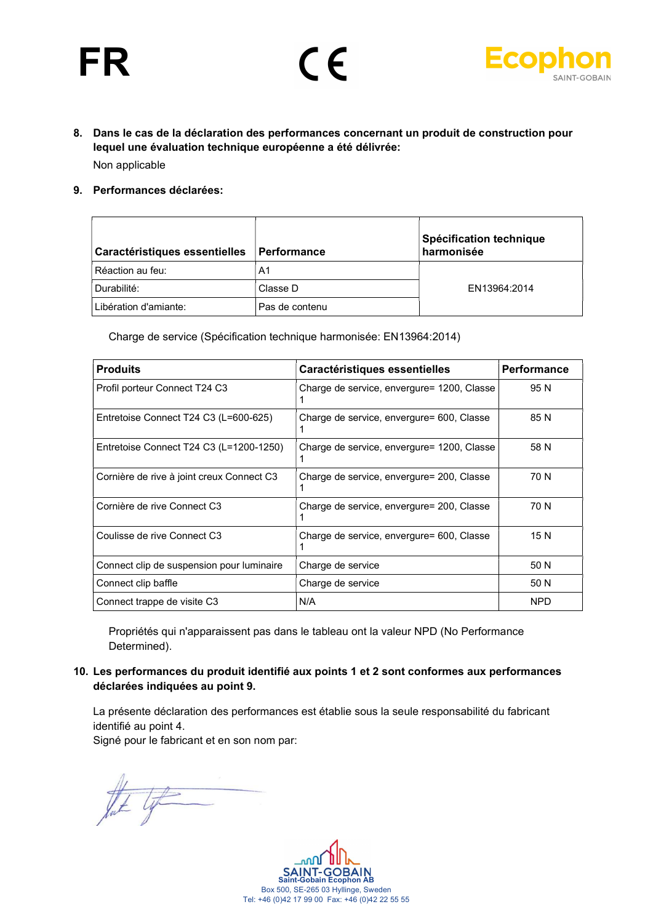# FR





- 8. Dans le cas de la déclaration des performances concernant un produit de construction pour lequel une évaluation technique européenne a été délivrée: Non applicable
- 9. Performances déclarées:

| Caractéristiques essentielles | ∣ Performance  | Spécification technique<br>harmonisée |
|-------------------------------|----------------|---------------------------------------|
| Réaction au feu:              | A1             |                                       |
| Durabilité:                   | Classe D       | EN13964:2014                          |
| Libération d'amiante:         | Pas de contenu |                                       |

Charge de service (Spécification technique harmonisée: EN13964:2014)

| <b>Produits</b>                           | Caractéristiques essentielles              | <b>Performance</b> |
|-------------------------------------------|--------------------------------------------|--------------------|
| Profil porteur Connect T24 C3             | Charge de service, envergure= 1200, Classe | 95 N               |
| Entretoise Connect T24 C3 (L=600-625)     | Charge de service, envergure= 600, Classe  | 85 N               |
| Entretoise Connect T24 C3 (L=1200-1250)   | Charge de service, envergure= 1200, Classe | 58 N               |
| Cornière de rive à joint creux Connect C3 | Charge de service, envergure= 200, Classe  | 70 N               |
| Cornière de rive Connect C3               | Charge de service, envergure= 200, Classe  | 70 N               |
| Coulisse de rive Connect C3               | Charge de service, envergure= 600, Classe  | 15 N               |
| Connect clip de suspension pour luminaire | Charge de service                          | 50 N               |
| Connect clip baffle                       | Charge de service                          | 50 N               |
| Connect trappe de visite C3               | N/A                                        | <b>NPD</b>         |

Propriétés qui n'apparaissent pas dans le tableau ont la valeur NPD (No Performance Determined).

10. Les performances du produit identifié aux points 1 et 2 sont conformes aux performances déclarées indiquées au point 9.

La présente déclaration des performances est établie sous la seule responsabilité du fabricant identifié au point 4.

Signé pour le fabricant et en son nom par:

that life

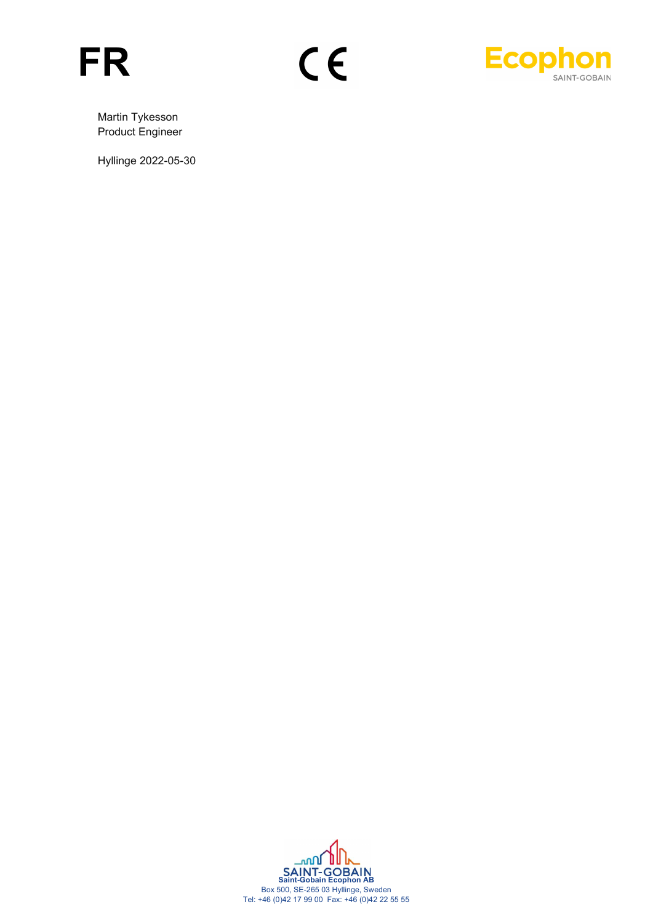



Martin Tykesson Product Engineer

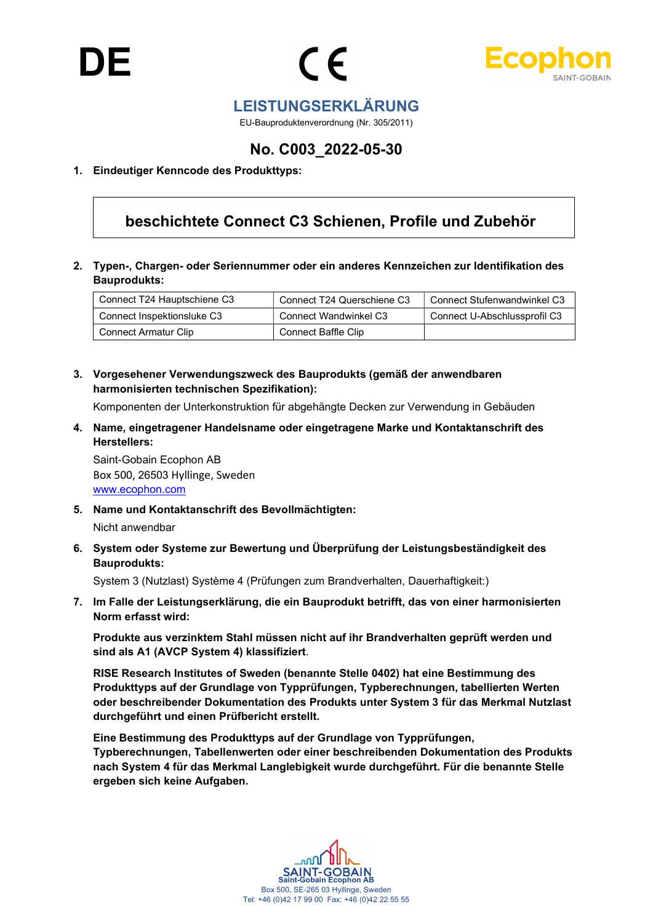



## LEISTUNGSERKLÄRUNG

EU-Bauproduktenverordnung (Nr. 305/2011)

## No. C003\_2022-05-30

#### 1. Eindeutiger Kenncode des Produkttyps:

## beschichtete Connect C3 Schienen, Profile und Zubehör

2. Typen-, Chargen- oder Seriennummer oder ein anderes Kennzeichen zur Identifikation des Bauprodukts:

| Connect T24 Hauptschiene C3 | Connect T24 Querschiene C3 | Connect Stufenwandwinkel C3  |
|-----------------------------|----------------------------|------------------------------|
| Connect Inspektionsluke C3  | Connect Wandwinkel C3      | Connect U-Abschlussprofil C3 |
| <b>Connect Armatur Clip</b> | <b>Connect Baffle Clip</b> |                              |

3. Vorgesehener Verwendungszweck des Bauprodukts (gemäß der anwendbaren harmonisierten technischen Spezifikation):

Komponenten der Unterkonstruktion für abgehängte Decken zur Verwendung in Gebäuden

4. Name, eingetragener Handelsname oder eingetragene Marke und Kontaktanschrift des Herstellers:

Saint-Gobain Ecophon AB Box 500, 26503 Hyllinge, Sweden www.ecophon.com

5. Name und Kontaktanschrift des Bevollmächtigten:

Nicht anwendbar

6. System oder Systeme zur Bewertung und Überprüfung der Leistungsbeständigkeit des Bauprodukts:

System 3 (Nutzlast) Système 4 (Prüfungen zum Brandverhalten, Dauerhaftigkeit:)

7. Im Falle der Leistungserklärung, die ein Bauprodukt betrifft, das von einer harmonisierten Norm erfasst wird:

Produkte aus verzinktem Stahl müssen nicht auf ihr Brandverhalten geprüft werden und sind als A1 (AVCP System 4) klassifiziert.

RISE Research Institutes of Sweden (benannte Stelle 0402) hat eine Bestimmung des Produkttyps auf der Grundlage von Typprüfungen, Typberechnungen, tabellierten Werten oder beschreibender Dokumentation des Produkts unter System 3 für das Merkmal Nutzlast durchgeführt und einen Prüfbericht erstellt.

Eine Bestimmung des Produkttyps auf der Grundlage von Typprüfungen, Typberechnungen, Tabellenwerten oder einer beschreibenden Dokumentation des Produkts nach System 4 für das Merkmal Langlebigkeit wurde durchgeführt. Für die benannte Stelle ergeben sich keine Aufgaben.

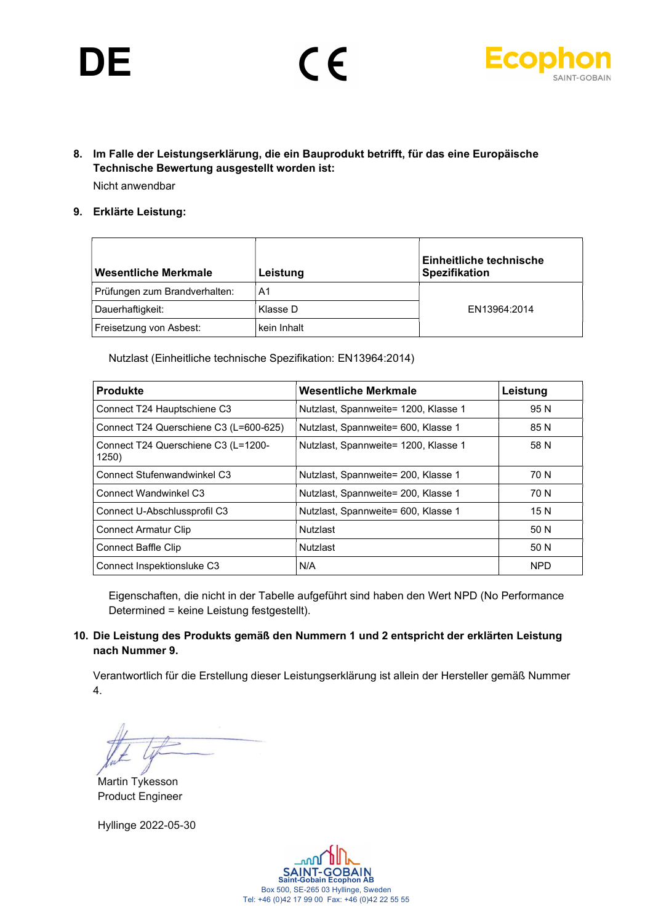# DE





8. Im Falle der Leistungserklärung, die ein Bauprodukt betrifft, für das eine Europäische Technische Bewertung ausgestellt worden ist: Nicht anwendbar

#### 9. Erklärte Leistung:

| Wesentliche Merkmale          | Leistung       | Einheitliche technische<br><b>Spezifikation</b> |
|-------------------------------|----------------|-------------------------------------------------|
| Prüfungen zum Brandverhalten: | A <sub>1</sub> |                                                 |
| Dauerhaftigkeit:              | Klasse D       | EN13964:2014                                    |
| Freisetzung von Asbest:       | kein Inhalt    |                                                 |

Nutzlast (Einheitliche technische Spezifikation: EN13964:2014)

| <b>Produkte</b>                              | Wesentliche Merkmale                 | Leistung   |
|----------------------------------------------|--------------------------------------|------------|
| Connect T24 Hauptschiene C3                  | Nutzlast, Spannweite= 1200, Klasse 1 | 95 N       |
| Connect T24 Querschiene C3 (L=600-625)       | Nutzlast, Spannweite= 600, Klasse 1  | 85 N       |
| Connect T24 Querschiene C3 (L=1200-<br>1250) | Nutzlast, Spannweite= 1200, Klasse 1 | 58 N       |
| <b>Connect Stufenwandwinkel C3</b>           | Nutzlast, Spannweite= 200, Klasse 1  | 70 N       |
| Connect Wandwinkel C3                        | Nutzlast, Spannweite= 200, Klasse 1  | 70 N       |
| Connect U-Abschlussprofil C3                 | Nutzlast, Spannweite= 600, Klasse 1  | 15 N       |
| <b>Connect Armatur Clip</b>                  | Nutzlast                             | 50 N       |
| <b>Connect Baffle Clip</b>                   | Nutzlast                             | 50 N       |
| Connect Inspektionsluke C3                   | N/A                                  | <b>NPD</b> |

Eigenschaften, die nicht in der Tabelle aufgeführt sind haben den Wert NPD (No Performance Determined = keine Leistung festgestellt).

#### 10. Die Leistung des Produkts gemäß den Nummern 1 und 2 entspricht der erklärten Leistung nach Nummer 9.

Verantwortlich für die Erstellung dieser Leistungserklärung ist allein der Hersteller gemäß Nummer 4.

Martin Tykesson Product Engineer

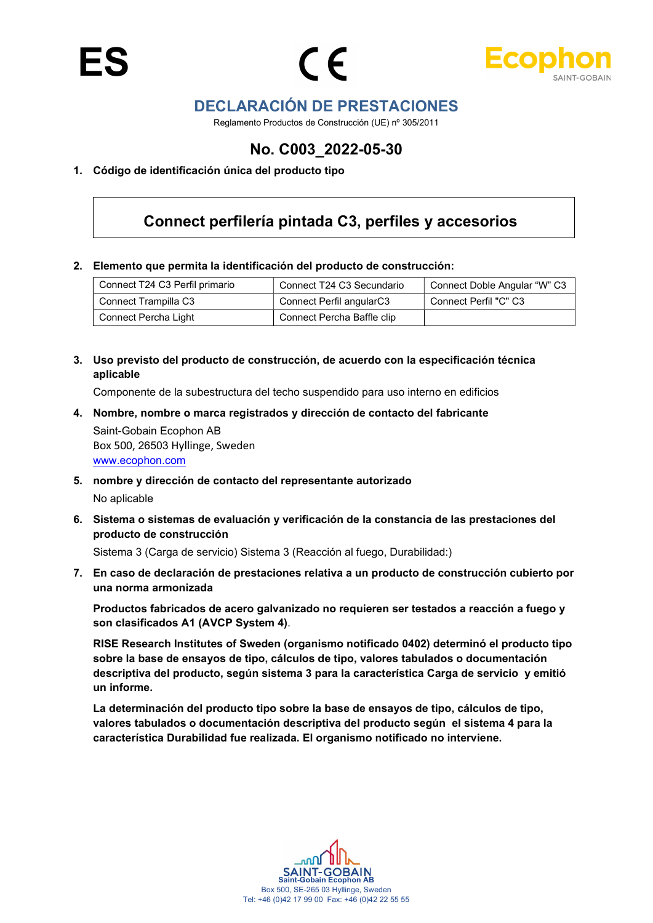



## DECLARACIÓN DE PRESTACIONES

Reglamento Productos de Construcción (UE) nº 305/2011

## No. C003\_2022-05-30

#### 1. Código de identificación única del producto tipo

## Connect perfilería pintada C3, perfiles y accesorios

2. Elemento que permita la identificación del producto de construcción:

| Connect T24 C3 Perfil primario | Connect T24 C3 Secundario  | Connect Doble Angular "W" C3 |
|--------------------------------|----------------------------|------------------------------|
| Connect Trampilla C3           | Connect Perfil angularC3   | Connect Perfil "C" C3        |
| Connect Percha Light           | Connect Percha Baffle clip |                              |

3. Uso previsto del producto de construcción, de acuerdo con la especificación técnica aplicable

Componente de la subestructura del techo suspendido para uso interno en edificios

4. Nombre, nombre o marca registrados y dirección de contacto del fabricante

Saint-Gobain Ecophon AB Box 500, 26503 Hyllinge, Sweden www.ecophon.com

- 5. nombre y dirección de contacto del representante autorizado No aplicable
- 6. Sistema o sistemas de evaluación y verificación de la constancia de las prestaciones del producto de construcción

Sistema 3 (Carga de servicio) Sistema 3 (Reacción al fuego, Durabilidad:)

7. En caso de declaración de prestaciones relativa a un producto de construcción cubierto por una norma armonizada

Productos fabricados de acero galvanizado no requieren ser testados a reacción a fuego y son clasificados A1 (AVCP System 4).

RISE Research Institutes of Sweden (organismo notificado 0402) determinó el producto tipo sobre la base de ensayos de tipo, cálculos de tipo, valores tabulados o documentación descriptiva del producto, según sistema 3 para la característica Carga de servicio y emitió un informe.

La determinación del producto tipo sobre la base de ensayos de tipo, cálculos de tipo, valores tabulados o documentación descriptiva del producto según el sistema 4 para la característica Durabilidad fue realizada. El organismo notificado no interviene.

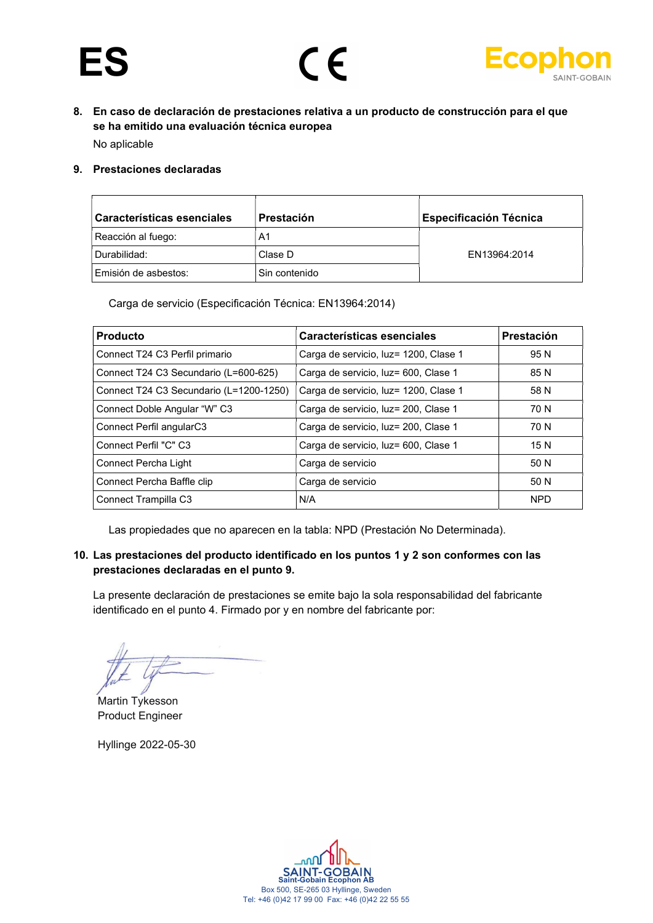



8. En caso de declaración de prestaciones relativa a un producto de construcción para el que se ha emitido una evaluación técnica europea

No aplicable

#### 9. Prestaciones declaradas

| Características esenciales | <b>Prestación</b> | <b>Especificación Técnica</b> |
|----------------------------|-------------------|-------------------------------|
| Reacción al fuego:         | A1                |                               |
| Durabilidad:               | Clase D           | EN13964:2014                  |
| Emisión de asbestos:       | Sin contenido     |                               |

Carga de servicio (Especificación Técnica: EN13964:2014)

| <b>Producto</b>                         | Características esenciales            | Prestación |
|-----------------------------------------|---------------------------------------|------------|
| Connect T24 C3 Perfil primario          | Carga de servicio, luz= 1200, Clase 1 | 95 N       |
| Connect T24 C3 Secundario (L=600-625)   | Carga de servicio, luz= 600, Clase 1  | 85 N       |
| Connect T24 C3 Secundario (L=1200-1250) | Carga de servicio, luz= 1200, Clase 1 | 58 N       |
| Connect Doble Angular "W" C3            | Carga de servicio, luz= 200, Clase 1  | 70 N       |
| Connect Perfil angularC3                | Carga de servicio, luz= 200, Clase 1  | 70 N       |
| Connect Perfil "C" C3                   | Carga de servicio, luz= 600, Clase 1  | 15 N       |
| Connect Percha Light                    | Carga de servicio                     | 50 N       |
| Connect Percha Baffle clip              | Carga de servicio                     | 50 N       |
| Connect Trampilla C3                    | N/A                                   | <b>NPD</b> |

Las propiedades que no aparecen en la tabla: NPD (Prestación No Determinada).

#### 10. Las prestaciones del producto identificado en los puntos 1 y 2 son conformes con las prestaciones declaradas en el punto 9.

La presente declaración de prestaciones se emite bajo la sola responsabilidad del fabricante identificado en el punto 4. Firmado por y en nombre del fabricante por:

Martin Tykesson Product Engineer

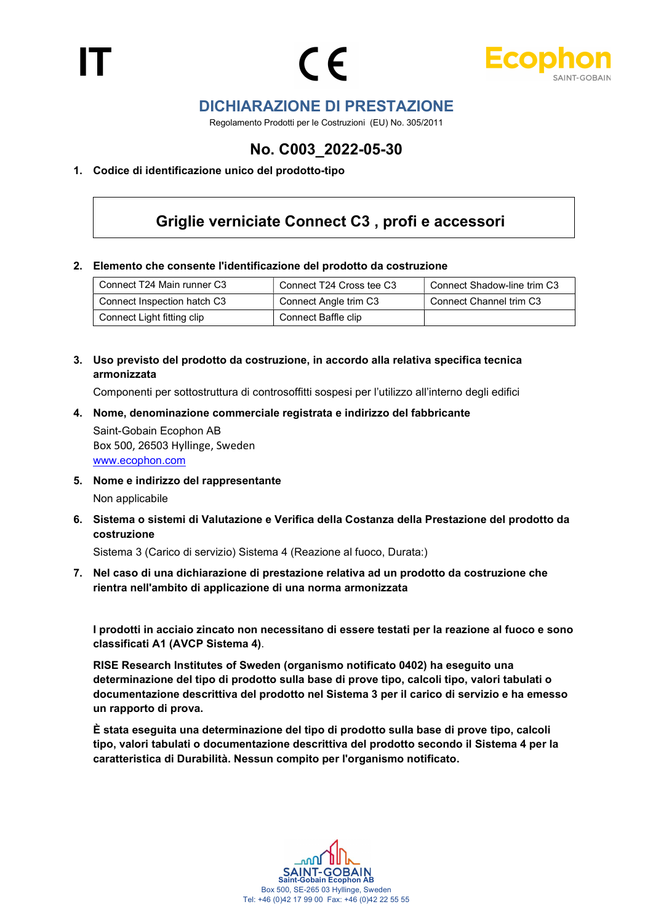



## DICHIARAZIONE DI PRESTAZIONE

Regolamento Prodotti per le Costruzioni (EU) No. 305/2011

## No. C003\_2022-05-30

#### 1. Codice di identificazione unico del prodotto-tipo

## Griglie verniciate Connect C3 , profi e accessori

#### 2. Elemento che consente l'identificazione del prodotto da costruzione

| Connect T24 Main runner C3  | Connect T24 Cross tee C3 | Connect Shadow-line trim C3 |
|-----------------------------|--------------------------|-----------------------------|
| Connect Inspection hatch C3 | Connect Angle trim C3    | Connect Channel trim C3     |
| Connect Light fitting clip  | Connect Baffle clip      |                             |

3. Uso previsto del prodotto da costruzione, in accordo alla relativa specifica tecnica armonizzata

Componenti per sottostruttura di controsoffitti sospesi per l'utilizzo all'interno degli edifici

4. Nome, denominazione commerciale registrata e indirizzo del fabbricante

Saint-Gobain Ecophon AB Box 500, 26503 Hyllinge, Sweden www.ecophon.com

- 5. Nome e indirizzo del rappresentante Non applicabile
- 6. Sistema o sistemi di Valutazione e Verifica della Costanza della Prestazione del prodotto da costruzione

Sistema 3 (Carico di servizio) Sistema 4 (Reazione al fuoco, Durata:)

7. Nel caso di una dichiarazione di prestazione relativa ad un prodotto da costruzione che rientra nell'ambito di applicazione di una norma armonizzata

I prodotti in acciaio zincato non necessitano di essere testati per la reazione al fuoco e sono classificati A1 (AVCP Sistema 4).

RISE Research Institutes of Sweden (organismo notificato 0402) ha eseguito una determinazione del tipo di prodotto sulla base di prove tipo, calcoli tipo, valori tabulati o documentazione descrittiva del prodotto nel Sistema 3 per il carico di servizio e ha emesso un rapporto di prova.

È stata eseguita una determinazione del tipo di prodotto sulla base di prove tipo, calcoli tipo, valori tabulati o documentazione descrittiva del prodotto secondo il Sistema 4 per la caratteristica di Durabilità. Nessun compito per l'organismo notificato.

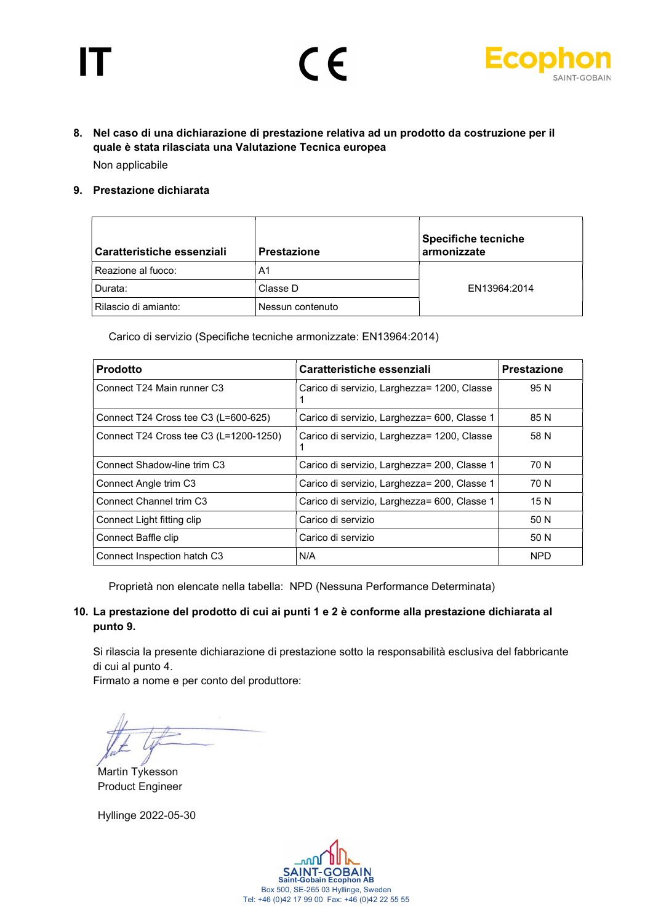



### 8. Nel caso di una dichiarazione di prestazione relativa ad un prodotto da costruzione per il quale è stata rilasciata una Valutazione Tecnica europea Non applicabile

#### 9. Prestazione dichiarata

| Caratteristiche essenziali | <b>Prestazione</b> | <b>Specifiche tecniche</b><br>armonizzate |
|----------------------------|--------------------|-------------------------------------------|
| Reazione al fuoco:         | A1                 |                                           |
| Durata:                    | Classe D           | EN13964:2014                              |
| Rilascio di amianto:       | Nessun contenuto   |                                           |

Carico di servizio (Specifiche tecniche armonizzate: EN13964:2014)

| <b>Prodotto</b>                        | Caratteristiche essenziali                   | <b>Prestazione</b> |
|----------------------------------------|----------------------------------------------|--------------------|
| Connect T24 Main runner C3             | Carico di servizio, Larghezza= 1200, Classe  | 95 N               |
| Connect T24 Cross tee C3 (L=600-625)   | Carico di servizio, Larghezza= 600, Classe 1 | 85 N               |
| Connect T24 Cross tee C3 (L=1200-1250) | Carico di servizio, Larghezza= 1200, Classe  | 58 N               |
| Connect Shadow-line trim C3            | Carico di servizio, Larghezza= 200, Classe 1 | 70 N               |
| Connect Angle trim C3                  | Carico di servizio, Larghezza= 200, Classe 1 | 70 N               |
| Connect Channel trim C3                | Carico di servizio, Larghezza= 600, Classe 1 | 15 N               |
| Connect Light fitting clip             | Carico di servizio                           | 50 N               |
| Connect Baffle clip                    | Carico di servizio                           | 50 N               |
| Connect Inspection hatch C3            | N/A                                          | <b>NPD</b>         |

Proprietà non elencate nella tabella: NPD (Nessuna Performance Determinata)

#### 10. La prestazione del prodotto di cui ai punti 1 e 2 è conforme alla prestazione dichiarata al punto 9.

Si rilascia la presente dichiarazione di prestazione sotto la responsabilità esclusiva del fabbricante di cui al punto 4.

Firmato a nome e per conto del produttore:

Martin Tykesson Product Engineer

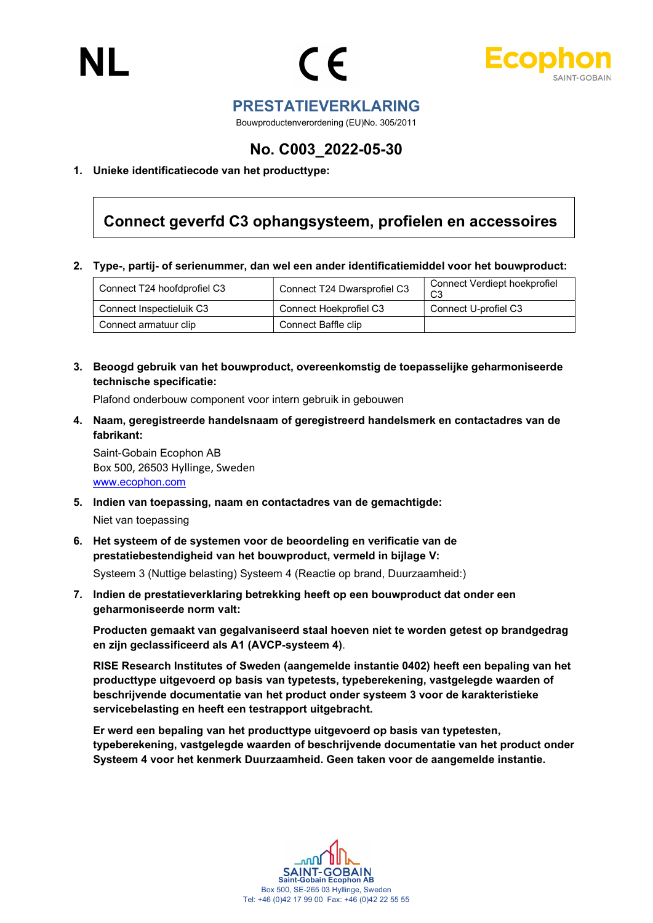



### PRESTATIEVERKLARING

Bouwproductenverordening (EU)No. 305/2011

## No. C003\_2022-05-30

#### 1. Unieke identificatiecode van het producttype:

## Connect geverfd C3 ophangsysteem, profielen en accessoires

2. Type-, partij- of serienummer, dan wel een ander identificatiemiddel voor het bouwproduct:

| Connect T24 hoofdprofiel C3 | Connect T24 Dwarsprofiel C3 | Connect Verdiept hoekprofiel<br>C3 |
|-----------------------------|-----------------------------|------------------------------------|
| Connect Inspectieluik C3    | Connect Hoekprofiel C3      | Connect U-profiel C3               |
| Connect armatuur clip       | Connect Baffle clip         |                                    |

3. Beoogd gebruik van het bouwproduct, overeenkomstig de toepasselijke geharmoniseerde technische specificatie:

Plafond onderbouw component voor intern gebruik in gebouwen

4. Naam, geregistreerde handelsnaam of geregistreerd handelsmerk en contactadres van de fabrikant:

Saint-Gobain Ecophon AB Box 500, 26503 Hyllinge, Sweden www.ecophon.com

- 5. Indien van toepassing, naam en contactadres van de gemachtigde: Niet van toepassing
- 6. Het systeem of de systemen voor de beoordeling en verificatie van de prestatiebestendigheid van het bouwproduct, vermeld in bijlage V:

Systeem 3 (Nuttige belasting) Systeem 4 (Reactie op brand, Duurzaamheid:)

7. Indien de prestatieverklaring betrekking heeft op een bouwproduct dat onder een geharmoniseerde norm valt:

Producten gemaakt van gegalvaniseerd staal hoeven niet te worden getest op brandgedrag en zijn geclassificeerd als A1 (AVCP-systeem 4).

RISE Research Institutes of Sweden (aangemelde instantie 0402) heeft een bepaling van het producttype uitgevoerd op basis van typetests, typeberekening, vastgelegde waarden of beschrijvende documentatie van het product onder systeem 3 voor de karakteristieke servicebelasting en heeft een testrapport uitgebracht.

Er werd een bepaling van het producttype uitgevoerd op basis van typetesten, typeberekening, vastgelegde waarden of beschrijvende documentatie van het product onder Systeem 4 voor het kenmerk Duurzaamheid. Geen taken voor de aangemelde instantie.

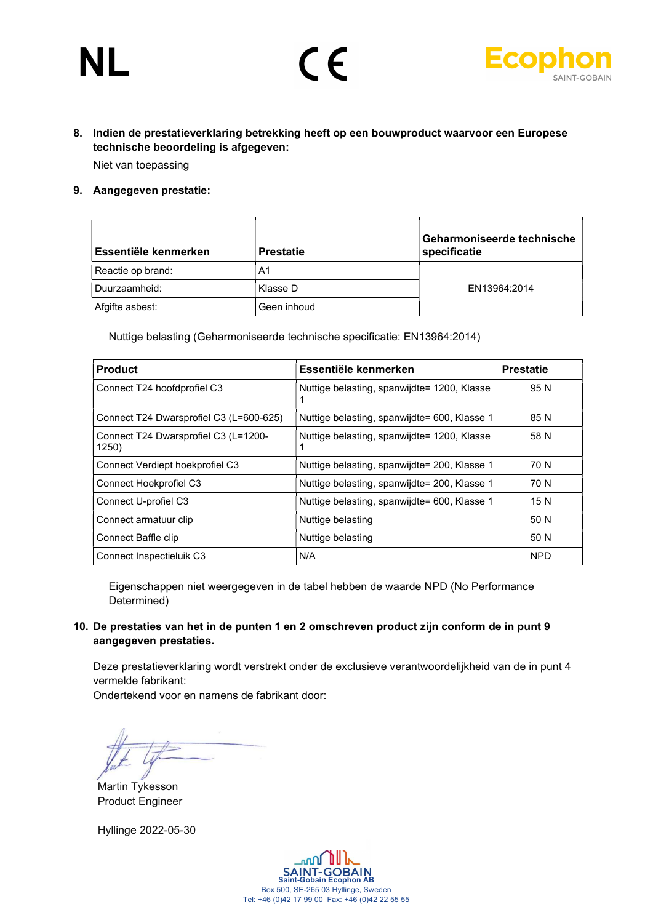# NL



## 8. Indien de prestatieverklaring betrekking heeft op een bouwproduct waarvoor een Europese technische beoordeling is afgegeven:

 $\epsilon$ 

Niet van toepassing

#### 9. Aangegeven prestatie:

| Essentiële kenmerken | <b>Prestatie</b> | Geharmoniseerde technische<br>specificatie |
|----------------------|------------------|--------------------------------------------|
| Reactie op brand:    | A1               |                                            |
| Duurzaamheid:        | Klasse D         | EN13964:2014                               |
| Afgifte asbest:      | Geen inhoud      |                                            |

Nuttige belasting (Geharmoniseerde technische specificatie: EN13964:2014)

| <b>Product</b>                                | Essentiële kenmerken                         | <b>Prestatie</b> |
|-----------------------------------------------|----------------------------------------------|------------------|
| Connect T24 hoofdprofiel C3                   | Nuttige belasting, spanwijdte= 1200, Klasse  | 95 N             |
| Connect T24 Dwarsprofiel C3 (L=600-625)       | Nuttige belasting, spanwijdte= 600, Klasse 1 | 85 N             |
| Connect T24 Dwarsprofiel C3 (L=1200-<br>1250) | Nuttige belasting, spanwijdte= 1200, Klasse  | 58 N             |
| Connect Verdiept hoekprofiel C3               | Nuttige belasting, spanwijdte= 200, Klasse 1 | 70 N             |
| Connect Hoekprofiel C3                        | Nuttige belasting, spanwijdte= 200, Klasse 1 | 70 N             |
| Connect U-profiel C3                          | Nuttige belasting, spanwijdte= 600, Klasse 1 | 15 N             |
| Connect armatuur clip                         | Nuttige belasting                            | 50 N             |
| Connect Baffle clip                           | Nuttige belasting                            | 50 N             |
| Connect Inspectieluik C3                      | N/A                                          | <b>NPD</b>       |

Eigenschappen niet weergegeven in de tabel hebben de waarde NPD (No Performance Determined)

#### 10. De prestaties van het in de punten 1 en 2 omschreven product zijn conform de in punt 9 aangegeven prestaties.

Deze prestatieverklaring wordt verstrekt onder de exclusieve verantwoordelijkheid van de in punt 4 vermelde fabrikant:

Ondertekend voor en namens de fabrikant door:

Martin Tykesson Product Engineer

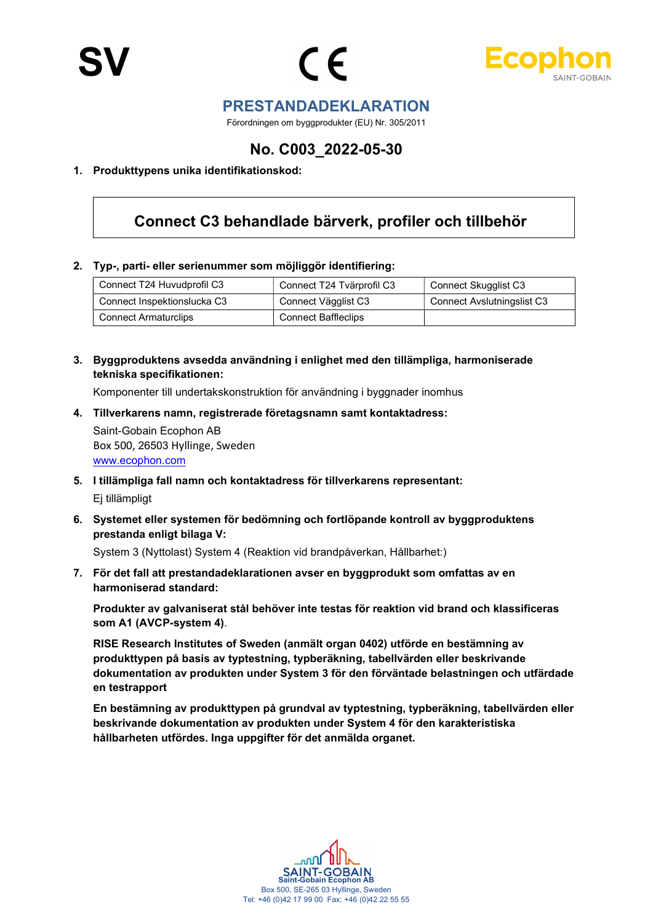



### PRESTANDADEKLARATION

Förordningen om byggprodukter (EU) Nr. 305/2011

## No. C003\_2022-05-30

#### 1. Produkttypens unika identifikationskod:

## Connect C3 behandlade bärverk, profiler och tillbehör

#### 2. Typ-, parti- eller serienummer som möjliggör identifiering:

| Connect T24 Huvudprofil C3  | Connect T24 Tvärprofil C3  | Connect Skugglist C3              |
|-----------------------------|----------------------------|-----------------------------------|
| Connect Inspektionslucka C3 | Connect Vägglist C3        | <b>Connect Avslutningslist C3</b> |
| <b>Connect Armaturclips</b> | <b>Connect Baffleclips</b> |                                   |

3. Byggproduktens avsedda användning i enlighet med den tillämpliga, harmoniserade tekniska specifikationen:

Komponenter till undertakskonstruktion för användning i byggnader inomhus

4. Tillverkarens namn, registrerade företagsnamn samt kontaktadress:

Saint-Gobain Ecophon AB Box 500, 26503 Hyllinge, Sweden www.ecophon.com

- 5. I tillämpliga fall namn och kontaktadress för tillverkarens representant: Ej tillämpligt
- 6. Systemet eller systemen för bedömning och fortlöpande kontroll av byggproduktens prestanda enligt bilaga V:

System 3 (Nyttolast) System 4 (Reaktion vid brandpåverkan, Hållbarhet:)

7. För det fall att prestandadeklarationen avser en byggprodukt som omfattas av en harmoniserad standard:

Produkter av galvaniserat stål behöver inte testas för reaktion vid brand och klassificeras som A1 (AVCP-system 4).

RISE Research Institutes of Sweden (anmält organ 0402) utförde en bestämning av produkttypen på basis av typtestning, typberäkning, tabellvärden eller beskrivande dokumentation av produkten under System 3 för den förväntade belastningen och utfärdade en testrapport

En bestämning av produkttypen på grundval av typtestning, typberäkning, tabellvärden eller beskrivande dokumentation av produkten under System 4 för den karakteristiska hållbarheten utfördes. Inga uppgifter för det anmälda organet.

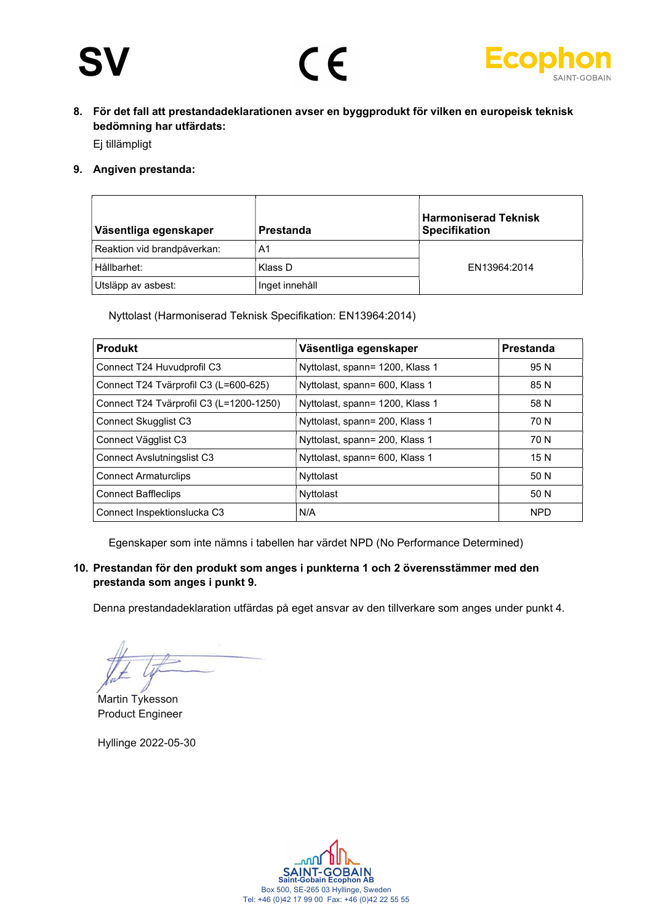# SV





8. För det fall att prestandadeklarationen avser en byggprodukt för vilken en europeisk teknisk bedömning har utfärdats:

Ej tillämpligt

9. Angiven prestanda:

| Väsentliga egenskaper       | Prestanda      | <b>Harmoniserad Teknisk</b><br><b>Specifikation</b> |
|-----------------------------|----------------|-----------------------------------------------------|
| Reaktion vid brandpåverkan: | A1             |                                                     |
| Hållbarhet:                 | Klass D        | EN13964:2014                                        |
| Utsläpp av asbest:          | Inget innehåll |                                                     |

Nyttolast (Harmoniserad Teknisk Specifikation: EN13964:2014)

| <b>Produkt</b>                          | Väsentliga egenskaper           | Prestanda  |
|-----------------------------------------|---------------------------------|------------|
| Connect T24 Huvudprofil C3              | Nyttolast, spann= 1200, Klass 1 | 95 N       |
| Connect T24 Tvärprofil C3 (L=600-625)   | Nyttolast, spann= 600, Klass 1  | 85 N       |
| Connect T24 Tvärprofil C3 (L=1200-1250) | Nyttolast, spann= 1200, Klass 1 | 58 N       |
| <b>Connect Skugglist C3</b>             | Nyttolast, spann= 200, Klass 1  | 70 N       |
| Connect Vägglist C3                     | Nyttolast, spann= 200, Klass 1  | 70 N       |
| <b>Connect Avslutningslist C3</b>       | Nyttolast, spann= 600, Klass 1  | 15 N       |
| <b>Connect Armaturclips</b>             | Nyttolast                       | 50 N       |
| <b>Connect Baffleclips</b>              | Nyttolast                       | 50 N       |
| Connect Inspektionslucka C3             | N/A                             | <b>NPD</b> |

Egenskaper som inte nämns i tabellen har värdet NPD (No Performance Determined)

10. Prestandan för den produkt som anges i punkterna 1 och 2 överensstämmer med den prestanda som anges i punkt 9.

Denna prestandadeklaration utfärdas på eget ansvar av den tillverkare som anges under punkt 4.

Martin Tykesson Product Engineer

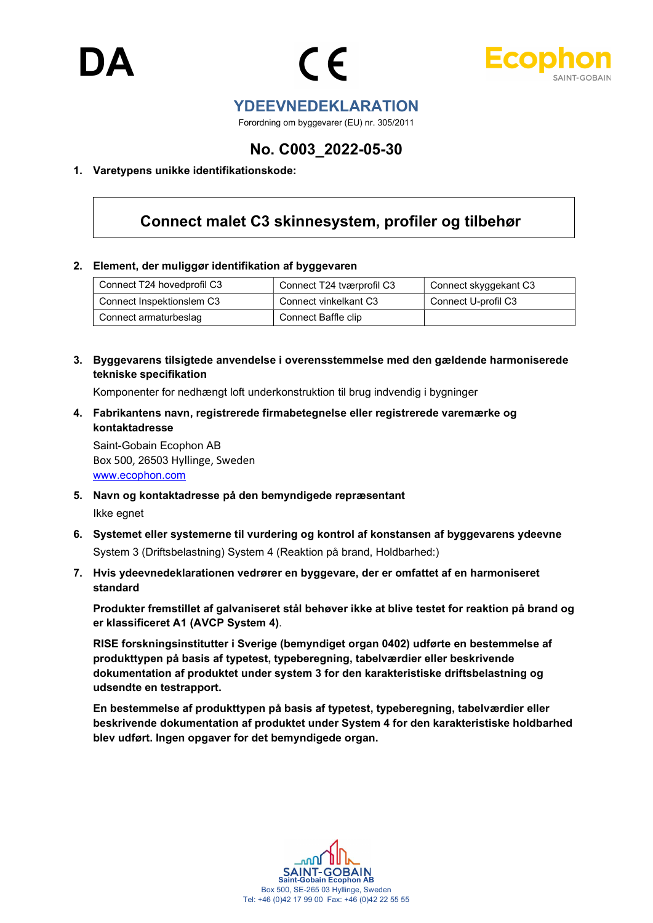



### YDEEVNEDEKLARATION

Forordning om byggevarer (EU) nr. 305/2011

## No. C003\_2022-05-30

#### 1. Varetypens unikke identifikationskode:

## Connect malet C3 skinnesystem, profiler og tilbehør

#### 2. Element, der muliggør identifikation af byggevaren

| Connect T24 hovedprofil C3 | Connect T24 tværprofil C3 | Connect skyggekant C3 |
|----------------------------|---------------------------|-----------------------|
| Connect Inspektionslem C3  | Connect vinkelkant C3     | Connect U-profil C3   |
| Connect armaturbeslag      | Connect Baffle clip       |                       |

3. Byggevarens tilsigtede anvendelse i overensstemmelse med den gældende harmoniserede tekniske specifikation

Komponenter for nedhængt loft underkonstruktion til brug indvendig i bygninger

4. Fabrikantens navn, registrerede firmabetegnelse eller registrerede varemærke og kontaktadresse

Saint-Gobain Ecophon AB Box 500, 26503 Hyllinge, Sweden www.ecophon.com

- 5. Navn og kontaktadresse på den bemyndigede repræsentant Ikke egnet
- 6. Systemet eller systemerne til vurdering og kontrol af konstansen af byggevarens ydeevne System 3 (Driftsbelastning) System 4 (Reaktion på brand, Holdbarhed:)
- 7. Hvis ydeevnedeklarationen vedrører en byggevare, der er omfattet af en harmoniseret standard

Produkter fremstillet af galvaniseret stål behøver ikke at blive testet for reaktion på brand og er klassificeret A1 (AVCP System 4).

RISE forskningsinstitutter i Sverige (bemyndiget organ 0402) udførte en bestemmelse af produkttypen på basis af typetest, typeberegning, tabelværdier eller beskrivende dokumentation af produktet under system 3 for den karakteristiske driftsbelastning og udsendte en testrapport.

En bestemmelse af produkttypen på basis af typetest, typeberegning, tabelværdier eller beskrivende dokumentation af produktet under System 4 for den karakteristiske holdbarhed blev udført. Ingen opgaver for det bemyndigede organ.

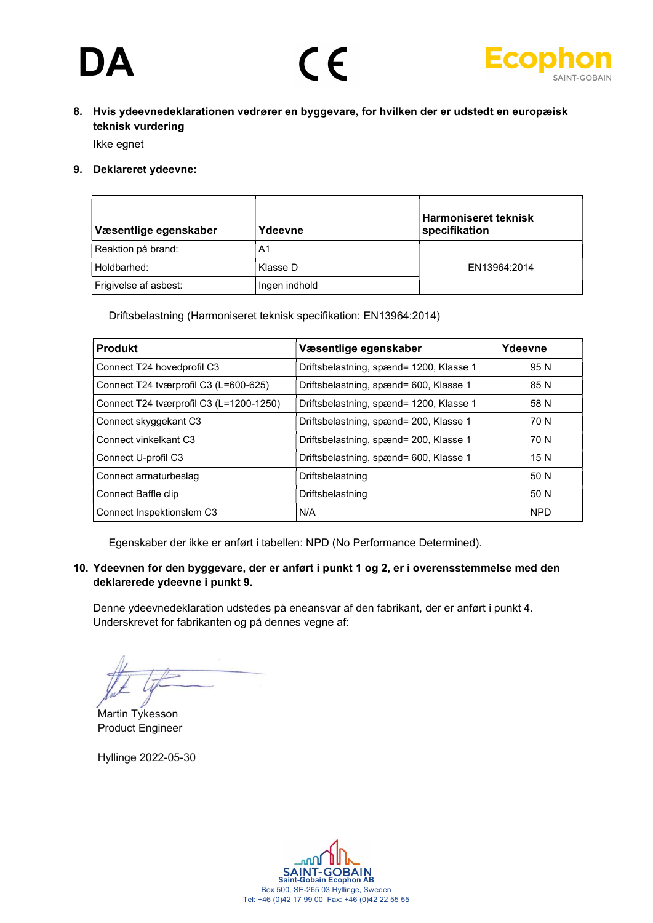# **DA**





8. Hvis ydeevnedeklarationen vedrører en byggevare, for hvilken der er udstedt en europæisk teknisk vurdering

Ikke egnet

9. Deklareret ydeevne:

| Væsentlige egenskaber | Ydeevne       | <b>Harmoniseret teknisk</b><br>specifikation |
|-----------------------|---------------|----------------------------------------------|
| Reaktion på brand:    | A1            |                                              |
| Holdbarhed:           | Klasse D      | EN13964:2014                                 |
| Frigivelse af asbest: | Ingen indhold |                                              |

Driftsbelastning (Harmoniseret teknisk specifikation: EN13964:2014)

| <b>Produkt</b>                          | Væsentlige egenskaber                   | Ydeevne    |
|-----------------------------------------|-----------------------------------------|------------|
| Connect T24 hovedprofil C3              | Driftsbelastning, spænd= 1200, Klasse 1 | 95 N       |
| Connect T24 tværprofil C3 (L=600-625)   | Driftsbelastning, spænd= 600, Klasse 1  | 85 N       |
| Connect T24 tværprofil C3 (L=1200-1250) | Driftsbelastning, spænd= 1200, Klasse 1 | 58 N       |
| Connect skyggekant C3                   | Driftsbelastning, spænd= 200, Klasse 1  | 70 N       |
| Connect vinkelkant C3                   | Driftsbelastning, spænd= 200, Klasse 1  | 70 N       |
| Connect U-profil C3                     | Driftsbelastning, spænd= 600, Klasse 1  | 15 N       |
| Connect armaturbeslag                   | Driftsbelastning                        | 50 N       |
| Connect Baffle clip                     | Driftsbelastning                        | 50 N       |
| Connect Inspektionslem C3               | N/A                                     | <b>NPD</b> |

Egenskaber der ikke er anført i tabellen: NPD (No Performance Determined).

#### 10. Ydeevnen for den byggevare, der er anført i punkt 1 og 2, er i overensstemmelse med den deklarerede ydeevne i punkt 9.

Denne ydeevnedeklaration udstedes på eneansvar af den fabrikant, der er anført i punkt 4. Underskrevet for fabrikanten og på dennes vegne af:

Martin Tykesson Product Engineer

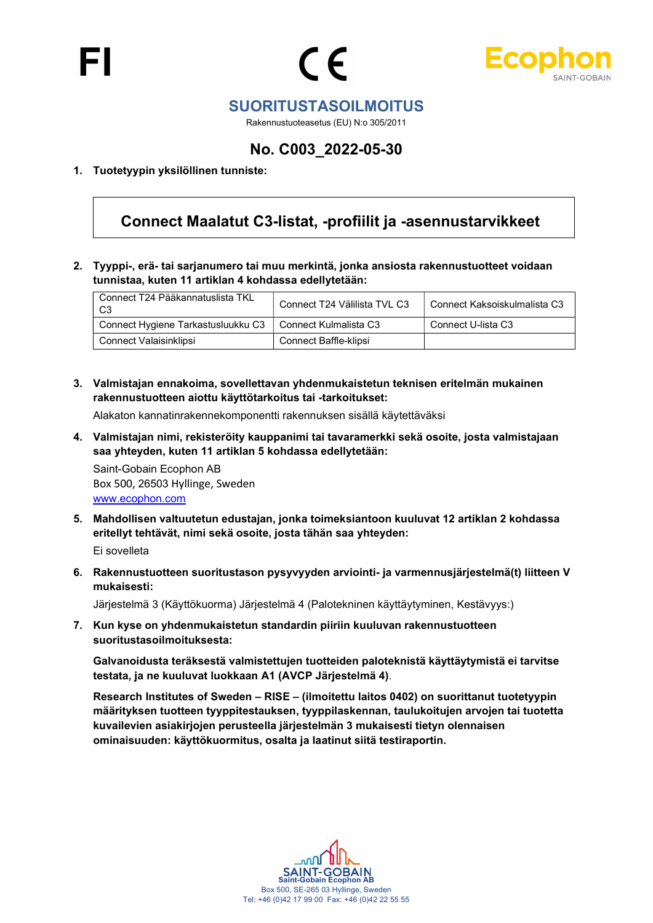



## SUORITUSTASOILMOITUS

Rakennustuoteasetus (EU) N:o 305/2011

## No. C003\_2022-05-30

#### 1. Tuotetyypin yksilöllinen tunniste:

## Connect Maalatut C3-listat, -profiilit ja -asennustarvikkeet

2. Tyyppi-, erä- tai sarjanumero tai muu merkintä, jonka ansiosta rakennustuotteet voidaan tunnistaa, kuten 11 artiklan 4 kohdassa edellytetään:

| Connect T24 Pääkannatuslista TKL<br>C3 | Connect T24 Välilista TVL C3 | Connect Kaksoiskulmalista C3 |
|----------------------------------------|------------------------------|------------------------------|
| Connect Hygiene Tarkastusluukku C3     | Connect Kulmalista C3        | Connect U-lista C3           |
| Connect Valaisinklipsi                 | Connect Baffle-klipsi        |                              |

3. Valmistajan ennakoima, sovellettavan yhdenmukaistetun teknisen eritelmän mukainen rakennustuotteen aiottu käyttötarkoitus tai -tarkoitukset:

Alakaton kannatinrakennekomponentti rakennuksen sisällä käytettäväksi

4. Valmistajan nimi, rekisteröity kauppanimi tai tavaramerkki sekä osoite, josta valmistajaan saa yhteyden, kuten 11 artiklan 5 kohdassa edellytetään:

Saint-Gobain Ecophon AB Box 500, 26503 Hyllinge, Sweden www.ecophon.com

5. Mahdollisen valtuutetun edustajan, jonka toimeksiantoon kuuluvat 12 artiklan 2 kohdassa eritellyt tehtävät, nimi sekä osoite, josta tähän saa yhteyden:

Ei sovelleta

6. Rakennustuotteen suoritustason pysyvyyden arviointi- ja varmennusjärjestelmä(t) liitteen V mukaisesti:

Järjestelmä 3 (Käyttökuorma) Järjestelmä 4 (Palotekninen käyttäytyminen, Kestävyys:)

7. Kun kyse on yhdenmukaistetun standardin piiriin kuuluvan rakennustuotteen suoritustasoilmoituksesta:

Galvanoidusta teräksestä valmistettujen tuotteiden paloteknistä käyttäytymistä ei tarvitse testata, ja ne kuuluvat luokkaan A1 (AVCP Järjestelmä 4).

Research Institutes of Sweden – RISE – (ilmoitettu laitos 0402) on suorittanut tuotetyypin määrityksen tuotteen tyyppitestauksen, tyyppilaskennan, taulukoitujen arvojen tai tuotetta kuvailevien asiakirjojen perusteella järjestelmän 3 mukaisesti tietyn olennaisen ominaisuuden: käyttökuormitus, osalta ja laatinut siitä testiraportin.

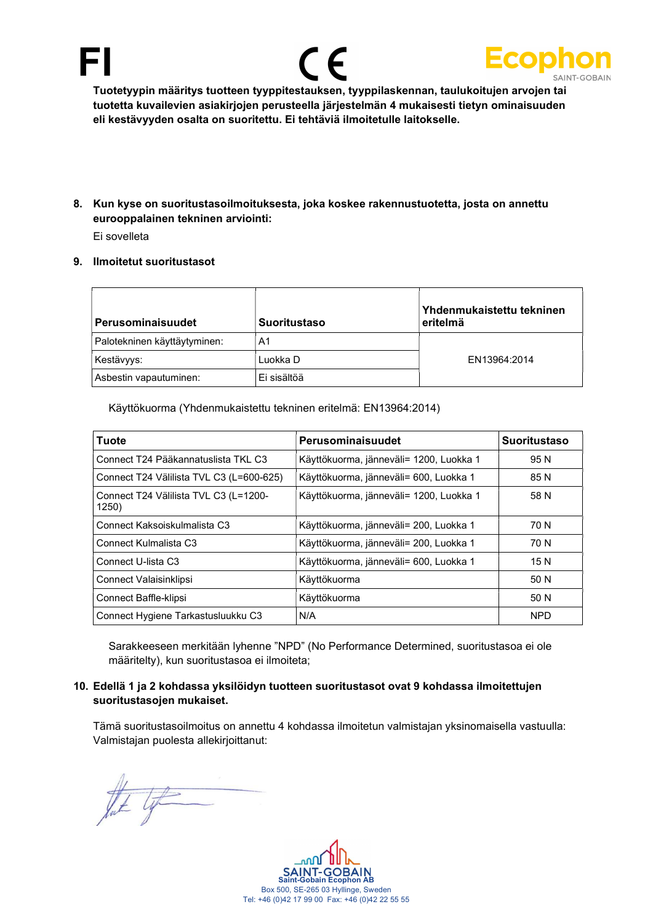





Tuotetyypin määritys tuotteen tyyppitestauksen, tyyppilaskennan, taulukoitujen arvojen tai tuotetta kuvailevien asiakirjojen perusteella järjestelmän 4 mukaisesti tietyn ominaisuuden eli kestävyyden osalta on suoritettu. Ei tehtäviä ilmoitetulle laitokselle.

8. Kun kyse on suoritustasoilmoituksesta, joka koskee rakennustuotetta, josta on annettu eurooppalainen tekninen arviointi: Ei sovelleta

9. Ilmoitetut suoritustasot

### Perusominaisuudet Suoritustaso Yhdenmukaistettu tekninen eritelmä Palotekninen käyttäytyminen: | A1 Kestävyys: Luokka D EN13964:2014 Asbestin vapautuminen: Ei sisältöä

Käyttökuorma (Yhdenmukaistettu tekninen eritelmä: EN13964:2014)

| Tuote                                          | Perusominaisuudet                       | <b>Suoritustaso</b> |
|------------------------------------------------|-----------------------------------------|---------------------|
| Connect T24 Pääkannatuslista TKL C3            | Käyttökuorma, jänneväli= 1200, Luokka 1 | 95 N                |
| Connect T24 Välilista TVL C3 (L=600-625)       | Käyttökuorma, jänneväli= 600, Luokka 1  | 85 N                |
| Connect T24 Välilista TVL C3 (L=1200-<br>1250) | Käyttökuorma, jänneväli= 1200, Luokka 1 | 58 N                |
| Connect Kaksoiskulmalista C3                   | Käyttökuorma, jänneväli= 200, Luokka 1  | 70 N                |
| Connect Kulmalista C3                          | Käyttökuorma, jänneväli= 200, Luokka 1  | 70 N                |
| Connect U-lista C3                             | Käyttökuorma, jänneväli= 600, Luokka 1  | 15 N                |
| Connect Valaisinklipsi                         | Käyttökuorma                            | 50 N                |
| Connect Baffle-klipsi                          | Käyttökuorma                            | 50 N                |
| Connect Hygiene Tarkastusluukku C3             | N/A                                     | <b>NPD</b>          |

Sarakkeeseen merkitään lyhenne "NPD" (No Performance Determined, suoritustasoa ei ole määritelty), kun suoritustasoa ei ilmoiteta;

#### 10. Edellä 1 ja 2 kohdassa yksilöidyn tuotteen suoritustasot ovat 9 kohdassa ilmoitettujen suoritustasojen mukaiset.

Tämä suoritustasoilmoitus on annettu 4 kohdassa ilmoitetun valmistajan yksinomaisella vastuulla: Valmistajan puolesta allekirjoittanut:

late ty

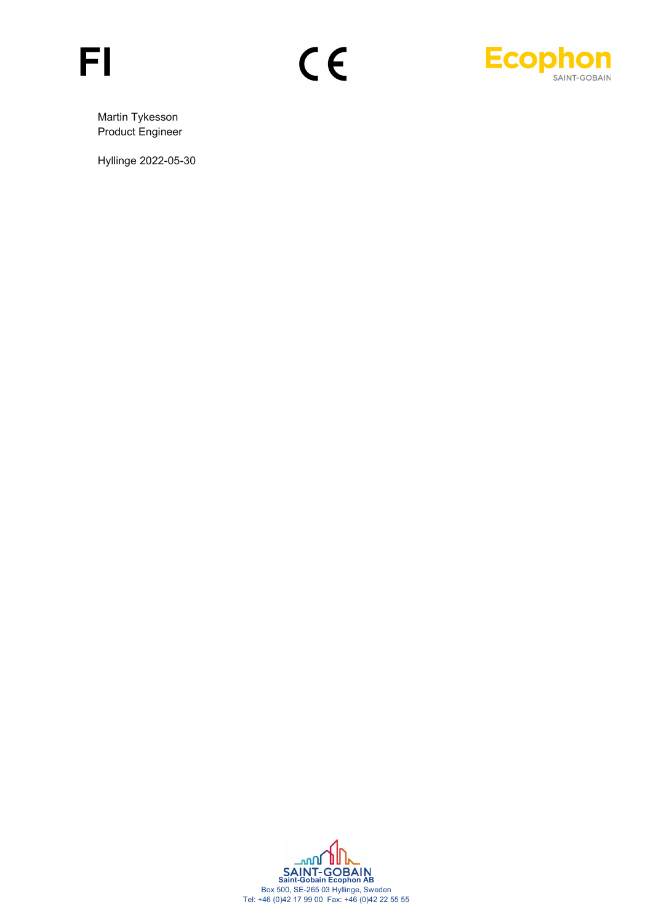



Martin Tykesson Product Engineer

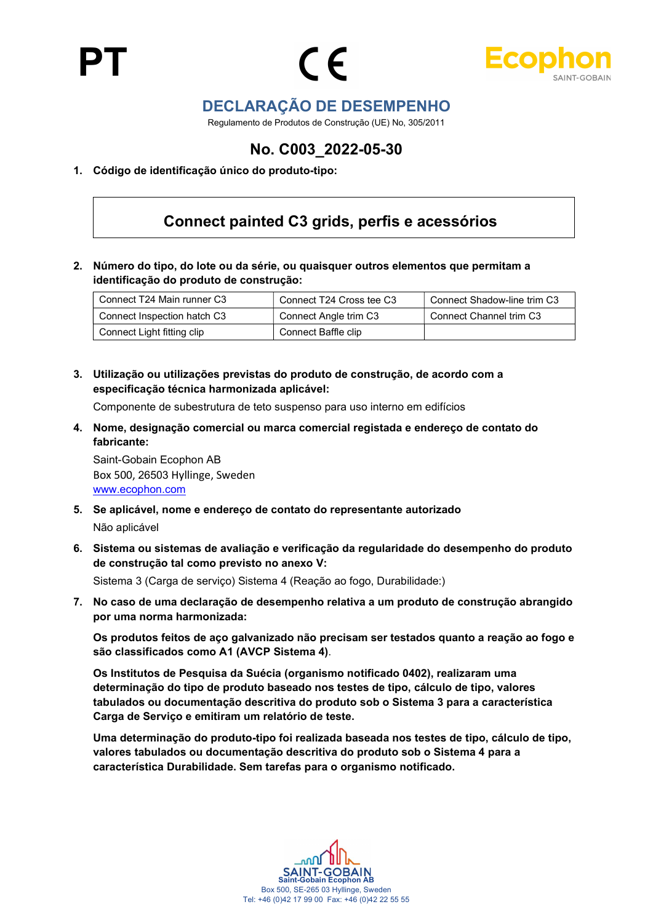



## DECLARAÇÃO DE DESEMPENHO

Regulamento de Produtos de Construção (UE) No, 305/2011

## No. C003\_2022-05-30

1. Código de identificação único do produto-tipo:

## Connect painted C3 grids, perfis e acessórios

2. Número do tipo, do lote ou da série, ou quaisquer outros elementos que permitam a identificação do produto de construção:

| Connect T24 Main runner C3  | Connect T24 Cross tee C3 | Connect Shadow-line trim C3 |
|-----------------------------|--------------------------|-----------------------------|
| Connect Inspection hatch C3 | Connect Angle trim C3    | Connect Channel trim C3     |
| Connect Light fitting clip  | Connect Baffle clip      |                             |

3. Utilização ou utilizações previstas do produto de construção, de acordo com a especificação técnica harmonizada aplicável:

Componente de subestrutura de teto suspenso para uso interno em edifícios

4. Nome, designação comercial ou marca comercial registada e endereço de contato do fabricante:

Saint-Gobain Ecophon AB Box 500, 26503 Hyllinge, Sweden www.ecophon.com

- 5. Se aplicável, nome e endereço de contato do representante autorizado Não aplicável
- 6. Sistema ou sistemas de avaliação e verificação da regularidade do desempenho do produto de construção tal como previsto no anexo V:

Sistema 3 (Carga de serviço) Sistema 4 (Reação ao fogo, Durabilidade:)

7. No caso de uma declaração de desempenho relativa a um produto de construção abrangido por uma norma harmonizada:

Os produtos feitos de aço galvanizado não precisam ser testados quanto a reação ao fogo e são classificados como A1 (AVCP Sistema 4).

Os Institutos de Pesquisa da Suécia (organismo notificado 0402), realizaram uma determinação do tipo de produto baseado nos testes de tipo, cálculo de tipo, valores tabulados ou documentação descritiva do produto sob o Sistema 3 para a característica Carga de Serviço e emitiram um relatório de teste.

Uma determinação do produto-tipo foi realizada baseada nos testes de tipo, cálculo de tipo, valores tabulados ou documentação descritiva do produto sob o Sistema 4 para a característica Durabilidade. Sem tarefas para o organismo notificado.

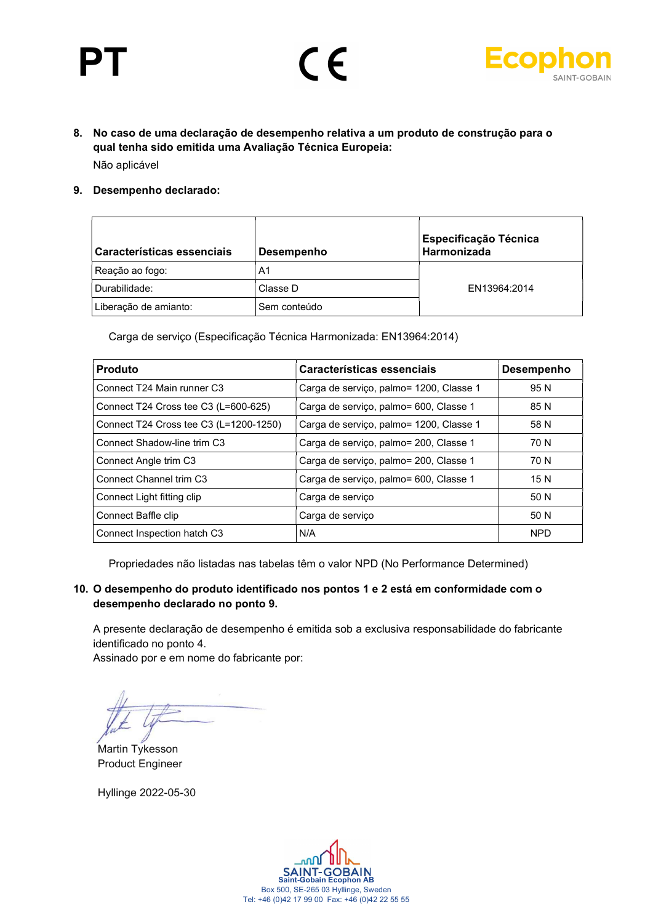# PT





8. No caso de uma declaração de desempenho relativa a um produto de construção para o qual tenha sido emitida uma Avaliação Técnica Europeia: Não aplicável

#### 9. Desempenho declarado:

| Características essenciais | <b>Desempenho</b> | <b>Especificação Técnica</b><br>Harmonizada |
|----------------------------|-------------------|---------------------------------------------|
| Reação ao fogo:            | A1                |                                             |
| Durabilidade:              | Classe D          | EN13964:2014                                |
| Liberação de amianto:      | Sem conteúdo      |                                             |

Carga de serviço (Especificação Técnica Harmonizada: EN13964:2014)

| <b>Produto</b>                         | Características essenciais              | <b>Desempenho</b> |
|----------------------------------------|-----------------------------------------|-------------------|
| Connect T24 Main runner C3             | Carga de serviço, palmo= 1200, Classe 1 | 95 N              |
| Connect T24 Cross tee C3 (L=600-625)   | Carga de serviço, palmo= 600, Classe 1  | 85 N              |
| Connect T24 Cross tee C3 (L=1200-1250) | Carga de serviço, palmo= 1200, Classe 1 | 58 N              |
| Connect Shadow-line trim C3            | Carga de serviço, palmo= 200, Classe 1  | 70 N              |
| Connect Angle trim C3                  | Carga de serviço, palmo= 200, Classe 1  | 70 N              |
| Connect Channel trim C <sub>3</sub>    | Carga de serviço, palmo= 600, Classe 1  | 15 N              |
| Connect Light fitting clip             | Carga de serviço                        | 50 N              |
| Connect Baffle clip                    | Carga de serviço                        | 50 N              |
| Connect Inspection hatch C3            | N/A                                     | <b>NPD</b>        |

Propriedades não listadas nas tabelas têm o valor NPD (No Performance Determined)

#### 10. O desempenho do produto identificado nos pontos 1 e 2 está em conformidade com o desempenho declarado no ponto 9.

A presente declaração de desempenho é emitida sob a exclusiva responsabilidade do fabricante identificado no ponto 4.

Assinado por e em nome do fabricante por:

Martin Tykesson Product Engineer

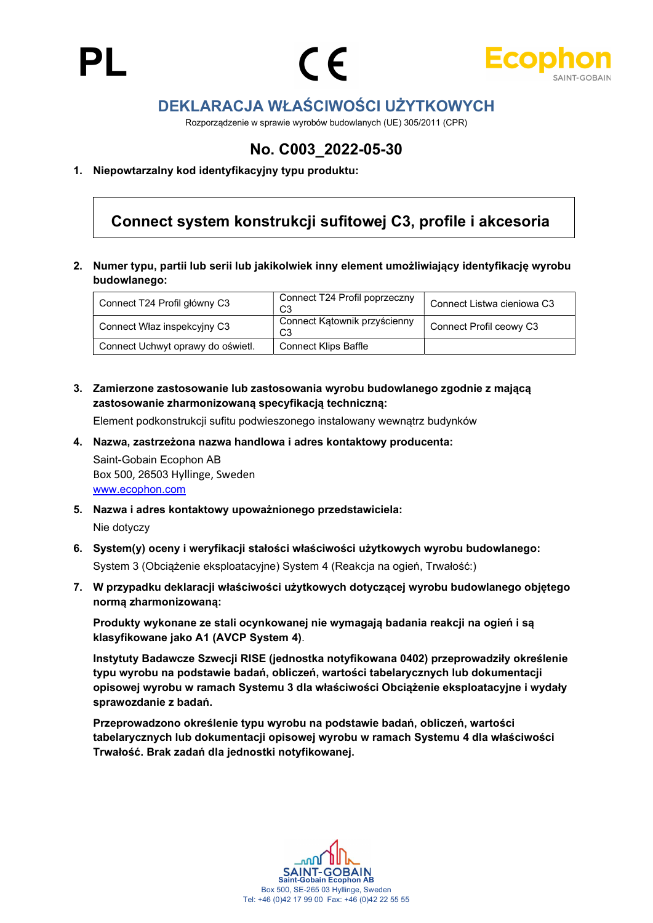





## DEKLARACJA WŁAŚCIWOŚCI UŻYTKOWYCH

Rozporządzenie w sprawie wyrobów budowlanych (UE) 305/2011 (CPR)

## No. C003\_2022-05-30

#### 1. Niepowtarzalny kod identyfikacyjny typu produktu:

## Connect system konstrukcji sufitowej C3, profile i akcesoria

2. Numer typu, partii lub serii lub jakikolwiek inny element umożliwiający identyfikację wyrobu budowlanego:

| Connect T24 Profil główny C3      | Connect T24 Profil poprzeczny<br>C <sub>3</sub> | Connect Listwa cieniowa C3 |
|-----------------------------------|-------------------------------------------------|----------------------------|
| Connect Właz inspekcyjny C3       | Connect Katownik przyścienny<br>C <sub>3</sub>  | Connect Profil ceowy C3    |
| Connect Uchwyt oprawy do oświetl. | <b>Connect Klips Baffle</b>                     |                            |

3. Zamierzone zastosowanie lub zastosowania wyrobu budowlanego zgodnie z mającą zastosowanie zharmonizowaną specyfikacją techniczną:

Element podkonstrukcji sufitu podwieszonego instalowany wewnątrz budynków

4. Nazwa, zastrzeżona nazwa handlowa i adres kontaktowy producenta:

Saint-Gobain Ecophon AB Box 500, 26503 Hyllinge, Sweden www.ecophon.com

- 5. Nazwa i adres kontaktowy upoważnionego przedstawiciela: Nie dotyczy
- 6. System(y) oceny i weryfikacji stałości właściwości użytkowych wyrobu budowlanego: System 3 (Obciążenie eksploatacyjne) System 4 (Reakcja na ogień, Trwałość:)
- 7. W przypadku deklaracji właściwości użytkowych dotyczącej wyrobu budowlanego objętego normą zharmonizowaną:

Produkty wykonane ze stali ocynkowanej nie wymagają badania reakcji na ogień i są klasyfikowane jako A1 (AVCP System 4).

Instytuty Badawcze Szwecji RISE (jednostka notyfikowana 0402) przeprowadziły określenie typu wyrobu na podstawie badań, obliczeń, wartości tabelarycznych lub dokumentacji opisowej wyrobu w ramach Systemu 3 dla właściwości Obciążenie eksploatacyjne i wydały sprawozdanie z badań.

Przeprowadzono określenie typu wyrobu na podstawie badań, obliczeń, wartości tabelarycznych lub dokumentacji opisowej wyrobu w ramach Systemu 4 dla właściwości Trwałość. Brak zadań dla jednostki notyfikowanej.

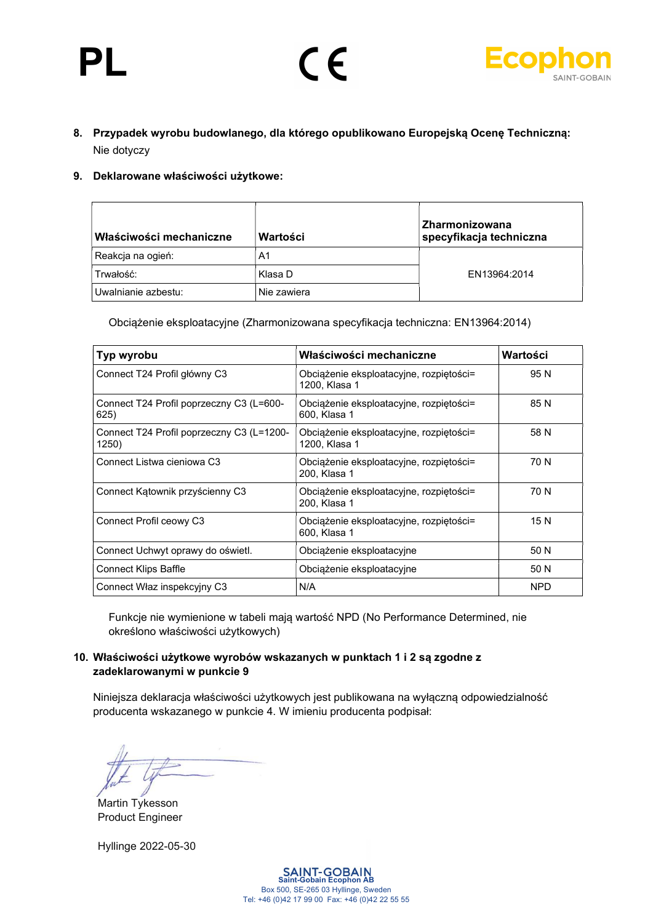

### 8. Przypadek wyrobu budowlanego, dla którego opublikowano Europejską Ocenę Techniczną: Nie dotyczy

 $\epsilon$ 

#### 9. Deklarowane właściwości użytkowe:

| Właściwości mechaniczne | Wartości    | Zharmonizowana<br>specyfikacja techniczna |
|-------------------------|-------------|-------------------------------------------|
| Reakcja na ogień:       | A1          |                                           |
| Trwałość:               | Klasa D     | EN13964:2014                              |
| Uwalnianie azbestu:     | Nie zawiera |                                           |

Obciążenie eksploatacyjne (Zharmonizowana specyfikacja techniczna: EN13964:2014)

| Typ wyrobu                                         | Właściwości mechaniczne                                  | Wartości   |
|----------------------------------------------------|----------------------------------------------------------|------------|
| Connect T24 Profil główny C3                       | Obciążenie eksploatacyjne, rozpiętości=<br>1200. Klasa 1 | 95 N       |
| Connect T24 Profil poprzeczny C3 (L=600-<br>625)   | Obciążenie eksploatacyjne, rozpiętości=<br>600, Klasa 1  | 85 N       |
| Connect T24 Profil poprzeczny C3 (L=1200-<br>1250) | Obciążenie eksploatacyjne, rozpiętości=<br>1200, Klasa 1 | 58 N       |
| Connect Listwa cieniowa C3                         | Obciążenie eksploatacyjne, rozpiętości=<br>200, Klasa 1  | 70 N       |
| Connect Katownik przyścienny C3                    | Obciążenie eksploatacyjne, rozpiętości=<br>200, Klasa 1  | 70 N       |
| Connect Profil ceowy C3                            | Obciążenie eksploatacyjne, rozpiętości=<br>600. Klasa 1  | 15 N       |
| Connect Uchwyt oprawy do oświetl.                  | Obciążenie eksploatacyjne                                | 50 N       |
| <b>Connect Klips Baffle</b>                        | Obciążenie eksploatacyjne                                | 50 N       |
| Connect Właz inspekcyjny C3                        | N/A                                                      | <b>NPD</b> |

Funkcje nie wymienione w tabeli mają wartość NPD (No Performance Determined, nie określono właściwości użytkowych)

#### 10. Właściwości użytkowe wyrobów wskazanych w punktach 1 i 2 są zgodne z zadeklarowanymi w punkcie 9

Niniejsza deklaracja właściwości użytkowych jest publikowana na wyłączną odpowiedzialność producenta wskazanego w punkcie 4. W imieniu producenta podpisał:

Martin Tykesson Product Engineer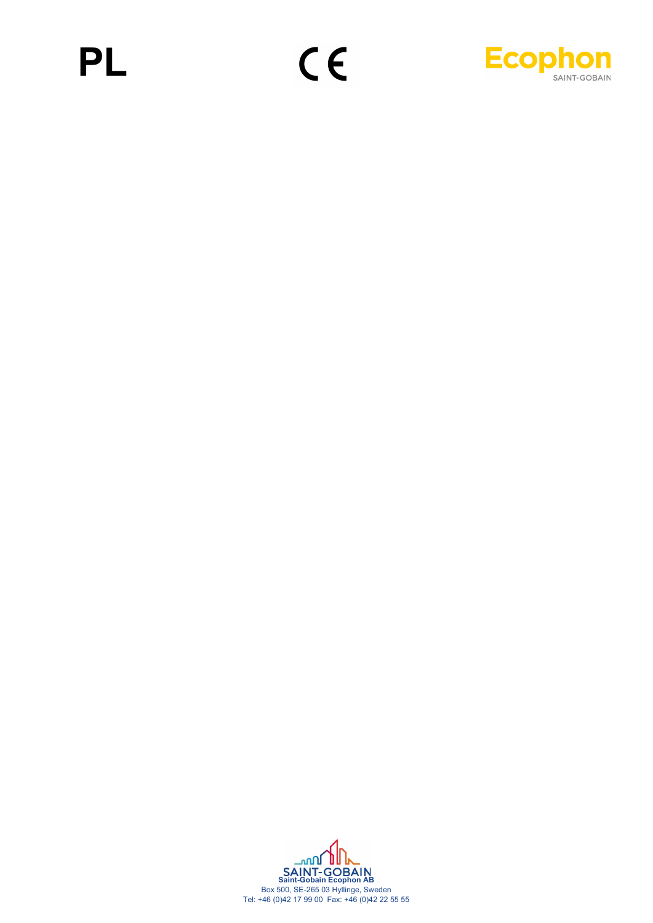# PL



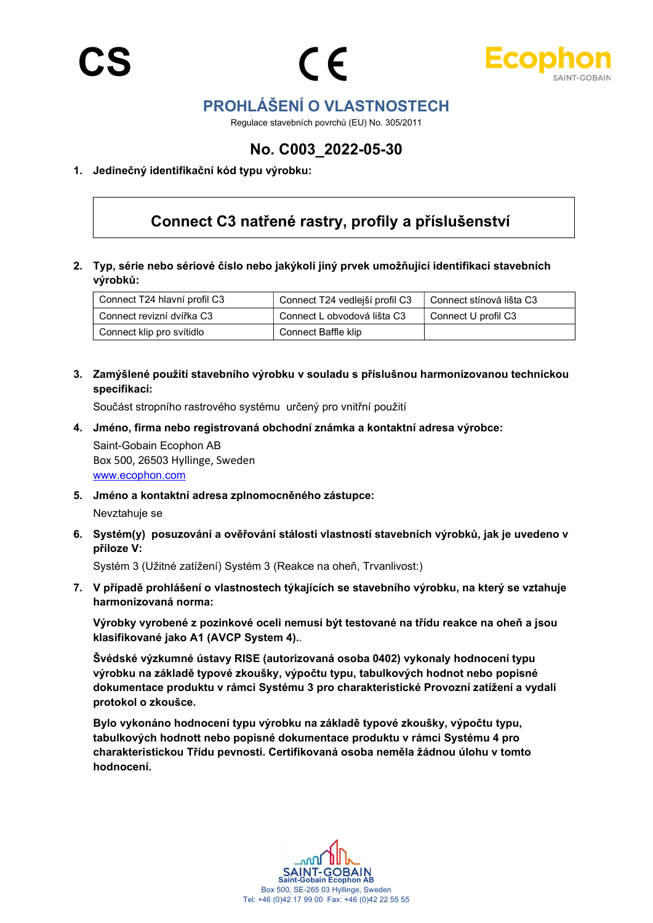



## PROHLÁŠENÍ O VLASTNOSTECH

Regulace stavebních povrchů (EU) No. 305/2011

## No. C003\_2022-05-30

#### 1. Jedinečný identifikační kód typu výrobku:

## Connect C3 natřené rastry, profily a příslušenství

2. Typ, série nebo sériové číslo nebo jakýkoli jiný prvek umožňující identifikaci stavebních výrobků:

| Connect T24 hlavní profil C3 | Connect T24 vedlejší profil C3 | Connect stínová lišta C3 |
|------------------------------|--------------------------------|--------------------------|
| Connect revizní dvířka C3    | Connect L obvodová lišta C3    | Connect U profil C3      |
| Connect klip pro svítidlo    | Connect Baffle klip            |                          |

3. Zamýšlené použití stavebního výrobku v souladu s příslušnou harmonizovanou technickou specifikací:

Součást stropního rastrového systému určený pro vnitřní použití

4. Jméno, firma nebo registrovaná obchodní známka a kontaktní adresa výrobce:

Saint-Gobain Ecophon AB Box 500, 26503 Hyllinge, Sweden www.ecophon.com

5. Jméno a kontaktní adresa zplnomocněného zástupce:

Nevztahuje se

6. Systém(y) posuzování a ověřování stálosti vlastností stavebních výrobků, jak je uvedeno v příloze V:

Systém 3 (Užitné zatížení) Systém 3 (Reakce na oheň, Trvanlivost:)

7. V případě prohlášení o vlastnostech týkajících se stavebního výrobku, na který se vztahuje harmonizovaná norma:

Výrobky vyrobené z pozinkové oceli nemusí být testované na třídu reakce na oheň a jsou klasifikované jako A1 (AVCP System 4)..

Švédské výzkumné ústavy RISE (autorizovaná osoba 0402) vykonaly hodnocení typu výrobku na základě typové zkoušky, výpočtu typu, tabulkových hodnot nebo popisné dokumentace produktu v rámci Systému 3 pro charakteristické Provozní zatížení a vydali protokol o zkoušce.

Bylo vykonáno hodnocení typu výrobku na základě typové zkoušky, výpočtu typu, tabulkových hodnott nebo popisné dokumentace produktu v rámci Systému 4 pro charakteristickou Třídu pevnosti. Certifikovaná osoba neměla žádnou úlohu v tomto hodnocení.

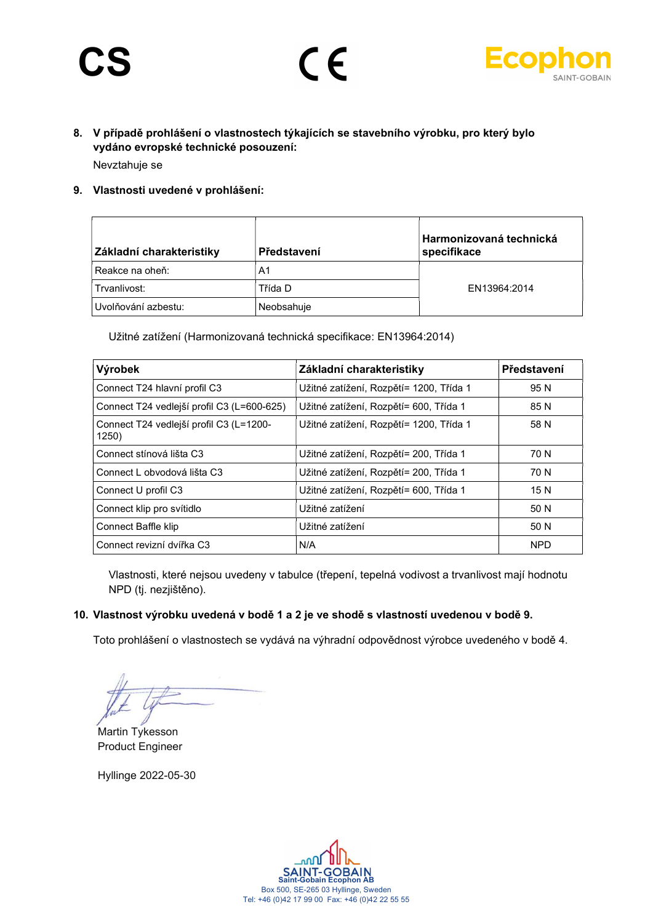# CS



### 8. V případě prohlášení o vlastnostech týkajících se stavebního výrobku, pro který bylo vydáno evropské technické posouzení: Nevztahuje se

 $\epsilon$ 

#### 9. Vlastnosti uvedené v prohlášení:

| Základní charakteristiky | Představení | Harmonizovaná technická<br>specifikace |
|--------------------------|-------------|----------------------------------------|
| Reakce na oheň:          | A1          |                                        |
| Trvanlivost:             | Třída D     | EN13964:2014                           |
| Uvolňování azbestu:      | Neobsahuje  |                                        |

Užitné zatížení (Harmonizovaná technická specifikace: EN13964:2014)

| Výrobek                                          | Základní charakteristiky                | Představení |
|--------------------------------------------------|-----------------------------------------|-------------|
| Connect T24 hlavní profil C3                     | Užitné zatížení, Rozpětí= 1200, Třída 1 | 95 N        |
| Connect T24 vedlejší profil C3 (L=600-625)       | Užitné zatížení, Rozpětí= 600, Třída 1  | 85 N        |
| Connect T24 vedlejší profil C3 (L=1200-<br>1250) | Užitné zatížení, Rozpětí= 1200, Třída 1 | 58 N        |
| Connect stínová lišta C3                         | Užitné zatížení, Rozpětí= 200, Třída 1  | 70 N        |
| Connect L obvodová lišta C3                      | Užitné zatížení, Rozpětí= 200, Třída 1  | 70 N        |
| Connect U profil C3                              | Užitné zatížení, Rozpětí= 600, Třída 1  | 15 N        |
| Connect klip pro svítidlo                        | Užitné zatížení                         | 50 N        |
| Connect Baffle klip                              | Užitné zatížení                         | 50 N        |
| Connect revizní dvířka C3                        | N/A                                     | <b>NPD</b>  |

Vlastnosti, které nejsou uvedeny v tabulce (třepení, tepelná vodivost a trvanlivost mají hodnotu NPD (tj. nezjištěno).

#### 10. Vlastnost výrobku uvedená v bodě 1 a 2 je ve shodě s vlastností uvedenou v bodě 9.

Toto prohlášení o vlastnostech se vydává na výhradní odpovědnost výrobce uvedeného v bodě 4.

Martin Tykesson Product Engineer

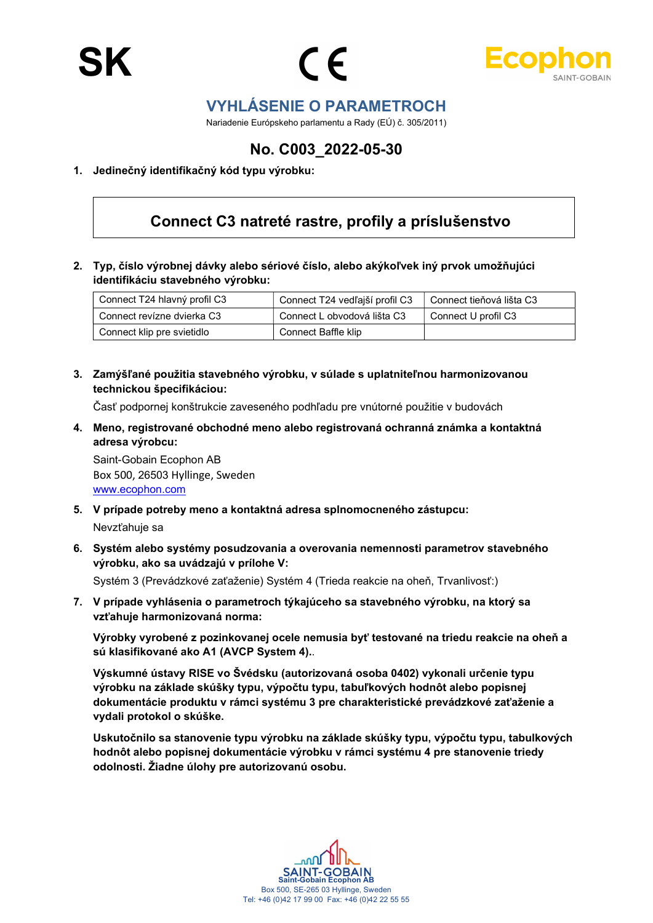



## VYHLÁSENIE O PARAMETROCH

Nariadenie Európskeho parlamentu a Rady (EÚ) č. 305/2011)

## No. C003\_2022-05-30

#### 1. Jedinečný identifikačný kód typu výrobku:

## Connect C3 natreté rastre, profily a príslušenstvo

2. Typ, číslo výrobnej dávky alebo sériové číslo, alebo akýkoľvek iný prvok umožňujúci identifikáciu stavebného výrobku:

| Connect T24 hlavný profil C3 | Connect T24 vedľajší profil C3 | Connect tieňová lišta C3 |
|------------------------------|--------------------------------|--------------------------|
| Connect revízne dvierka C3   | Connect L obvodová lišta C3    | Connect U profil C3      |
| Connect klip pre svietidlo   | Connect Baffle klip            |                          |

3. Zamýšľané použitia stavebného výrobku, v súlade s uplatniteľnou harmonizovanou technickou špecifikáciou:

Časť podpornej konštrukcie zaveseného podhľadu pre vnútorné použitie v budovách

4. Meno, registrované obchodné meno alebo registrovaná ochranná známka a kontaktná adresa výrobcu:

Saint-Gobain Ecophon AB Box 500, 26503 Hyllinge, Sweden www.ecophon.com

- 5. V prípade potreby meno a kontaktná adresa splnomocneného zástupcu: Nevzťahuje sa
- 6. Systém alebo systémy posudzovania a overovania nemennosti parametrov stavebného výrobku, ako sa uvádzajú v prílohe V: Systém 3 (Prevádzkové zaťaženie) Systém 4 (Trieda reakcie na oheň, Trvanlivosť:)

7. V prípade vyhlásenia o parametroch týkajúceho sa stavebného výrobku, na ktorý sa

vzťahuje harmonizovaná norma: Výrobky vyrobené z pozinkovanej ocele nemusia byť testované na triedu reakcie na oheň a sú klasifikované ako A1 (AVCP System 4)..

Výskumné ústavy RISE vo Švédsku (autorizovaná osoba 0402) vykonali určenie typu výrobku na základe skúšky typu, výpočtu typu, tabuľkových hodnôt alebo popisnej dokumentácie produktu v rámci systému 3 pre charakteristické prevádzkové zaťaženie a vydali protokol o skúške.

Uskutočnilo sa stanovenie typu výrobku na základe skúšky typu, výpočtu typu, tabulkových hodnôt alebo popisnej dokumentácie výrobku v rámci systému 4 pre stanovenie triedy odolnosti. Žiadne úlohy pre autorizovanú osobu.

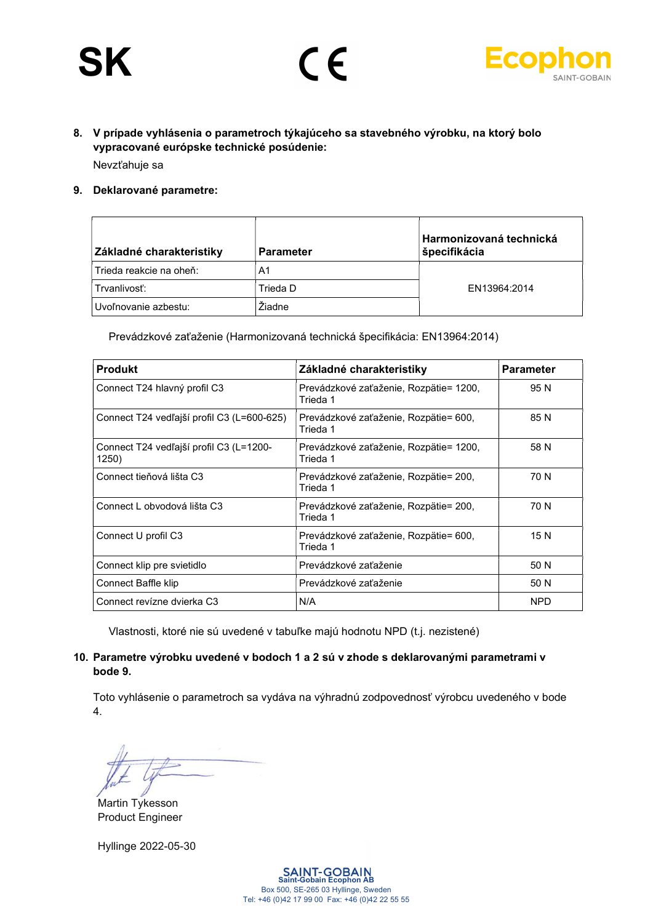# **SK**



### 8. V prípade vyhlásenia o parametroch týkajúceho sa stavebného výrobku, na ktorý bolo vypracované európske technické posúdenie: Nevzťahuje sa

 $\epsilon$ 

#### 9. Deklarované parametre:

| Základné charakteristiky | <b>Parameter</b> | Harmonizovaná technická<br>špecifikácia |
|--------------------------|------------------|-----------------------------------------|
| Trieda reakcie na oheň:  | A1               |                                         |
| Trvanlivosť:             | Trieda D         | EN13964:2014                            |
| Uvoľnovanie azbestu:     | Žiadne           |                                         |

Prevádzkové zaťaženie (Harmonizovaná technická špecifikácia: EN13964:2014)

| <b>Produkt</b>                                   | Základné charakteristiky                           | <b>Parameter</b> |
|--------------------------------------------------|----------------------------------------------------|------------------|
| Connect T24 hlavný profil C3                     | Prevádzkové zaťaženie, Rozpätie= 1200,<br>Trieda 1 | 95 N             |
| Connect T24 vedľajší profil C3 (L=600-625)       | Prevádzkové zaťaženie, Rozpätie= 600,<br>Trieda 1  | 85 N             |
| Connect T24 vedľajší profil C3 (L=1200-<br>1250) | Prevádzkové zaťaženie, Rozpätie= 1200,<br>Trieda 1 | 58 N             |
| Connect tieňová lišta C3                         | Prevádzkové zaťaženie, Rozpätie= 200,<br>Trieda 1  | 70 N             |
| Connect L obvodová lišta C3                      | Prevádzkové zaťaženie, Rozpätie= 200,<br>Trieda 1  | 70 N             |
| Connect U profil C3                              | Prevádzkové zaťaženie, Rozpätie= 600,<br>Trieda 1  | 15 N             |
| Connect klip pre svietidlo                       | Prevádzkové zaťaženie                              | 50 N             |
| Connect Baffle klip                              | Prevádzkové zaťaženie                              | 50 N             |
| Connect revízne dvierka C3                       | N/A                                                | <b>NPD</b>       |

Vlastnosti, ktoré nie sú uvedené v tabuľke majú hodnotu NPD (t.j. nezistené)

#### 10. Parametre výrobku uvedené v bodoch 1 a 2 sú v zhode s deklarovanými parametrami v bode 9.

Toto vyhlásenie o parametroch sa vydáva na výhradnú zodpovednosť výrobcu uvedeného v bode 4.

Martin Tykesson Product Engineer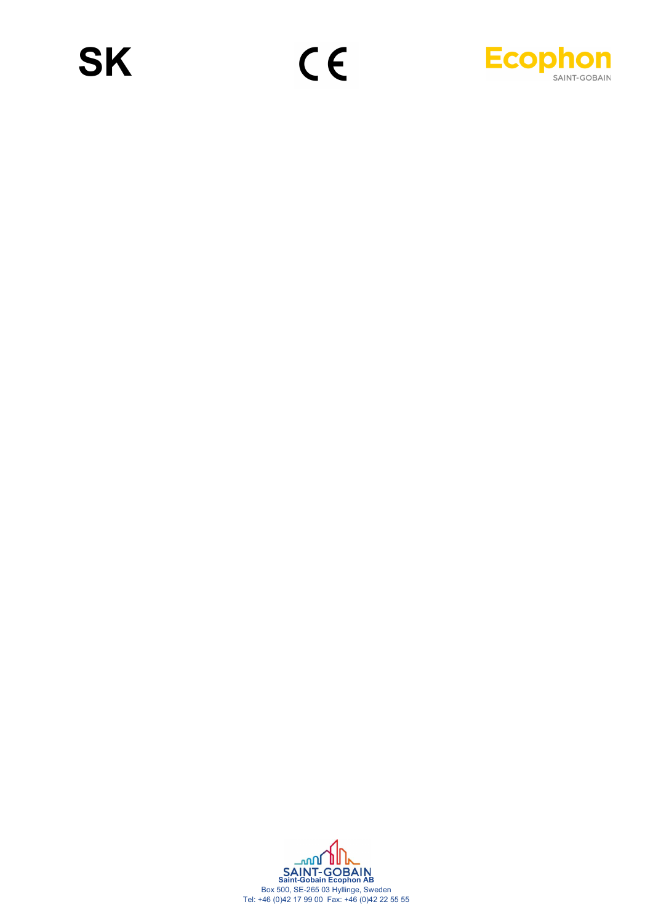

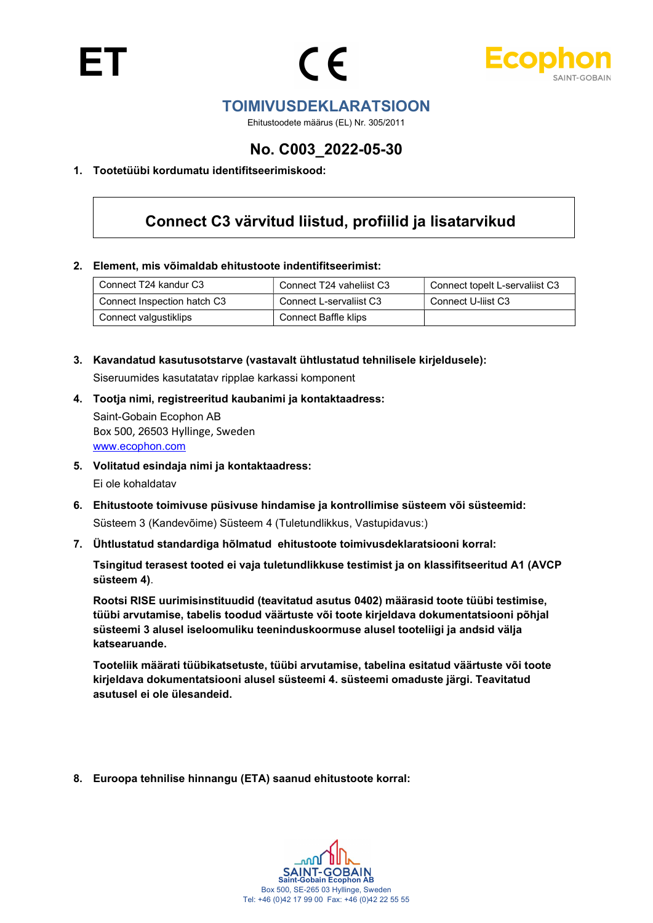



### TOIMIVUSDEKLARATSIOON

Ehitustoodete määrus (EL) Nr. 305/2011

## No. C003\_2022-05-30

#### 1. Tootetüübi kordumatu identifitseerimiskood:

## Connect C3 värvitud liistud, profiilid ja lisatarvikud

#### 2. Element, mis võimaldab ehitustoote indentifitseerimist:

| Connect T24 kandur C3       | Connect T24 vaheliist C3 | Connect topelt L-servaliist C3 |
|-----------------------------|--------------------------|--------------------------------|
| Connect Inspection hatch C3 | Connect L-servaliist C3  | Connect U-liist C3             |
| Connect valgustiklips       | Connect Baffle klips     |                                |

- 3. Kavandatud kasutusotstarve (vastavalt ühtlustatud tehnilisele kirjeldusele): Siseruumides kasutatatav ripplae karkassi komponent
- 4. Tootja nimi, registreeritud kaubanimi ja kontaktaadress: Saint-Gobain Ecophon AB Box 500, 26503 Hyllinge, Sweden

www.ecophon.com

5. Volitatud esindaja nimi ja kontaktaadress:

Ei ole kohaldatav

- 6. Ehitustoote toimivuse püsivuse hindamise ja kontrollimise süsteem või süsteemid: Süsteem 3 (Kandevõime) Süsteem 4 (Tuletundlikkus, Vastupidavus:)
- 7. Ühtlustatud standardiga hõlmatud ehitustoote toimivusdeklaratsiooni korral:

Tsingitud terasest tooted ei vaja tuletundlikkuse testimist ja on klassifitseeritud A1 (AVCP süsteem 4).

Rootsi RISE uurimisinstituudid (teavitatud asutus 0402) määrasid toote tüübi testimise, tüübi arvutamise, tabelis toodud väärtuste või toote kirjeldava dokumentatsiooni põhjal süsteemi 3 alusel iseloomuliku teeninduskoormuse alusel tooteliigi ja andsid välja katsearuande.

Tooteliik määrati tüübikatsetuste, tüübi arvutamise, tabelina esitatud väärtuste või toote kirjeldava dokumentatsiooni alusel süsteemi 4. süsteemi omaduste järgi. Teavitatud asutusel ei ole ülesandeid.

8. Euroopa tehnilise hinnangu (ETA) saanud ehitustoote korral:

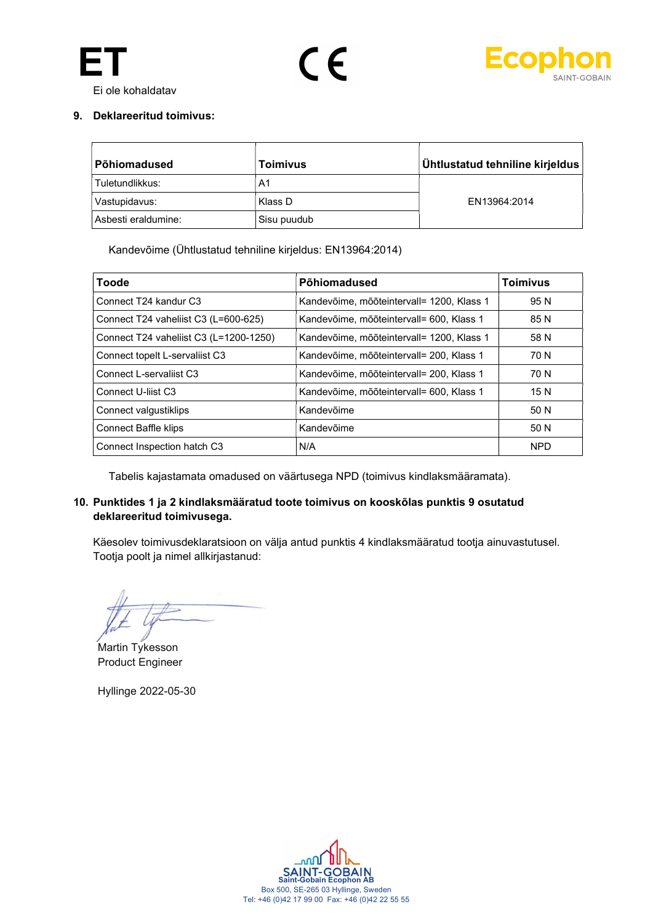





#### 9. Deklareeritud toimivus:

| Põhiomadused        | <b>Toimivus</b> | Ühtlustatud tehniline kirjeldus |
|---------------------|-----------------|---------------------------------|
| Tuletundlikkus:     | A1              |                                 |
| Vastupidavus:       | Klass D         | EN13964:2014                    |
| Asbesti eraldumine: | Sisu puudub     |                                 |

Kandevõime (Ühtlustatud tehniline kirjeldus: EN13964:2014)

| Toode                                  | Põhiomadused                              | <b>Toimivus</b> |
|----------------------------------------|-------------------------------------------|-----------------|
| Connect T24 kandur C3                  | Kandevõime, mõõteintervall= 1200, Klass 1 | 95 N            |
| Connect T24 vaheliist C3 (L=600-625)   | Kandevõime, mõõteintervall= 600, Klass 1  | 85 N            |
| Connect T24 vaheliist C3 (L=1200-1250) | Kandevõime, mõõteintervall= 1200, Klass 1 | 58 N            |
| Connect topelt L-servaliist C3         | Kandevõime, mõõteintervall= 200, Klass 1  | 70 N            |
| Connect L-servaliist C3                | Kandevõime, mõõteintervall= 200, Klass 1  | 70 N            |
| Connect U-lijst C3                     | Kandevõime, mõõteintervall= 600, Klass 1  | 15N             |
| Connect valgustiklips                  | Kandevõime                                | 50 N            |
| <b>Connect Baffle klips</b>            | Kandevõime                                | 50 N            |
| Connect Inspection hatch C3            | N/A                                       | <b>NPD</b>      |

Tabelis kajastamata omadused on väärtusega NPD (toimivus kindlaksmääramata).

#### 10. Punktides 1 ja 2 kindlaksmääratud toote toimivus on kooskõlas punktis 9 osutatud deklareeritud toimivusega.

Käesolev toimivusdeklaratsioon on välja antud punktis 4 kindlaksmääratud tootja ainuvastutusel. Tootja poolt ja nimel allkirjastanud:

Martin Tykesson Product Engineer

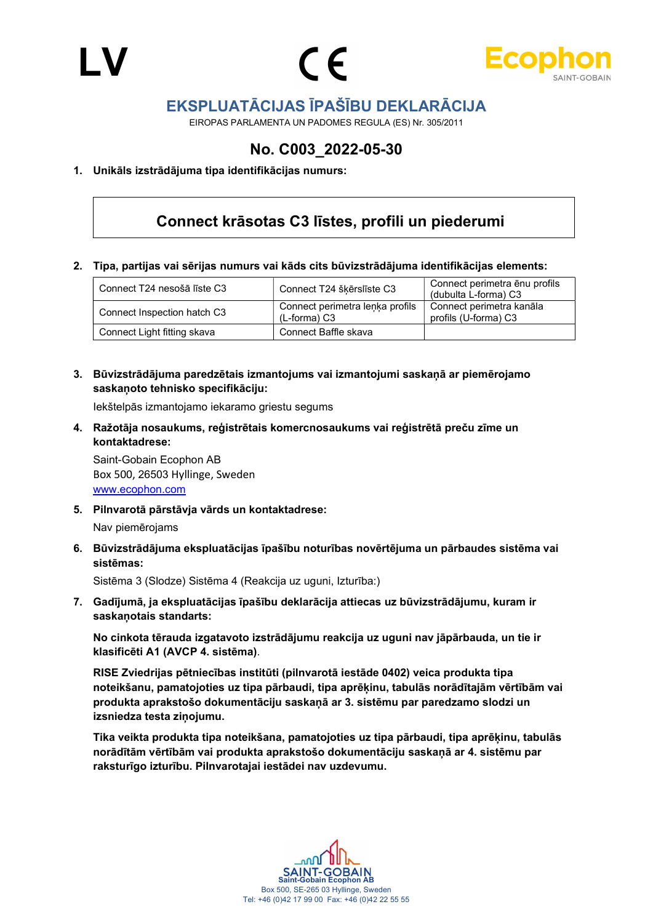



## EKSPLUATĀCIJAS ĪPAŠĪBU DEKLARĀCIJA

EIROPAS PARLAMENTA UN PADOMES REGULA (ES) Nr. 305/2011

## No. C003\_2022-05-30

#### 1. Unikāls izstrādājuma tipa identifikācijas numurs:

## Connect krāsotas C3 līstes, profili un piederumi

2. Tipa, partijas vai sērijas numurs vai kāds cits būvizstrādājuma identifikācijas elements:

| Connect T24 nesošā līste C3 | Connect T24 škērslīste C3                       | Connect perimetra enu profils<br>(dubulta L-forma) C3 |
|-----------------------------|-------------------------------------------------|-------------------------------------------------------|
| Connect Inspection hatch C3 | Connect perimetra lenka profils<br>(L-forma) C3 | Connect perimetra kanāla<br>profils (U-forma) C3      |
| Connect Light fitting skava | Connect Baffle skava                            |                                                       |

3. Būvizstrādājuma paredzētais izmantojums vai izmantojumi saskaņā ar piemērojamo saskaņoto tehnisko specifikāciju:

Iekštelpās izmantojamo iekaramo griestu segums

4. Ražotāja nosaukums, reģistrētais komercnosaukums vai reģistrētā preču zīme un kontaktadrese:

Saint-Gobain Ecophon AB Box 500, 26503 Hyllinge, Sweden www.ecophon.com

5. Pilnvarotā pārstāvja vārds un kontaktadrese:

Nav piemērojams

6. Būvizstrādājuma ekspluatācijas īpašību noturības novērtējuma un pārbaudes sistēma vai sistēmas:

Sistēma 3 (Slodze) Sistēma 4 (Reakcija uz uguni, Izturība:)

7. Gadījumā, ja ekspluatācijas īpašību deklarācija attiecas uz būvizstrādājumu, kuram ir saskaņotais standarts:

No cinkota tērauda izgatavoto izstrādājumu reakcija uz uguni nav jāpārbauda, un tie ir klasificēti A1 (AVCP 4. sistēma).

RISE Zviedrijas pētniecības institūti (pilnvarotā iestāde 0402) veica produkta tipa noteikšanu, pamatojoties uz tipa pārbaudi, tipa aprēķinu, tabulās norādītajām vērtībām vai produkta aprakstošo dokumentāciju saskaņā ar 3. sistēmu par paredzamo slodzi un izsniedza testa ziņojumu.

Tika veikta produkta tipa noteikšana, pamatojoties uz tipa pārbaudi, tipa aprēķinu, tabulās norādītām vērtībām vai produkta aprakstošo dokumentāciju saskaņā ar 4. sistēmu par raksturīgo izturību. Pilnvarotajai iestādei nav uzdevumu.

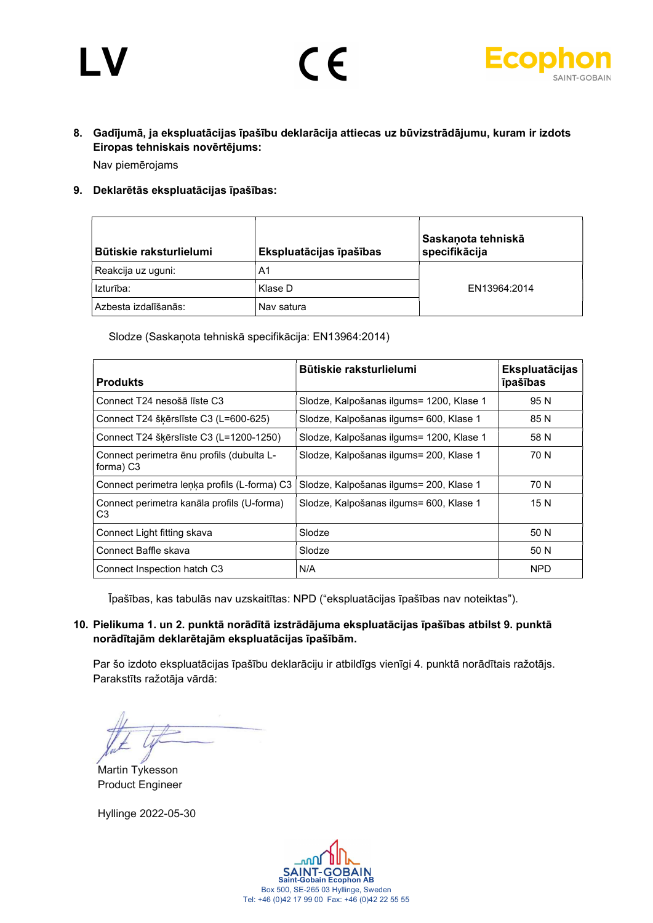# LV



### 8. Gadījumā, ja ekspluatācijas īpašību deklarācija attiecas uz būvizstrādājumu, kuram ir izdots Eiropas tehniskais novērtējums: Nav piemērojams

 $\epsilon$ 

#### 9. Deklarētās ekspluatācijas īpašības:

| Būtiskie raksturlielumi | Ekspluatācijas īpašības | Saskanota tehniskā<br>specifikācija |
|-------------------------|-------------------------|-------------------------------------|
| Reakcija uz uguni:      | A1                      |                                     |
| Izturība:               | Klase D                 | EN13964:2014                        |
| Azbesta izdalīšanās:    | Nav satura              |                                     |

Slodze (Saskaņota tehniskā specifikācija: EN13964:2014)

| <b>Produkts</b>                                                    | Būtiskie raksturlielumi                  | <b>Ekspluatācijas</b><br><b>T</b> pašības |
|--------------------------------------------------------------------|------------------------------------------|-------------------------------------------|
| Connect T24 nesošā līste C3                                        | Slodze, Kalpošanas ilgums= 1200, Klase 1 | 95 N                                      |
| Connect T24 šķērslīste C3 (L=600-625)                              | Slodze, Kalpošanas ilgums= 600, Klase 1  | 85 N                                      |
| Connect T24 škērslīste C3 (L=1200-1250)                            | Slodze, Kalpošanas ilgums= 1200, Klase 1 | 58 N                                      |
| Connect perimetra ēnu profils (dubulta L-<br>forma) C <sub>3</sub> | Slodze, Kalpošanas ilgums= 200, Klase 1  | 70 N                                      |
| Connect perimetra lenka profils (L-forma) C3                       | Slodze, Kalpošanas ilgums= 200, Klase 1  | 70 N                                      |
| Connect perimetra kanāla profils (U-forma)<br>C3                   | Slodze, Kalpošanas ilgums= 600, Klase 1  | 15 N                                      |
| Connect Light fitting skava                                        | Slodze                                   | 50 N                                      |
| Connect Baffle skava                                               | Slodze                                   | 50 N                                      |
| Connect Inspection hatch C3                                        | N/A                                      | <b>NPD</b>                                |

Īpašības, kas tabulās nav uzskaitītas: NPD ("ekspluatācijas īpašības nav noteiktas").

#### 10. Pielikuma 1. un 2. punktā norādītā izstrādājuma ekspluatācijas īpašības atbilst 9. punktā norādītajām deklarētajām ekspluatācijas īpašībām.

Par šo izdoto ekspluatācijas īpašību deklarāciju ir atbildīgs vienīgi 4. punktā norādītais ražotājs. Parakstīts ražotāja vārdā:

Martin Tykesson Product Engineer

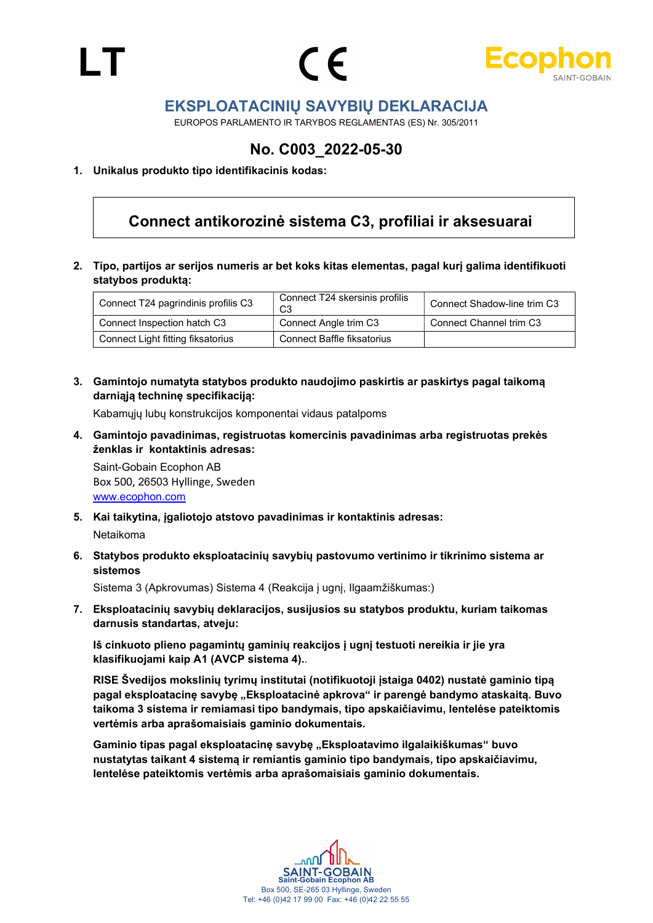LT





### EKSPLOATACINIŲ SAVYBIŲ DEKLARACIJA

EUROPOS PARLAMENTO IR TARYBOS REGLAMENTAS (ES) Nr. 305/2011

## No. C003\_2022-05-30

#### 1. Unikalus produkto tipo identifikacinis kodas:

## Connect antikorozinė sistema C3, profiliai ir aksesuarai

2. Tipo, partijos ar serijos numeris ar bet koks kitas elementas, pagal kurį galima identifikuoti statybos produktą:

| Connect T24 pagrindinis profilis C3 | Connect T24 skersinis profilis    | Connect Shadow-line trim C3 |
|-------------------------------------|-----------------------------------|-----------------------------|
| Connect Inspection hatch C3         | Connect Angle trim C3             | Connect Channel trim C3     |
| Connect Light fitting fiksatorius   | <b>Connect Baffle fiksatorius</b> |                             |

3. Gamintojo numatyta statybos produkto naudojimo paskirtis ar paskirtys pagal taikomą darniąją techninę specifikaciją:

Kabamųjų lubų konstrukcijos komponentai vidaus patalpoms

4. Gamintojo pavadinimas, registruotas komercinis pavadinimas arba registruotas prekės ženklas ir kontaktinis adresas:

Saint-Gobain Ecophon AB Box 500, 26503 Hyllinge, Sweden www.ecophon.com

- 5. Kai taikytina, įgaliotojo atstovo pavadinimas ir kontaktinis adresas: Netaikoma
- 6. Statybos produkto eksploatacinių savybių pastovumo vertinimo ir tikrinimo sistema ar sistemos

Sistema 3 (Apkrovumas) Sistema 4 (Reakcija į ugnį, Ilgaamžiškumas:)

7. Eksploatacinių savybių deklaracijos, susijusios su statybos produktu, kuriam taikomas darnusis standartas, atveju:

Iš cinkuoto plieno pagamintų gaminių reakcijos į ugnį testuoti nereikia ir jie yra klasifikuojami kaip A1 (AVCP sistema 4)..

RISE Švedijos mokslinių tyrimų institutai (notifikuotoji įstaiga 0402) nustatė gaminio tipą pagal eksploatacinę savybę "Eksploatacinė apkrova" ir parengė bandymo ataskaitą. Buvo taikoma 3 sistema ir remiamasi tipo bandymais, tipo apskaičiavimu, lentelėse pateiktomis vertėmis arba aprašomaisiais gaminio dokumentais.

Gaminio tipas pagal eksploatacinę savybę "Eksploatavimo ilgalaikiškumas" buvo nustatytas taikant 4 sistemą ir remiantis gaminio tipo bandymais, tipo apskaičiavimu, lentelėse pateiktomis vertėmis arba aprašomaisiais gaminio dokumentais.

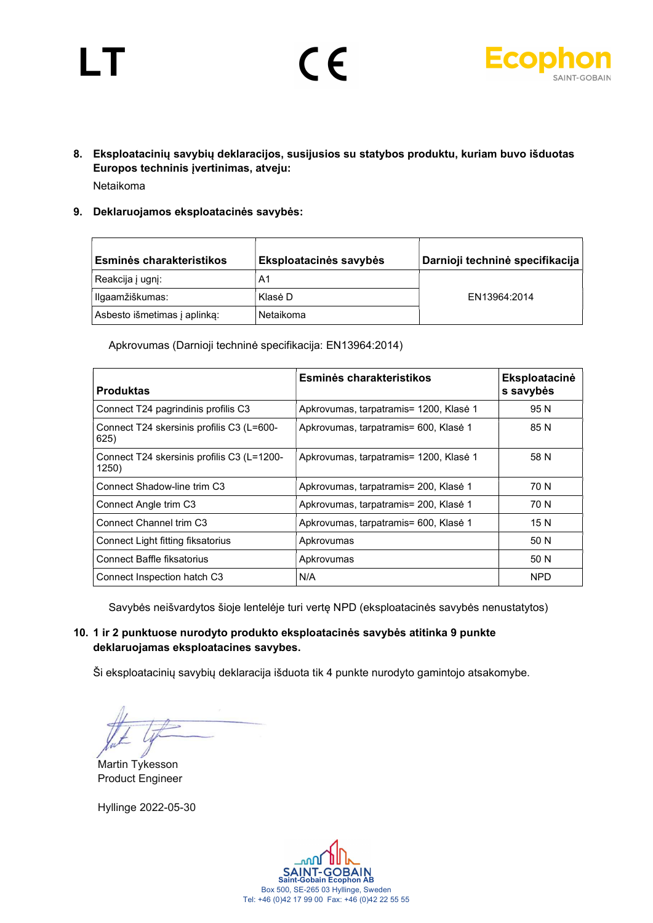# LT





- 8. Eksploatacinių savybių deklaracijos, susijusios su statybos produktu, kuriam buvo išduotas Europos techninis įvertinimas, atveju: Netaikoma
- 9. Deklaruojamos eksploatacinės savybės:

| Esminės charakteristikos     | Eksploatacinės savybės | Darnioji techninė specifikacija |
|------------------------------|------------------------|---------------------------------|
| Reakcija į ugnį:             | A1                     |                                 |
| Ilgaamžiškumas:              | Klasė D                | EN13964:2014                    |
| Asbesto išmetimas į aplinka: | Netaikoma              |                                 |

Apkrovumas (Darnioji techninė specifikacija: EN13964:2014)

| <b>Produktas</b>                                    | Esminės charakteristikos               | Eksploatacinė<br>s savybės |
|-----------------------------------------------------|----------------------------------------|----------------------------|
| Connect T24 pagrindinis profilis C3                 | Apkrovumas, tarpatramis= 1200, Klasė 1 | 95 N                       |
| Connect T24 skersinis profilis C3 (L=600-<br>625)   | Apkrovumas, tarpatramis= 600, Klasė 1  | 85 N                       |
| Connect T24 skersinis profilis C3 (L=1200-<br>1250) | Apkrovumas, tarpatramis= 1200, Klasė 1 | 58 N                       |
| Connect Shadow-line trim C3                         | Apkrovumas, tarpatramis= 200, Klasė 1  | 70 N                       |
| Connect Angle trim C3                               | Apkrovumas, tarpatramis= 200, Klasė 1  | 70 N                       |
| Connect Channel trim C3                             | Apkrovumas, tarpatramis= 600, Klasė 1  | 15N                        |
| Connect Light fitting fiksatorius                   | Apkrovumas                             | 50 N                       |
| <b>Connect Baffle fiksatorius</b>                   | Apkrovumas                             | 50 N                       |
| Connect Inspection hatch C3                         | N/A                                    | <b>NPD</b>                 |

Savybės neišvardytos šioje lentelėje turi vertę NPD (eksploatacinės savybės nenustatytos)

#### 10. 1 ir 2 punktuose nurodyto produkto eksploatacinės savybės atitinka 9 punkte deklaruojamas eksploatacines savybes.

Ši eksploatacinių savybių deklaracija išduota tik 4 punkte nurodyto gamintojo atsakomybe.

Martin Tykesson Product Engineer

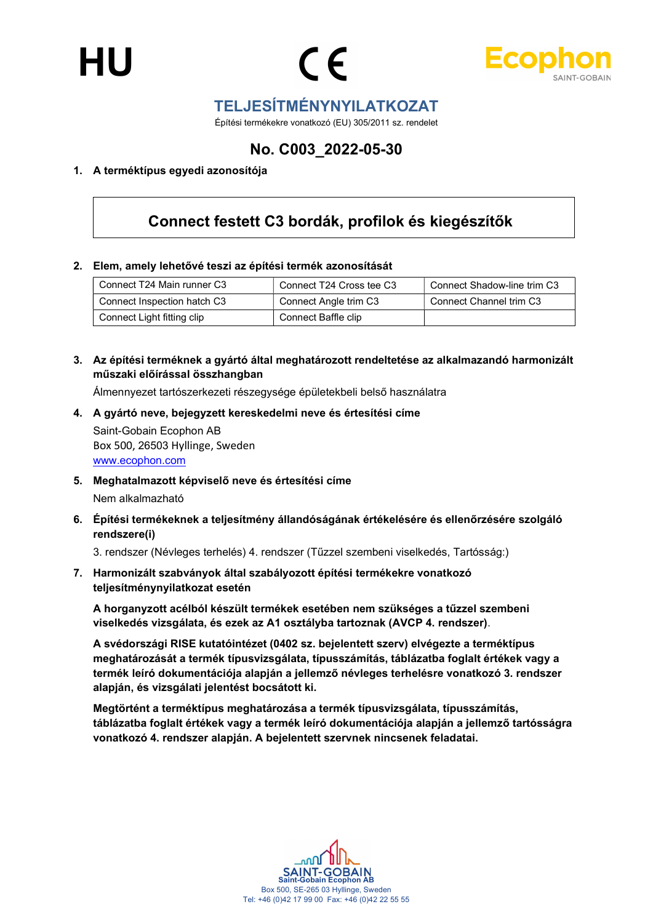



## TELJESÍTMÉNYNYILATKOZAT

Építési termékekre vonatkozó (EU) 305/2011 sz. rendelet

## No. C003\_2022-05-30

#### 1. A terméktípus egyedi azonosítója

# Connect festett C3 bordák, profilok és kiegészítők

#### 2. Elem, amely lehetővé teszi az építési termék azonosítását

| Connect T24 Main runner C3  | Connect T24 Cross tee C3 | Connect Shadow-line trim C3 |
|-----------------------------|--------------------------|-----------------------------|
| Connect Inspection hatch C3 | Connect Angle trim C3    | Connect Channel trim C3     |
| Connect Light fitting clip  | Connect Baffle clip      |                             |

#### 3. Az építési terméknek a gyártó által meghatározott rendeltetése az alkalmazandó harmonizált műszaki előírással összhangban

Álmennyezet tartószerkezeti részegysége épületekbeli belső használatra

- 4. A gyártó neve, bejegyzett kereskedelmi neve és értesítési címe Saint-Gobain Ecophon AB Box 500, 26503 Hyllinge, Sweden www.ecophon.com
- 5. Meghatalmazott képviselő neve és értesítési címe Nem alkalmazható
- 6. Építési termékeknek a teljesítmény állandóságának értékelésére és ellenőrzésére szolgáló rendszere(i)

3. rendszer (Névleges terhelés) 4. rendszer (Tűzzel szembeni viselkedés, Tartósság:)

7. Harmonizált szabványok által szabályozott építési termékekre vonatkozó teljesítménynyilatkozat esetén

A horganyzott acélból készült termékek esetében nem szükséges a tűzzel szembeni viselkedés vizsgálata, és ezek az A1 osztályba tartoznak (AVCP 4. rendszer).

A svédországi RISE kutatóintézet (0402 sz. bejelentett szerv) elvégezte a terméktípus meghatározását a termék típusvizsgálata, típusszámítás, táblázatba foglalt értékek vagy a termék leíró dokumentációja alapján a jellemző névleges terhelésre vonatkozó 3. rendszer alapján, és vizsgálati jelentést bocsátott ki.

Megtörtént a terméktípus meghatározása a termék típusvizsgálata, típusszámítás, táblázatba foglalt értékek vagy a termék leíró dokumentációja alapján a jellemző tartósságra vonatkozó 4. rendszer alapján. A bejelentett szervnek nincsenek feladatai.

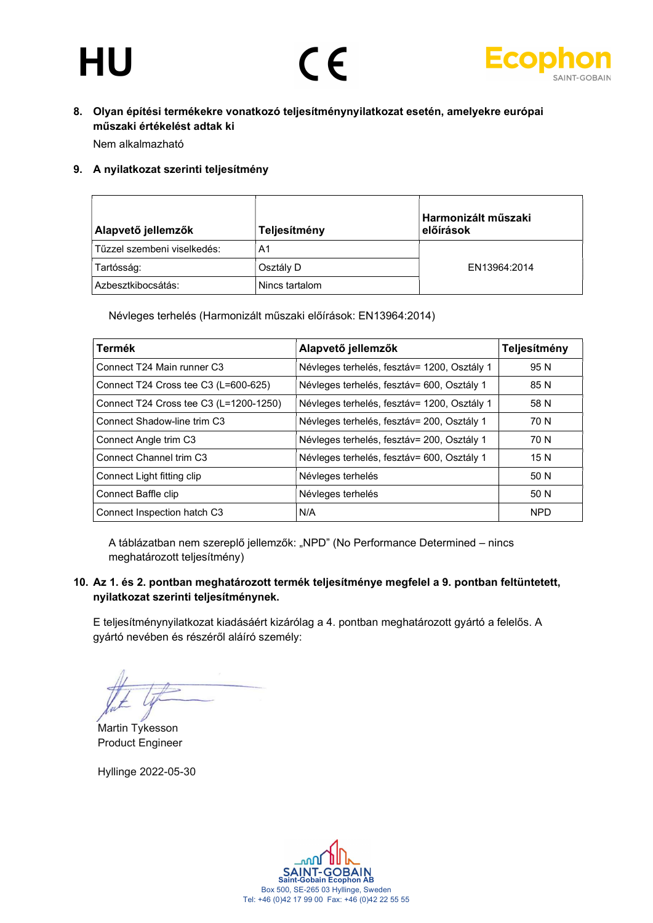# HU





#### 8. Olyan építési termékekre vonatkozó teljesítménynyilatkozat esetén, amelyekre európai műszaki értékelést adtak ki

Nem alkalmazható

#### 9. A nyilatkozat szerinti teljesítmény

| Alapvető jellemzők          | Teljesítmény   | Harmonizált műszaki<br>előírások |
|-----------------------------|----------------|----------------------------------|
| Tűzzel szembeni viselkedés: | A1             |                                  |
| Tartósság:                  | Osztály D      | FN13964:2014                     |
| Azbesztkibocsátás:          | Nincs tartalom |                                  |

Névleges terhelés (Harmonizált műszaki előírások: EN13964:2014)

| Termék                                 | Alapvető jellemzők                          | Teljesítmény |
|----------------------------------------|---------------------------------------------|--------------|
| Connect T24 Main runner C3             | Névleges terhelés, fesztáv= 1200, Osztály 1 | 95 N         |
| Connect T24 Cross tee C3 (L=600-625)   | Névleges terhelés, fesztáv= 600, Osztály 1  | 85 N         |
| Connect T24 Cross tee C3 (L=1200-1250) | Névleges terhelés, fesztáv= 1200, Osztály 1 | 58 N         |
| Connect Shadow-line trim C3            | Névleges terhelés, fesztáv= 200, Osztály 1  | 70 N         |
| Connect Angle trim C3                  | Névleges terhelés, fesztáv= 200, Osztály 1  | 70 N         |
| Connect Channel trim C3                | Névleges terhelés, fesztáv= 600, Osztály 1  | 15N          |
| Connect Light fitting clip             | Névleges terhelés                           | 50 N         |
| Connect Baffle clip                    | Névleges terhelés                           | 50 N         |
| Connect Inspection hatch C3            | N/A                                         | <b>NPD</b>   |

A táblázatban nem szereplő jellemzők: "NPD" (No Performance Determined – nincs meghatározott teljesítmény)

#### 10. Az 1. és 2. pontban meghatározott termék teljesítménye megfelel a 9. pontban feltüntetett, nyilatkozat szerinti teljesítménynek.

E teljesítménynyilatkozat kiadásáért kizárólag a 4. pontban meghatározott gyártó a felelős. A gyártó nevében és részéről aláíró személy:

Martin Tykesson Product Engineer

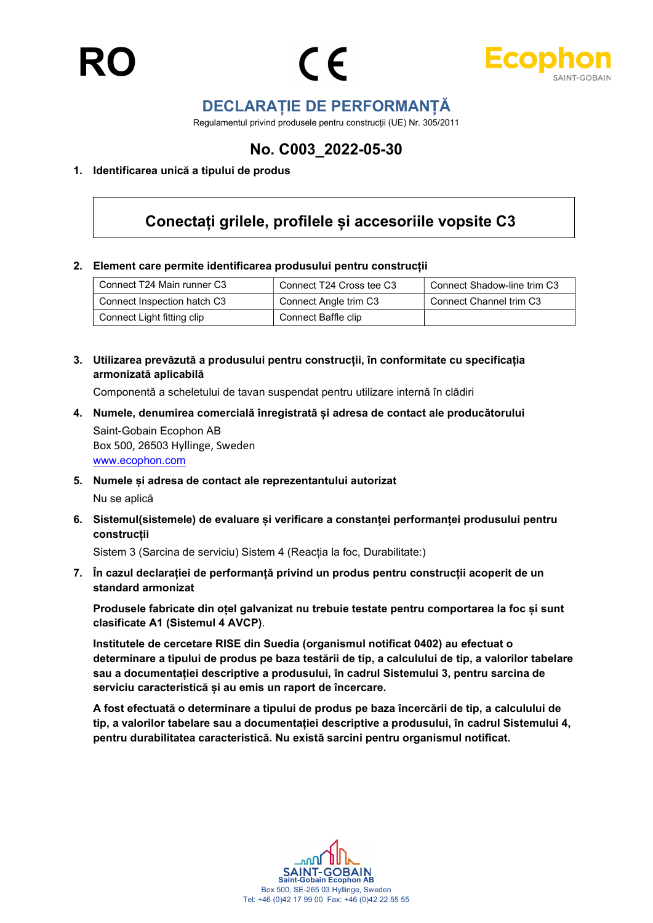



## DECLARAȚIE DE PERFORMANȚĂ

Regulamentul privind produsele pentru construcții (UE) Nr. 305/2011

## No. C003\_2022-05-30

#### 1. Identificarea unică a tipului de produs

## Conectați grilele, profilele și accesoriile vopsite C3

#### 2. Element care permite identificarea produsului pentru construcții

| Connect T24 Main runner C3  | Connect T24 Cross tee C3 | Connect Shadow-line trim C3 |
|-----------------------------|--------------------------|-----------------------------|
| Connect Inspection hatch C3 | Connect Angle trim C3    | Connect Channel trim C3     |
| Connect Light fitting clip  | Connect Baffle clip      |                             |

3. Utilizarea prevăzută a produsului pentru construcții, în conformitate cu specificația armonizată aplicabilă

Componentă a scheletului de tavan suspendat pentru utilizare internă în clădiri

- 4. Numele, denumirea comercială înregistrată și adresa de contact ale producătorului Saint-Gobain Ecophon AB Box 500, 26503 Hyllinge, Sweden www.ecophon.com
- 5. Numele și adresa de contact ale reprezentantului autorizat Nu se aplică
- 6. Sistemul(sistemele) de evaluare și verificare a constanței performanței produsului pentru construcții

Sistem 3 (Sarcina de serviciu) Sistem 4 (Reacția la foc, Durabilitate:)

7. În cazul declarației de performanță privind un produs pentru construcții acoperit de un standard armonizat

Produsele fabricate din oțel galvanizat nu trebuie testate pentru comportarea la foc și sunt clasificate A1 (Sistemul 4 AVCP).

Institutele de cercetare RISE din Suedia (organismul notificat 0402) au efectuat o determinare a tipului de produs pe baza testării de tip, a calculului de tip, a valorilor tabelare sau a documentației descriptive a produsului, în cadrul Sistemului 3, pentru sarcina de serviciu caracteristică și au emis un raport de încercare.

A fost efectuată o determinare a tipului de produs pe baza încercării de tip, a calculului de tip, a valorilor tabelare sau a documentației descriptive a produsului, în cadrul Sistemului 4, pentru durabilitatea caracteristică. Nu există sarcini pentru organismul notificat.

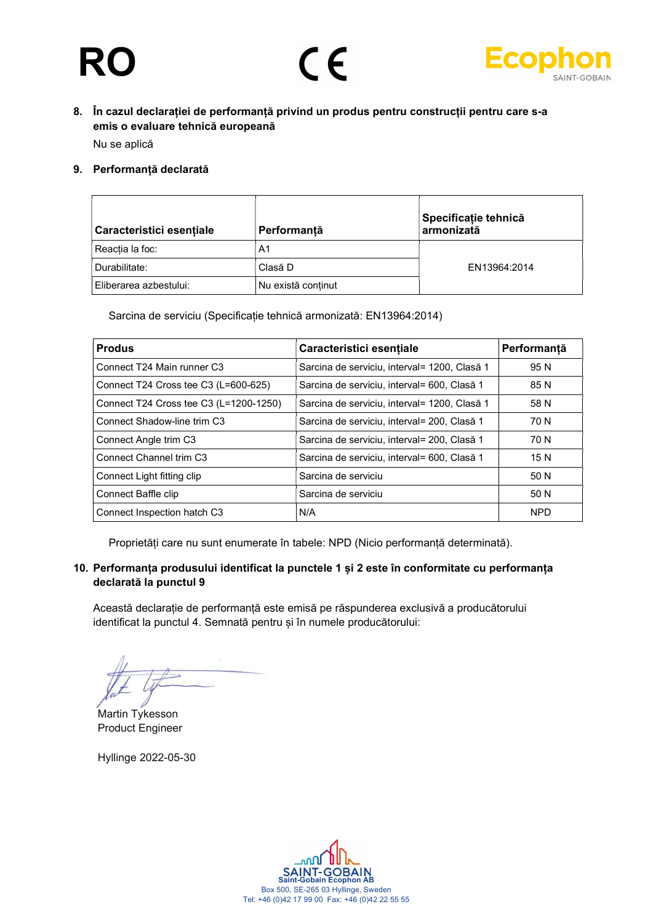# R





### 8. În cazul declarației de performanță privind un produs pentru construcții pentru care s-a emis o evaluare tehnică europeană

Nu se aplică

#### 9. Performanță declarată

| Caracteristici esențiale | Performanță        | Specificație tehnică<br>armonizată |
|--------------------------|--------------------|------------------------------------|
| 'Reactia la foc:         | A <sub>1</sub>     |                                    |
| Durabilitate:            | Clasă D            | EN13964:2014                       |
| Eliberarea azbestului:   | Nu există continut |                                    |

Sarcina de serviciu (Specificație tehnică armonizată: EN13964:2014)

| <b>Produs</b>                          | Caracteristici esentiale                     | Performantă |
|----------------------------------------|----------------------------------------------|-------------|
| Connect T24 Main runner C3             | Sarcina de serviciu, interval= 1200, Clasă 1 | 95 N        |
| Connect T24 Cross tee C3 (L=600-625)   | Sarcina de serviciu, interval= 600, Clasă 1  | 85 N        |
| Connect T24 Cross tee C3 (L=1200-1250) | Sarcina de serviciu, interval= 1200, Clasă 1 | 58 N        |
| Connect Shadow-line trim C3            | Sarcina de serviciu, interval= 200, Clasă 1  | 70 N        |
| Connect Angle trim C3                  | Sarcina de serviciu, interval= 200, Clasă 1  | 70 N        |
| Connect Channel trim C3                | Sarcina de serviciu, interval= 600, Clasă 1  | 15 N        |
| Connect Light fitting clip             | Sarcina de serviciu                          | 50 N        |
| Connect Baffle clip                    | Sarcina de serviciu                          | 50 N        |
| Connect Inspection hatch C3            | N/A                                          | <b>NPD</b>  |

Proprietăți care nu sunt enumerate în tabele: NPD (Nicio performanță determinată).

#### 10. Performanța produsului identificat la punctele 1 și 2 este în conformitate cu performanța declarată la punctul 9

Această declarație de performanță este emisă pe răspunderea exclusivă a producătorului identificat la punctul 4. Semnată pentru și în numele producătorului:

Martin Tykesson Product Engineer

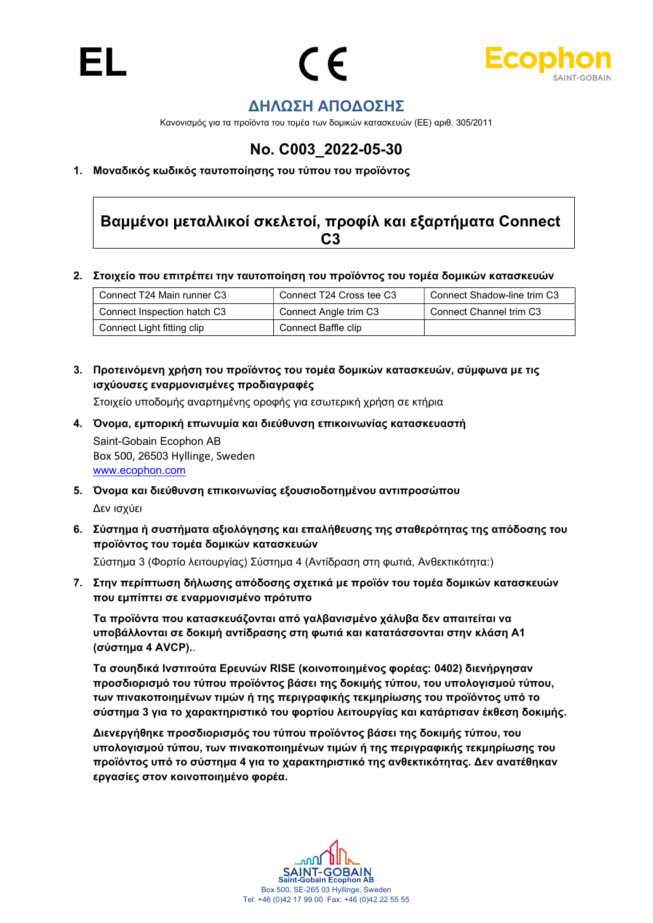



## ΔΗΛΩΣΗ ΑΠΟΔΟΣΗΣ

Κανονισμός για τα προϊόντα του τομέα των δομικών κατασκευών (ΕΕ) αριθ. 305/2011

## No. C003\_2022-05-30

1. Μοναδικός κωδικός ταυτοποίησης του τύπου του προϊόντος

## Βαμμένοι μεταλλικοί σκελετοί, προφίλ και εξαρτήματα Connect C3

2. Στοιχείο που επιτρέπει την ταυτοποίηση του προϊόντος του τομέα δομικών κατασκευών

| Connect T24 Main runner C3  | Connect T24 Cross tee C3 | Connect Shadow-line trim C3 |
|-----------------------------|--------------------------|-----------------------------|
| Connect Inspection hatch C3 | Connect Angle trim C3    | Connect Channel trim C3     |
| Connect Light fitting clip  | Connect Baffle clip      |                             |

3. Προτεινόμενη χρήση του προϊόντος του τομέα δομικών κατασκευών, σύμφωνα με τις ισχύουσες εναρμονισμένες προδιαγραφές

Στοιχείο υποδομής αναρτημένης οροφής για εσωτερική χρήση σε κτήρια

- 4. Όνομα, εμπορική επωνυμία και διεύθυνση επικοινωνίας κατασκευαστή Saint-Gobain Ecophon AB Box 500, 26503 Hyllinge, Sweden www.ecophon.com
- 5. Όνομα και διεύθυνση επικοινωνίας εξουσιοδοτημένου αντιπροσώπου Δεν ισχύει
- 6. Σύστημα ή συστήματα αξιολόγησης και επαλήθευσης της σταθερότητας της απόδοσης του προϊόντος του τομέα δομικών κατασκευών

Σύστημα 3 (Φορτίο λειτουργίας) Σύστημα 4 (Αντίδραση στη φωτιά, Ανθεκτικότητα:)

7. Στην περίπτωση δήλωσης απόδοσης σχετικά με προϊόν του τομέα δομικών κατασκευών που εμπίπτει σε εναρμονισμένο πρότυπο

Τα προϊόντα που κατασκευάζονται από γαλβανισμένο χάλυβα δεν απαιτείται να υποβάλλονται σε δοκιμή αντίδρασης στη φωτιά και κατατάσσονται στην κλάση A1 (σύστημα 4 AVCP)..

Τα σουηδικά Ινστιτούτα Ερευνών RISE (κοινοποιημένος φορέας: 0402) διενήργησαν προσδιορισμό του τύπου προϊόντος βάσει της δοκιμής τύπου, του υπολογισμού τύπου, των πινακοποιημένων τιμών ή της περιγραφικής τεκμηρίωσης του προϊόντος υπό το σύστημα 3 για το χαρακτηριστικό του φορτίου λειτουργίας και κατάρτισαν έκθεση δοκιμής.

Διενεργήθηκε προσδιορισμός του τύπου προϊόντος βάσει της δοκιμής τύπου, του υπολογισμού τύπου, των πινακοποιημένων τιμών ή της περιγραφικής τεκμηρίωσης του προϊόντος υπό το σύστημα 4 για το χαρακτηριστικό της ανθεκτικότητας. Δεν ανατέθηκαν εργασίες στον κοινοποιημένο φορέα.

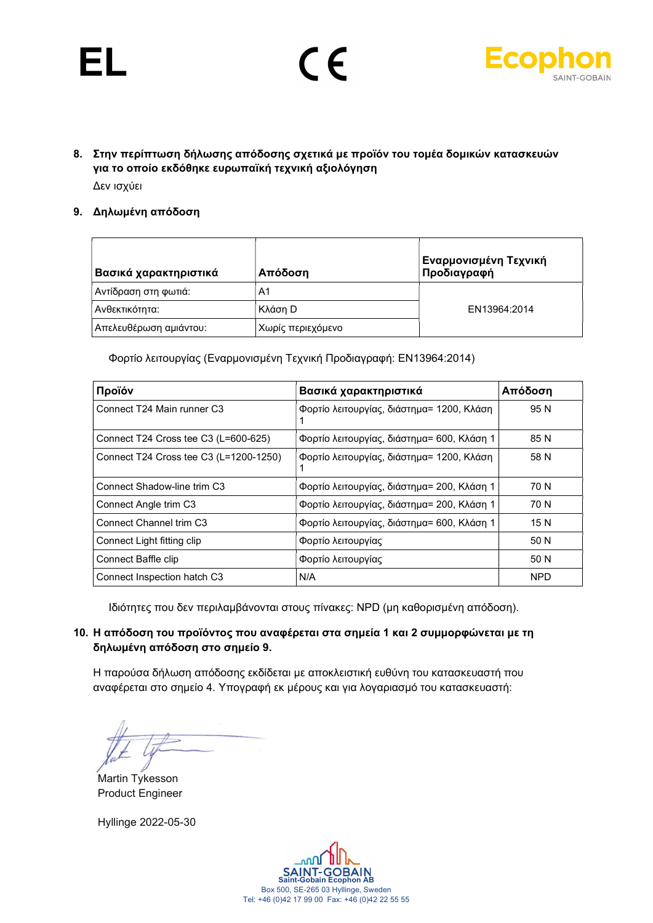# EL



8. Στην περίπτωση δήλωσης απόδοσης σχετικά με προϊόν του τομέα δομικών κατασκευών για το οποίο εκδόθηκε ευρωπαϊκή τεχνική αξιολόγηση Δεν ισχύει

#### 9. Δηλωμένη απόδοση

| Βασικά χαρακτηριστικά  | Απόδοση           | Εναρμονισμένη Τεχνική<br>Προδιαγραφή |
|------------------------|-------------------|--------------------------------------|
| Αντίδραση στη φωτιά:   | A1                |                                      |
| Ανθεκτικότητα:         | Κλάση D           | EN13964:2014                         |
| Απελευθέρωση αμιάντου: | Χωρίς περιεχόμενο |                                      |

Φορτίο λειτουργίας (Εναρμονισμένη Τεχνική Προδιαγραφή: EN13964:2014)

| Προϊόν                                 | Βασικά χαρακτηριστικά                      | Απόδοση    |
|----------------------------------------|--------------------------------------------|------------|
| Connect T24 Main runner C3             | Φορτίο λειτουργίας, διάστημα= 1200, Κλάση  | 95 N       |
| Connect T24 Cross tee C3 (L=600-625)   | Φορτίο λειτουργίας, διάστημα= 600, Κλάση 1 | 85 N       |
| Connect T24 Cross tee C3 (L=1200-1250) | Φορτίο λειτουργίας, διάστημα= 1200, Κλάση  | 58 N       |
| Connect Shadow-line trim C3            | Φορτίο λειτουργίας, διάστημα= 200, Κλάση 1 | 70 N       |
| Connect Angle trim C3                  | Φορτίο λειτουργίας, διάστημα= 200, Κλάση 1 | 70 N       |
| Connect Channel trim C3                | Φορτίο λειτουργίας, διάστημα= 600, Κλάση 1 | 15 N       |
| Connect Light fitting clip             | Φορτίο λειτουργίας                         | 50 N       |
| Connect Baffle clip                    | Φορτίο λειτουργίας                         | 50 N       |
| Connect Inspection hatch C3            | N/A                                        | <b>NPD</b> |

Ιδιότητες που δεν περιλαμβάνονται στους πίνακες: NPD (μη καθορισμένη απόδοση).

#### 10. Η απόδοση του προϊόντος που αναφέρεται στα σημεία 1 και 2 συμμορφώνεται με τη δηλωμένη απόδοση στο σημείο 9.

Η παρούσα δήλωση απόδοσης εκδίδεται με αποκλειστική ευθύνη του κατασκευαστή που αναφέρεται στο σημείο 4. Υπογραφή εκ μέρους και για λογαριασμό του κατασκευαστή:

Martin Tykesson Product Engineer

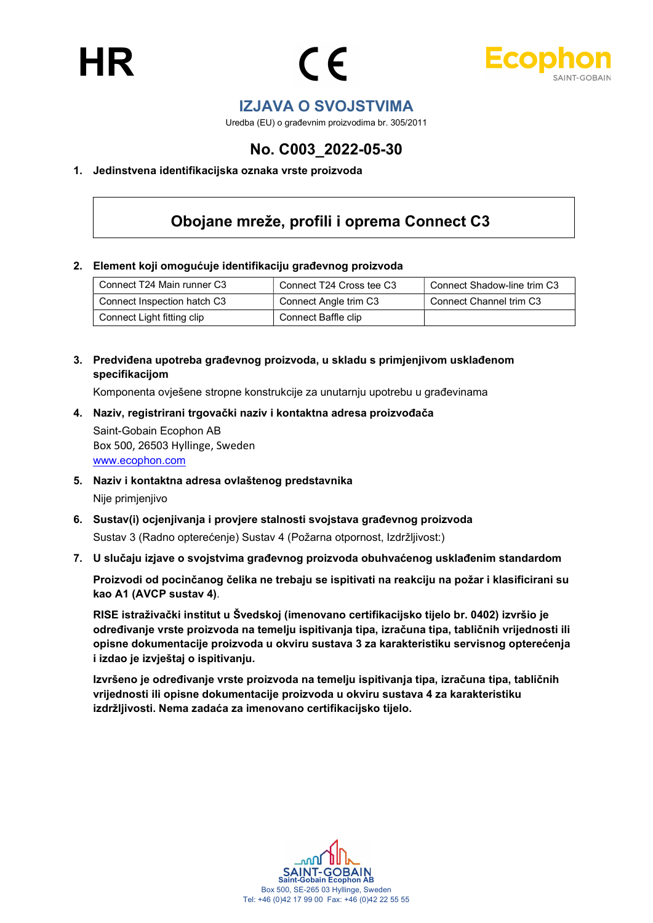



### IZJAVA O SVOJSTVIMA

Uredba (EU) o građevnim proizvodima br. 305/2011

## No. C003\_2022-05-30

#### 1. Jedinstvena identifikacijska oznaka vrste proizvoda

# Obojane mreže, profili i oprema Connect C3

#### 2. Element koji omogućuje identifikaciju građevnog proizvoda

| Connect T24 Main runner C3  | Connect T24 Cross tee C3 | Connect Shadow-line trim C3 |
|-----------------------------|--------------------------|-----------------------------|
| Connect Inspection hatch C3 | Connect Angle trim C3    | Connect Channel trim C3     |
| Connect Light fitting clip  | Connect Baffle clip      |                             |

3. Predviđena upotreba građevnog proizvoda, u skladu s primjenjivom usklađenom specifikacijom

Komponenta ovješene stropne konstrukcije za unutarnju upotrebu u građevinama

- 4. Naziv, registrirani trgovački naziv i kontaktna adresa proizvođača Saint-Gobain Ecophon AB Box 500, 26503 Hyllinge, Sweden www.ecophon.com
- 5. Naziv i kontaktna adresa ovlaštenog predstavnika Nije primjenjivo
- 6. Sustav(i) ocjenjivanja i provjere stalnosti svojstava građevnog proizvoda Sustav 3 (Radno opterećenje) Sustav 4 (Požarna otpornost, Izdržljivost:)
- 7. U slučaju izjave o svojstvima građevnog proizvoda obuhvaćenog usklađenim standardom

Proizvodi od pocinčanog čelika ne trebaju se ispitivati na reakciju na požar i klasificirani su kao A1 (AVCP sustav 4).

RISE istraživački institut u Švedskoj (imenovano certifikacijsko tijelo br. 0402) izvršio je određivanje vrste proizvoda na temelju ispitivanja tipa, izračuna tipa, tabličnih vrijednosti ili opisne dokumentacije proizvoda u okviru sustava 3 za karakteristiku servisnog opterećenja i izdao je izvještaj o ispitivanju.

Izvršeno je određivanje vrste proizvoda na temelju ispitivanja tipa, izračuna tipa, tabličnih vrijednosti ili opisne dokumentacije proizvoda u okviru sustava 4 za karakteristiku izdržljivosti. Nema zadaća za imenovano certifikacijsko tijelo.

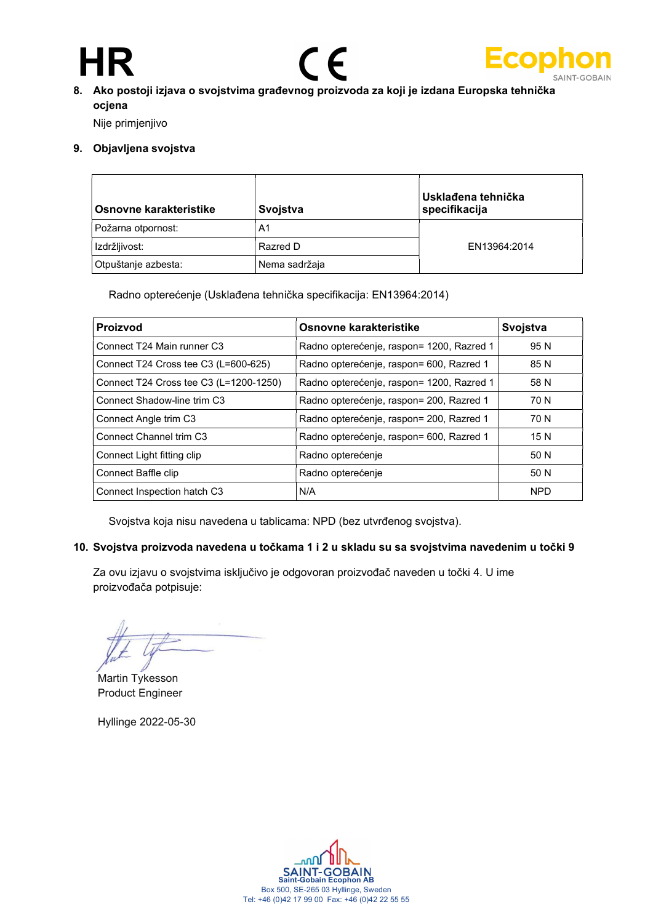# HR





### 8. Ako postoji izjava o svojstvima građevnog proizvoda za koji je izdana Europska tehnička ocjena

Nije primjenjivo

#### 9. Objavljena svojstva

| Osnovne karakteristike | Svojstva      | Usklađena tehnička<br>specifikacija |
|------------------------|---------------|-------------------------------------|
| Požarna otpornost:     | A1            |                                     |
| Izdržljivost:          | Razred D      | EN13964:2014                        |
| Otpuštanje azbesta:    | Nema sadržaja |                                     |

Radno opterećenje (Usklađena tehnička specifikacija: EN13964:2014)

| <b>Proizvod</b>                        | Osnovne karakteristike                    | Svojstva   |
|----------------------------------------|-------------------------------------------|------------|
| Connect T24 Main runner C3             | Radno opterećenje, raspon= 1200, Razred 1 | 95 N       |
| Connect T24 Cross tee C3 (L=600-625)   | Radno opterećenje, raspon= 600, Razred 1  | 85 N       |
| Connect T24 Cross tee C3 (L=1200-1250) | Radno opterećenje, raspon= 1200, Razred 1 | 58 N       |
| Connect Shadow-line trim C3            | Radno opterećenje, raspon= 200, Razred 1  | 70 N       |
| Connect Angle trim C3                  | Radno opterećenje, raspon= 200, Razred 1  | 70 N       |
| Connect Channel trim C3                | Radno opterećenje, raspon= 600, Razred 1  | 15 N       |
| Connect Light fitting clip             | Radno opterećenje                         | 50 N       |
| Connect Baffle clip                    | Radno opterećenje                         | 50 N       |
| Connect Inspection hatch C3            | N/A                                       | <b>NPD</b> |

Svojstva koja nisu navedena u tablicama: NPD (bez utvrđenog svojstva).

#### 10. Svojstva proizvoda navedena u točkama 1 i 2 u skladu su sa svojstvima navedenim u točki 9

Za ovu izjavu o svojstvima isključivo je odgovoran proizvođač naveden u točki 4. U ime proizvođača potpisuje:

Martin Tykesson Product Engineer

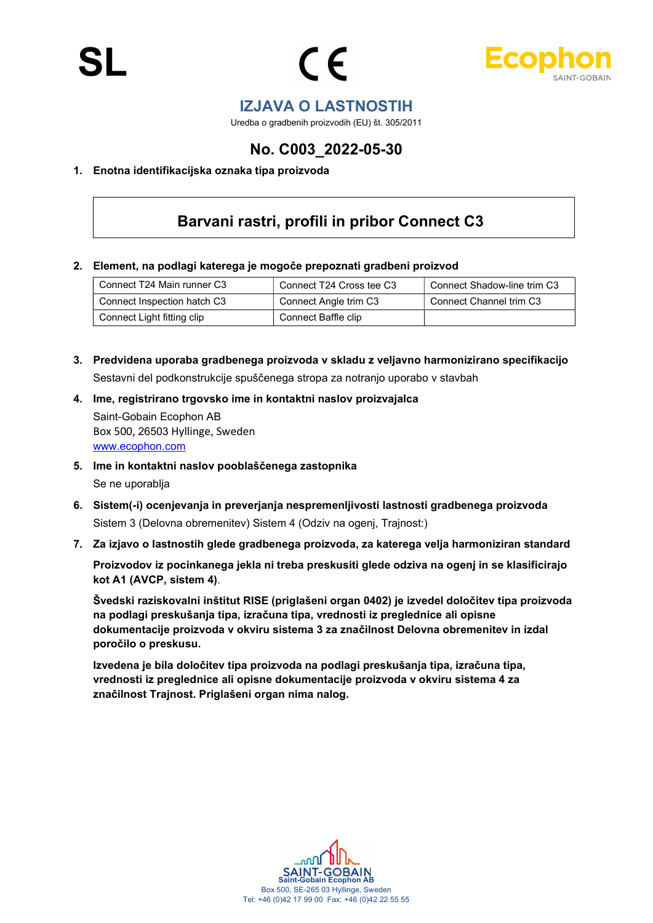



### IZJAVA O LASTNOSTIH

Uredba o gradbenih proizvodih (EU) št. 305/2011

## No. C003\_2022-05-30

#### 1. Enotna identifikacijska oznaka tipa proizvoda

## Barvani rastri, profili in pribor Connect C3

2. Element, na podlagi katerega je mogoče prepoznati gradbeni proizvod

| Connect T24 Main runner C3  | Connect T24 Cross tee C3 | Connect Shadow-line trim C3 |
|-----------------------------|--------------------------|-----------------------------|
| Connect Inspection hatch C3 | Connect Angle trim C3    | Connect Channel trim C3     |
| Connect Light fitting clip  | Connect Baffle clip      |                             |

- 3. Predvidena uporaba gradbenega proizvoda v skladu z veljavno harmonizirano specifikacijo Sestavni del podkonstrukcije spuščenega stropa za notranjo uporabo v stavbah
- 4. Ime, registrirano trgovsko ime in kontaktni naslov proizvajalca Saint-Gobain Ecophon AB Box 500, 26503 Hyllinge, Sweden www.ecophon.com
- 5. Ime in kontaktni naslov pooblaščenega zastopnika Se ne uporablja
- 6. Sistem(-i) ocenjevanja in preverjanja nespremenljivosti lastnosti gradbenega proizvoda Sistem 3 (Delovna obremenitev) Sistem 4 (Odziv na ogenj, Trajnost:)
- 7. Za izjavo o lastnostih glede gradbenega proizvoda, za katerega velja harmoniziran standard

Proizvodov iz pocinkanega jekla ni treba preskusiti glede odziva na ogenj in se klasificirajo kot A1 (AVCP, sistem 4).

Švedski raziskovalni inštitut RISE (priglašeni organ 0402) je izvedel določitev tipa proizvoda na podlagi preskušanja tipa, izračuna tipa, vrednosti iz preglednice ali opisne dokumentacije proizvoda v okviru sistema 3 za značilnost Delovna obremenitev in izdal poročilo o preskusu.

Izvedena je bila določitev tipa proizvoda na podlagi preskušanja tipa, izračuna tipa, vrednosti iz preglednice ali opisne dokumentacije proizvoda v okviru sistema 4 za značilnost Trajnost. Priglašeni organ nima nalog.

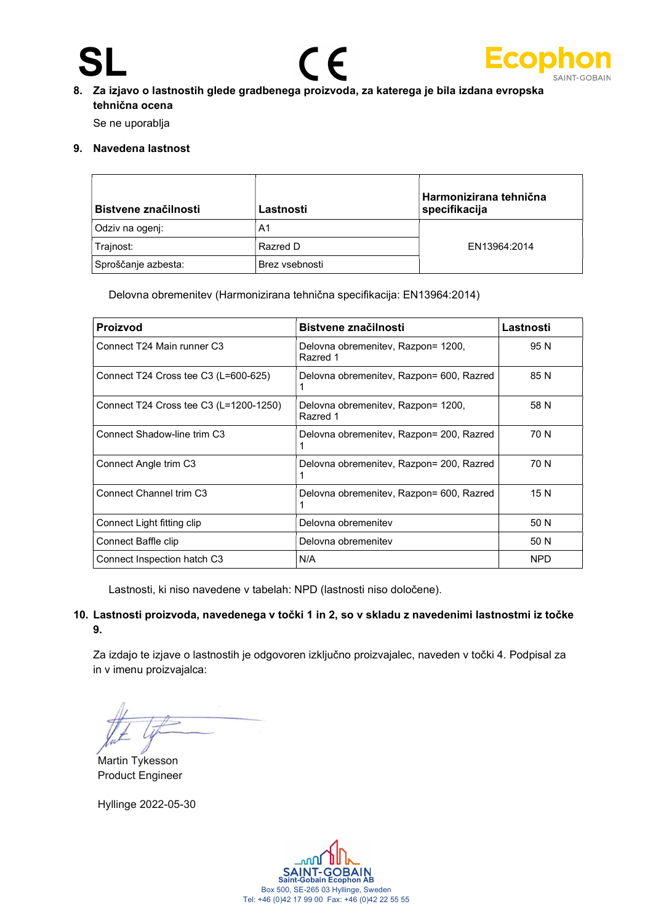# SL





### 8. Za izjavo o lastnostih glede gradbenega proizvoda, za katerega je bila izdana evropska tehnična ocena

Se ne uporablja

#### 9. Navedena lastnost

| Bistvene značilnosti | Lastnosti      | Harmonizirana tehnična<br>specifikacija |
|----------------------|----------------|-----------------------------------------|
| Odziv na ogenj:      | A1             |                                         |
| Trajnost:            | Razred D       | EN13964:2014                            |
| Sproščanje azbesta:  | Brez vsebnosti |                                         |

Delovna obremenitev (Harmonizirana tehnična specifikacija: EN13964:2014)

| <b>Proizvod</b>                        | Bistvene značilnosti                           | Lastnosti  |
|----------------------------------------|------------------------------------------------|------------|
| Connect T24 Main runner C3             | Delovna obremenitev, Razpon= 1200,<br>Razred 1 | 95 N       |
| Connect T24 Cross tee C3 (L=600-625)   | Delovna obremenitev, Razpon= 600, Razred       | 85 N       |
| Connect T24 Cross tee C3 (L=1200-1250) | Delovna obremenitev, Razpon= 1200,<br>Razred 1 | 58 N       |
| Connect Shadow-line trim C3            | Delovna obremenitev, Razpon= 200, Razred<br>1  | 70 N       |
| Connect Angle trim C3                  | Delovna obremenitev, Razpon= 200, Razred       | 70 N       |
| Connect Channel trim C3                | Delovna obremenitev, Razpon= 600, Razred       | 15 N       |
| Connect Light fitting clip             | Delovna obremenitev                            | 50 N       |
| Connect Baffle clip                    | Delovna obremenitev                            | 50 N       |
| Connect Inspection hatch C3            | N/A                                            | <b>NPD</b> |

Lastnosti, ki niso navedene v tabelah: NPD (lastnosti niso določene).

#### 10. Lastnosti proizvoda, navedenega v točki 1 in 2, so v skladu z navedenimi lastnostmi iz točke 9.

Za izdajo te izjave o lastnostih je odgovoren izključno proizvajalec, naveden v točki 4. Podpisal za in v imenu proizvajalca:

Martin Tykesson Product Engineer

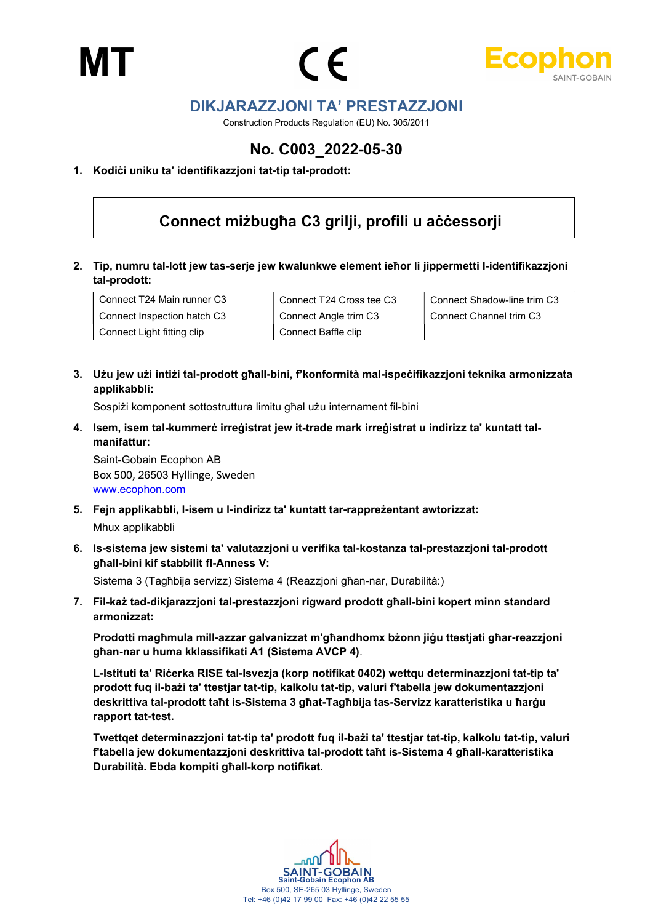MT





## DIKJARAZZJONI TA' PRESTAZZJONI

Construction Products Regulation (EU) No. 305/2011

## No. C003\_2022-05-30

#### 1. Kodiċi uniku ta' identifikazzjoni tat-tip tal-prodott:

# Connect miżbugħa C3 grilji, profili u aċċessorji

2. Tip, numru tal-lott jew tas-serje jew kwalunkwe element ieħor li jippermetti l-identifikazzjoni tal-prodott:

| Connect T24 Main runner C3  | Connect T24 Cross tee C3 | Connect Shadow-line trim C3 |
|-----------------------------|--------------------------|-----------------------------|
| Connect Inspection hatch C3 | Connect Angle trim C3    | Connect Channel trim C3     |
| Connect Light fitting clip  | Connect Baffle clip      |                             |

3. Użu jew użi intiżi tal-prodott għall-bini, f'konformità mal-ispeċifikazzjoni teknika armonizzata applikabbli:

Sospiżi komponent sottostruttura limitu għal użu internament fil-bini

4. Isem, isem tal-kummerċ irreġistrat jew it-trade mark irreġistrat u indirizz ta' kuntatt talmanifattur:

Saint-Gobain Ecophon AB Box 500, 26503 Hyllinge, Sweden www.ecophon.com

- 5. Fejn applikabbli, l-isem u l-indirizz ta' kuntatt tar-rappreżentant awtorizzat: Mhux applikabbli
- 6. Is-sistema jew sistemi ta' valutazzjoni u verifika tal-kostanza tal-prestazzjoni tal-prodott għall-bini kif stabbilit fl-Anness V:

Sistema 3 (Tagħbija servizz) Sistema 4 (Reazzjoni għan-nar, Durabilità:)

7. Fil-każ tad-dikjarazzjoni tal-prestazzjoni rigward prodott għall-bini kopert minn standard armonizzat:

Prodotti magħmula mill-azzar galvanizzat m'għandhomx bżonn jiġu ttestjati għar-reazzjoni għan-nar u huma kklassifikati A1 (Sistema AVCP 4).

L-Istituti ta' Riċerka RISE tal-Isvezja (korp notifikat 0402) wettqu determinazzjoni tat-tip ta' prodott fuq il-bażi ta' ttestjar tat-tip, kalkolu tat-tip, valuri f'tabella jew dokumentazzjoni deskrittiva tal-prodott taħt is-Sistema 3 għat-Tagħbija tas-Servizz karatteristika u ħarġu rapport tat-test.

Twettqet determinazzjoni tat-tip ta' prodott fuq il-bażi ta' ttestjar tat-tip, kalkolu tat-tip, valuri f'tabella jew dokumentazzjoni deskrittiva tal-prodott taħt is-Sistema 4 għall-karatteristika Durabilità. Ebda kompiti għall-korp notifikat.

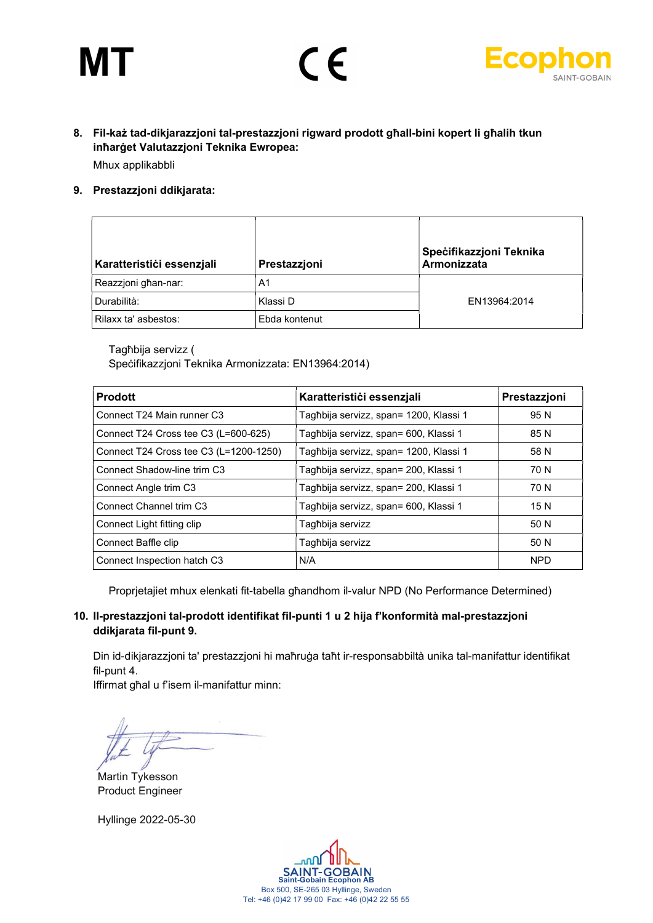# MT





### 8. Fil-każ tad-dikjarazzjoni tal-prestazzjoni rigward prodott għall-bini kopert li għalih tkun inħarġet Valutazzjoni Teknika Ewropea: Mhux applikabbli

9. Prestazzjoni ddikjarata:

| Karatteristići essenzjali | Prestazzjoni   | Specifikazzjoni Teknika<br>Armonizzata |
|---------------------------|----------------|----------------------------------------|
| Reazzjoni għan-nar:       | A <sub>1</sub> |                                        |
| Durabilità:               | Klassi D       | EN13964:2014                           |
| Rilaxx ta' asbestos:      | Ebda kontenut  |                                        |

Tagħbija servizz (

Speċifikazzjoni Teknika Armonizzata: EN13964:2014)

| <b>Prodott</b>                         | Karatteristići essenzjali              | Prestazzjoni |
|----------------------------------------|----------------------------------------|--------------|
| Connect T24 Main runner C3             | Tagħbija servizz, span= 1200, Klassi 1 | 95 N         |
| Connect T24 Cross tee C3 (L=600-625)   | Tagħbija servizz, span= 600, Klassi 1  | 85 N         |
| Connect T24 Cross tee C3 (L=1200-1250) | Tagħbija servizz, span= 1200, Klassi 1 | 58 N         |
| Connect Shadow-line trim C3            | Tagħbija servizz, span= 200, Klassi 1  | 70 N         |
| Connect Angle trim C3                  | Tagħbija servizz, span= 200, Klassi 1  | 70 N         |
| <b>Connect Channel trim C3</b>         | Tagħbija servizz, span= 600, Klassi 1  | 15 N         |
| Connect Light fitting clip             | Tagħbija servizz                       | 50 N         |
| Connect Baffle clip                    | Tagħbija servizz                       | 50 N         |
| Connect Inspection hatch C3            | N/A                                    | <b>NPD</b>   |

Proprjetajiet mhux elenkati fit-tabella għandhom il-valur NPD (No Performance Determined)

#### 10. Il-prestazzjoni tal-prodott identifikat fil-punti 1 u 2 hija f'konformità mal-prestazzjoni ddikjarata fil-punt 9.

Din id-dikjarazzjoni ta' prestazzjoni hi maħruġa taħt ir-responsabbiltà unika tal-manifattur identifikat fil-punt 4.

Iffirmat għal u f'isem il-manifattur minn:

Martin Tykesson Product Engineer

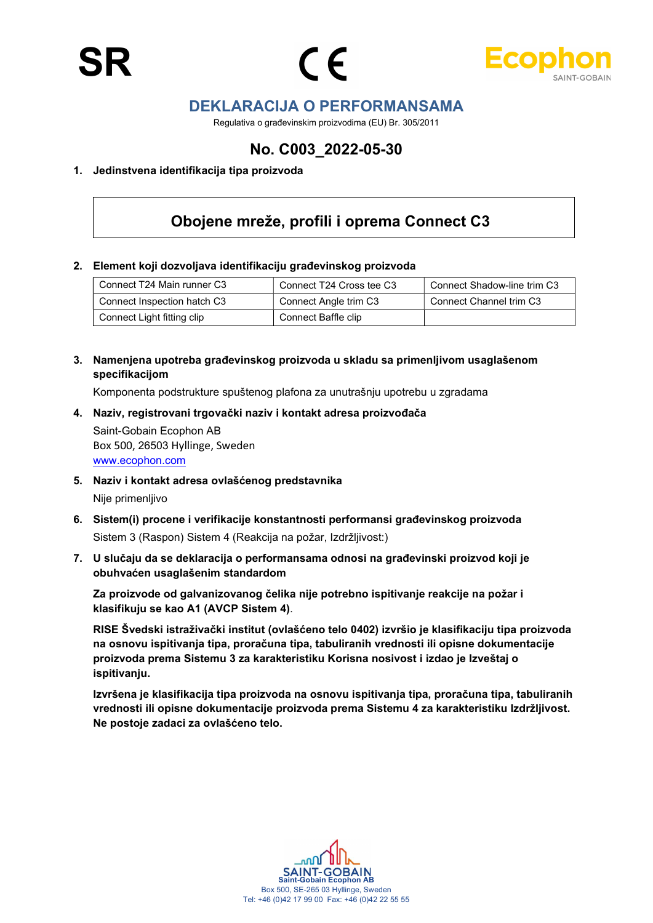



## DEKLARACIJA O PERFORMANSAMA

Regulativa o građevinskim proizvodima (EU) Br. 305/2011

## No. C003\_2022-05-30

#### 1. Jedinstvena identifikacija tipa proizvoda

## Obojene mreže, profili i oprema Connect C3

#### 2. Element koji dozvoljava identifikaciju građevinskog proizvoda

| Connect T24 Main runner C3  | Connect T24 Cross tee C3 | Connect Shadow-line trim C3 |
|-----------------------------|--------------------------|-----------------------------|
| Connect Inspection hatch C3 | Connect Angle trim C3    | Connect Channel trim C3     |
| Connect Light fitting clip  | Connect Baffle clip      |                             |

3. Namenjena upotreba građevinskog proizvoda u skladu sa primenljivom usaglašenom specifikacijom

Komponenta podstrukture spuštenog plafona za unutrašnju upotrebu u zgradama

4. Naziv, registrovani trgovački naziv i kontakt adresa proizvođača Saint-Gobain Ecophon AB

Box 500, 26503 Hyllinge, Sweden www.ecophon.com

- 5. Naziv i kontakt adresa ovlašćenog predstavnika Nije primenljivo
- 6. Sistem(i) procene i verifikacije konstantnosti performansi građevinskog proizvoda Sistem 3 (Raspon) Sistem 4 (Reakcija na požar, Izdržljivost:)
- 7. U slučaju da se deklaracija o performansama odnosi na građevinski proizvod koji je obuhvaćen usaglašenim standardom

Za proizvode od galvanizovanog čelika nije potrebno ispitivanje reakcije na požar i klasifikuju se kao A1 (AVCP Sistem 4).

RISE Švedski istraživački institut (ovlašćeno telo 0402) izvršio je klasifikaciju tipa proizvoda na osnovu ispitivanja tipa, proračuna tipa, tabuliranih vrednosti ili opisne dokumentacije proizvoda prema Sistemu 3 za karakteristiku Korisna nosivost i izdao je Izveštaj o ispitivanju.

Izvršena je klasifikacija tipa proizvoda na osnovu ispitivanja tipa, proračuna tipa, tabuliranih vrednosti ili opisne dokumentacije proizvoda prema Sistemu 4 za karakteristiku Izdržljivost. Ne postoje zadaci za ovlašćeno telo.

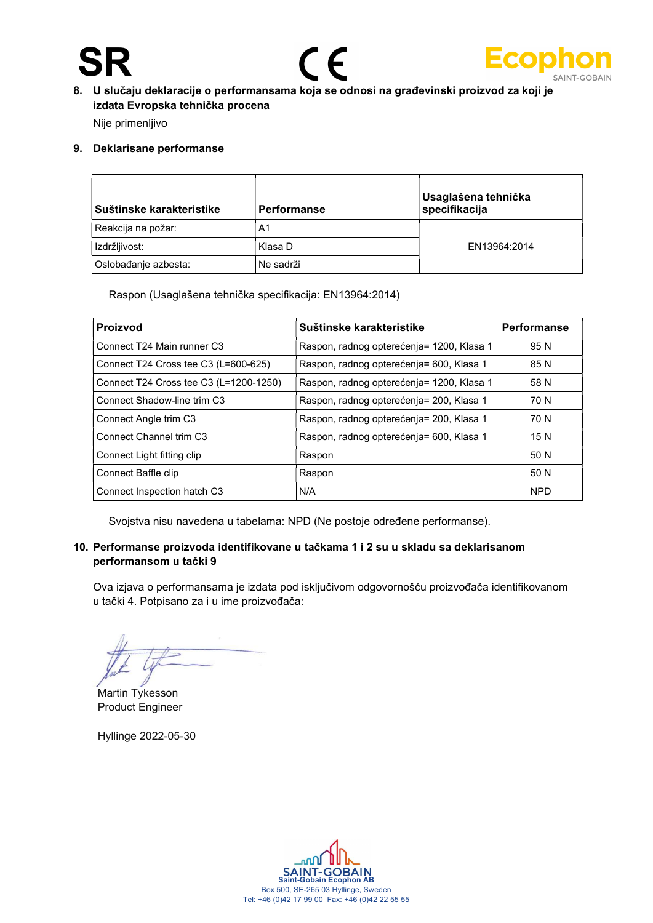# SR





8. U slučaju deklaracije o performansama koja se odnosi na građevinski proizvod za koji je izdata Evropska tehnička procena

Nije primenljivo

#### 9. Deklarisane performanse

| Suštinske karakteristike | <b>Performanse</b> | Usaglašena tehnička<br>specifikacija |
|--------------------------|--------------------|--------------------------------------|
| Reakcija na požar:       | A1                 |                                      |
| Izdržljivost:            | Klasa D            | EN13964:2014                         |
| Oslobađanje azbesta:     | Ne sadrži          |                                      |

Raspon (Usaglašena tehnička specifikacija: EN13964:2014)

| <b>Proizvod</b>                        | Suštinske karakteristike                  | Performanse |
|----------------------------------------|-------------------------------------------|-------------|
| Connect T24 Main runner C3             | Raspon, radnog opterećenja= 1200, Klasa 1 | 95 N        |
| Connect T24 Cross tee C3 (L=600-625)   | Raspon, radnog opterećenja= 600, Klasa 1  | 85 N        |
| Connect T24 Cross tee C3 (L=1200-1250) | Raspon, radnog opterećenja= 1200, Klasa 1 | 58 N        |
| Connect Shadow-line trim C3            | Raspon, radnog opterećenja= 200, Klasa 1  | 70 N        |
| Connect Angle trim C3                  | Raspon, radnog opterećenja= 200, Klasa 1  | 70 N        |
| Connect Channel trim C <sub>3</sub>    | Raspon, radnog opterećenja= 600, Klasa 1  | 15 N        |
| Connect Light fitting clip             | Raspon                                    | 50 N        |
| Connect Baffle clip                    | Raspon                                    | 50 N        |
| Connect Inspection hatch C3            | N/A                                       | <b>NPD</b>  |

Svojstva nisu navedena u tabelama: NPD (Ne postoje određene performanse).

#### 10. Performanse proizvoda identifikovane u tačkama 1 i 2 su u skladu sa deklarisanom performansom u tački 9

Ova izjava o performansama je izdata pod isključivom odgovornošću proizvođača identifikovanom u tački 4. Potpisano za i u ime proizvođača:

Martin Tykesson Product Engineer

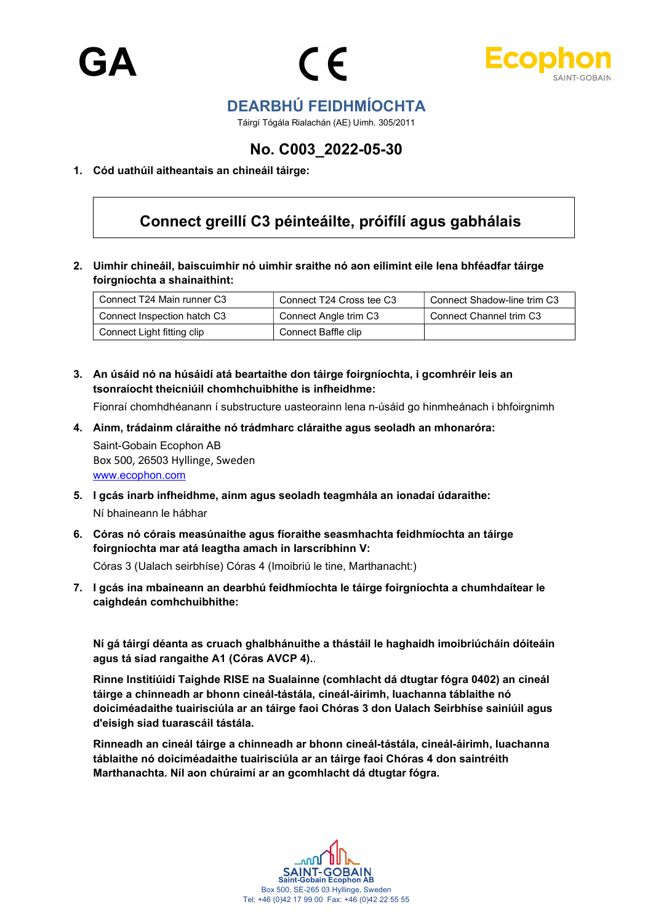



## DEARBHÚ FEIDHMÍOCHTA

Táirgí Tógála Rialachán (AE) Uimh. 305/2011

## No. C003\_2022-05-30

#### 1. Cód uathúil aitheantais an chineáil táirge:

## Connect greillí C3 péinteáilte, próifílí agus gabhálais

2. Uimhir chineáil, baiscuimhir nó uimhir sraithe nó aon eilimint eile lena bhféadfar táirge foirgníochta a shainaithint:

| Connect T24 Main runner C3  | Connect T24 Cross tee C3 | Connect Shadow-line trim C3 |
|-----------------------------|--------------------------|-----------------------------|
| Connect Inspection hatch C3 | Connect Angle trim C3    | Connect Channel trim C3     |
| Connect Light fitting clip  | Connect Baffle clip      |                             |

3. An úsáid nó na húsáidí atá beartaithe don táirge foirgníochta, i gcomhréir leis an tsonraíocht theicniúil chomhchuibhithe is infheidhme:

Fionraí chomhdhéanann í substructure uasteorainn lena n-úsáid go hinmheánach i bhfoirgnimh

4. Ainm, trádainm cláraithe nó trádmharc cláraithe agus seoladh an mhonaróra:

Saint-Gobain Ecophon AB Box 500, 26503 Hyllinge, Sweden www.ecophon.com

- 5. I gcás inarb infheidhme, ainm agus seoladh teagmhála an ionadaí údaraithe: Ní bhaineann le hábhar
- 6. Córas nó córais measúnaithe agus fíoraithe seasmhachta feidhmíochta an táirge foirgníochta mar atá leagtha amach in Iarscríbhinn V:

Córas 3 (Ualach seirbhíse) Córas 4 (Imoibriú le tine, Marthanacht:)

7. I gcás ina mbaineann an dearbhú feidhmíochta le táirge foirgníochta a chumhdaítear le caighdeán comhchuibhithe:

Ní gá táirgí déanta as cruach ghalbhánuithe a thástáil le haghaidh imoibriúcháin dóiteáin agus tá siad rangaithe A1 (Córas AVCP 4)..

Rinne Institiúidí Taighde RISE na Sualainne (comhlacht dá dtugtar fógra 0402) an cineál táirge a chinneadh ar bhonn cineál-tástála, cineál-áirimh, luachanna táblaithe nó doiciméadaithe tuairisciúla ar an táirge faoi Chóras 3 don Ualach Seirbhíse sainiúil agus d'eisigh siad tuarascáil tástála.

Rinneadh an cineál táirge a chinneadh ar bhonn cineál-tástála, cineál-áirimh, luachanna táblaithe nó doiciméadaithe tuairisciúla ar an táirge faoi Chóras 4 don saintréith Marthanachta. Níl aon chúraimí ar an gcomhlacht dá dtugtar fógra.

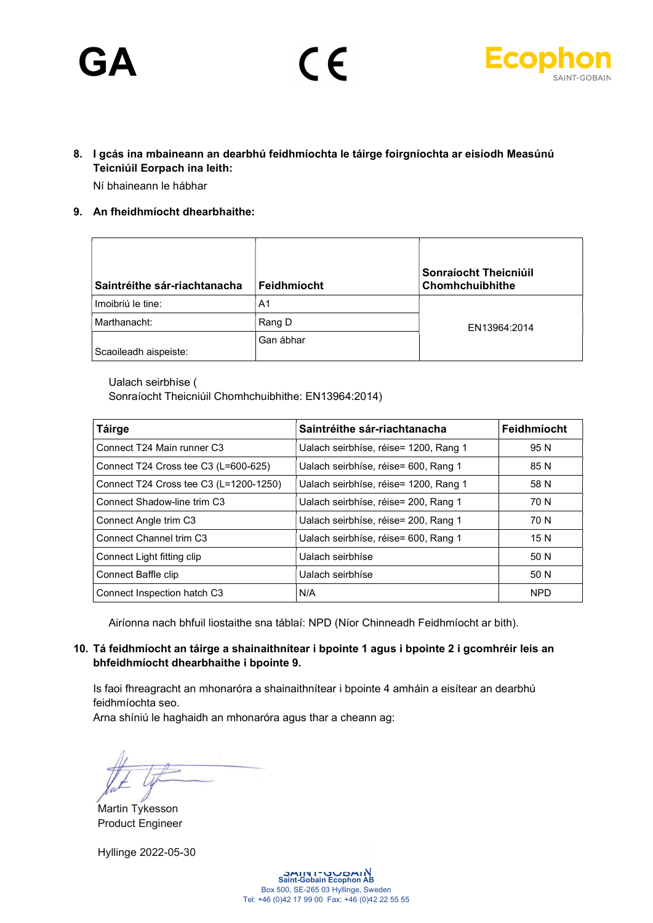# **GA**





- 8. I gcás ina mbaineann an dearbhú feidhmíochta le táirge foirgníochta ar eisíodh Measúnú Teicniúil Eorpach ina leith: Ní bhaineann le hábhar
- 9. An fheidhmíocht dhearbhaithe:

| Saintréithe sár-riachtanacha | Feidhmíocht | Sonraíocht Theicniúil<br><b>Chomhchuibhithe</b> |
|------------------------------|-------------|-------------------------------------------------|
| Imoibriú le tine:            | A1          |                                                 |
| Marthanacht:                 | Rang D      | EN13964:2014                                    |
| Scaoileadh aispeiste:        | Gan ábhar   |                                                 |

Ualach seirbhíse (

Sonraíocht Theicniúil Chomhchuibhithe: EN13964:2014)

| <b>Táirge</b>                          | Saintréithe sár-riachtanacha          | Feidhmíocht |
|----------------------------------------|---------------------------------------|-------------|
| Connect T24 Main runner C3             | Ualach seirbhíse, réise= 1200, Rang 1 | 95 N        |
| Connect T24 Cross tee C3 (L=600-625)   | Ualach seirbhíse, réise= 600, Rang 1  | 85 N        |
| Connect T24 Cross tee C3 (L=1200-1250) | Ualach seirbhíse, réise= 1200, Rang 1 | 58 N        |
| Connect Shadow-line trim C3            | Ualach seirbhíse, réise= 200, Rang 1  | 70 N        |
| Connect Angle trim C3                  | Ualach seirbhíse, réise= 200, Rang 1  | 70 N        |
| Connect Channel trim C3                | Ualach seirbhíse, réise= 600, Rang 1  | 15 N        |
| Connect Light fitting clip             | Ualach seirbhíse                      | 50 N        |
| Connect Baffle clip                    | Ualach seirbhíse                      | 50 N        |
| Connect Inspection hatch C3            | N/A                                   | <b>NPD</b>  |

Airíonna nach bhfuil liostaithe sna táblaí: NPD (Níor Chinneadh Feidhmíocht ar bith).

#### 10. Tá feidhmíocht an táirge a shainaithnítear i bpointe 1 agus i bpointe 2 i gcomhréir leis an bhfeidhmíocht dhearbhaithe i bpointe 9.

Is faoi fhreagracht an mhonaróra a shainaithnítear i bpointe 4 amháin a eisítear an dearbhú feidhmíochta seo.

Arna shíniú le haghaidh an mhonaróra agus thar a cheann ag:

Martin Tykesson Product Engineer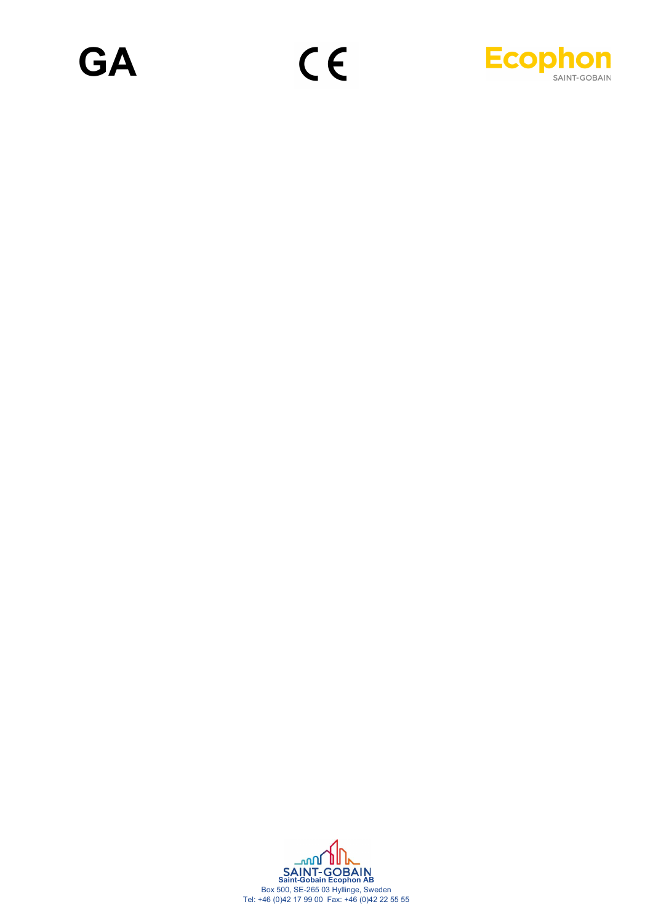

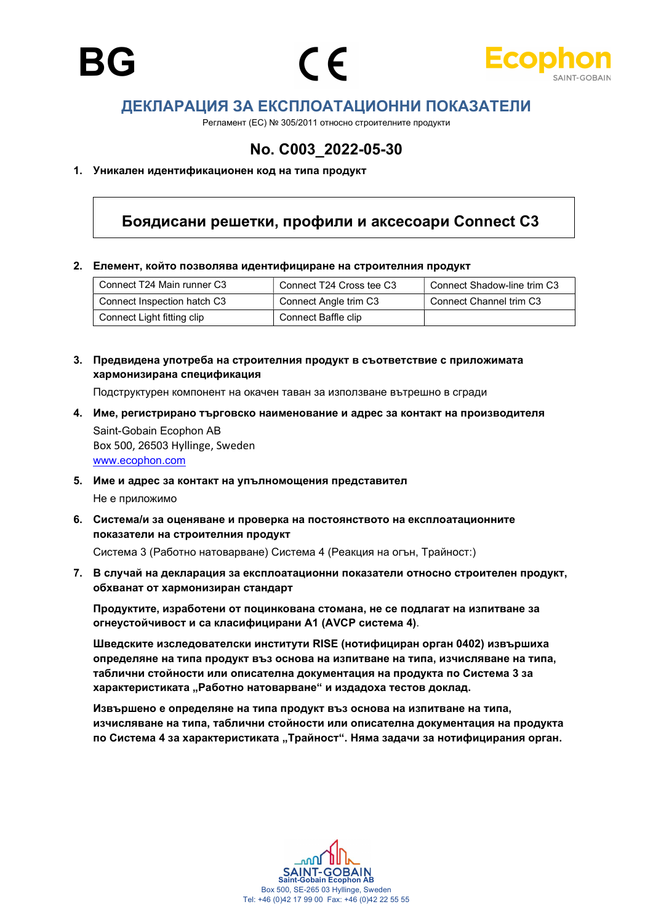





## ДЕКЛАРАЦИЯ ЗА ЕКСПЛОАТАЦИОННИ ПОКАЗАТЕЛИ

Регламент (ЕС) № 305/2011 относно строителните продукти

## No. C003\_2022-05-30

#### 1. Уникален идентификационен код на типа продукт

### Боядисани решетки, профили и аксесоари Connect C3

#### 2. Елемент, който позволява идентифициране на строителния продукт

| Connect T24 Main runner C3  | Connect T24 Cross tee C3 | Connect Shadow-line trim C3 |
|-----------------------------|--------------------------|-----------------------------|
| Connect Inspection hatch C3 | Connect Angle trim C3    | Connect Channel trim C3     |
| Connect Light fitting clip  | Connect Baffle clip      |                             |

#### 3. Предвидена употреба на строителния продукт в съответствие с приложимата хармонизирана спецификация

Подструктурен компонент на окачен таван за използване вътрешно в сгради

- 4. Име, регистрирано търговско наименование и адрес за контакт на производителя Saint-Gobain Ecophon AB Box 500, 26503 Hyllinge, Sweden www.ecophon.com
- 5. Име и адрес за контакт на упълномощения представител Не е приложимо
- 6. Система/и за оценяване и проверка на постоянството на експлоатационните показатели на строителния продукт

Система 3 (Работно натоварване) Система 4 (Реакция на огън, Трайност:)

7. В случай на декларация за експлоатационни показатели относно строителен продукт, обхванат от хармонизиран стандарт

Продуктите, изработени от поцинкована стомана, не се подлагат на изпитване за огнеустойчивост и са класифицирани А1 (AVCP система 4).

Шведските изследователски институти RISE (нотифициран орган 0402) извършиха определяне на типа продукт въз основа на изпитване на типа, изчисляване на типа, таблични стойности или описателна документация на продукта по Система 3 за характеристиката "Работно натоварване" и издадоха тестов доклад.

Извършено е определяне на типа продукт въз основа на изпитване на типа, изчисляване на типа, таблични стойности или описателна документация на продукта по Система 4 за характеристиката "Трайност". Няма задачи за нотифицирания орган.

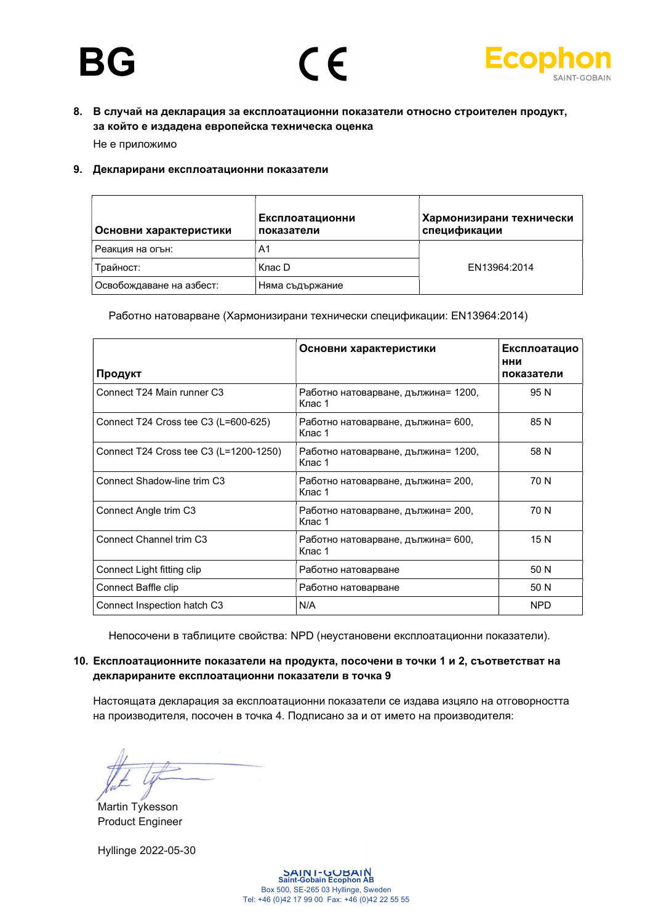



8. В случай на декларация за експлоатационни показатели относно строителен продукт, за който е издадена европейска техническа оценка

Не е приложимо

#### 9. Декларирани експлоатационни показатели

| Основни характеристики   | Експлоатационни<br>показатели | Хармонизирани технически<br>спецификации |
|--------------------------|-------------------------------|------------------------------------------|
| Реакция на огън:         | A1                            |                                          |
| Трайност:                | Клас D                        | EN13964:2014                             |
| Освобождаване на азбест: | Няма съдържание               |                                          |

Работно натоварване (Хармонизирани технически спецификации: EN13964:2014)

| Продукт                                | Основни характеристики                        | Експлоатацио<br>нни<br>показатели |
|----------------------------------------|-----------------------------------------------|-----------------------------------|
| Connect T24 Main runner C3             | Работно натоварване, дължина= 1200,<br>Клас 1 | 95 N                              |
| Connect T24 Cross tee C3 (L=600-625)   | Работно натоварване, дължина= 600,<br>Клас 1  | 85 N                              |
| Connect T24 Cross tee C3 (L=1200-1250) | Работно натоварване, дължина= 1200,<br>Клас 1 | 58 N                              |
| Connect Shadow-line trim C3            | Работно натоварване, дължина= 200,<br>Клас 1  | 70 N                              |
| Connect Angle trim C <sub>3</sub>      | Работно натоварване, дължина= 200,<br>Клас 1  | 70 N                              |
| Connect Channel trim C3                | Работно натоварване, дължина= 600,<br>Клас 1  | 15 N                              |
| Connect Light fitting clip             | Работно натоварване                           | 50 N                              |
| Connect Baffle clip                    | Работно натоварване                           | 50 N                              |
| Connect Inspection hatch C3            | N/A                                           | <b>NPD</b>                        |

Непосочени в таблиците свойства: NPD (неустановени експлоатационни показатели).

#### 10. Експлоатационните показатели на продукта, посочени в точки 1 и 2, съответстват на декларираните експлоатационни показатели в точка 9

Настоящата декларация за експлоатационни показатели се издава изцяло на отговорността на производителя, посочен в точка 4. Подписано за и от името на производителя:

Martin Tykesson Product Engineer